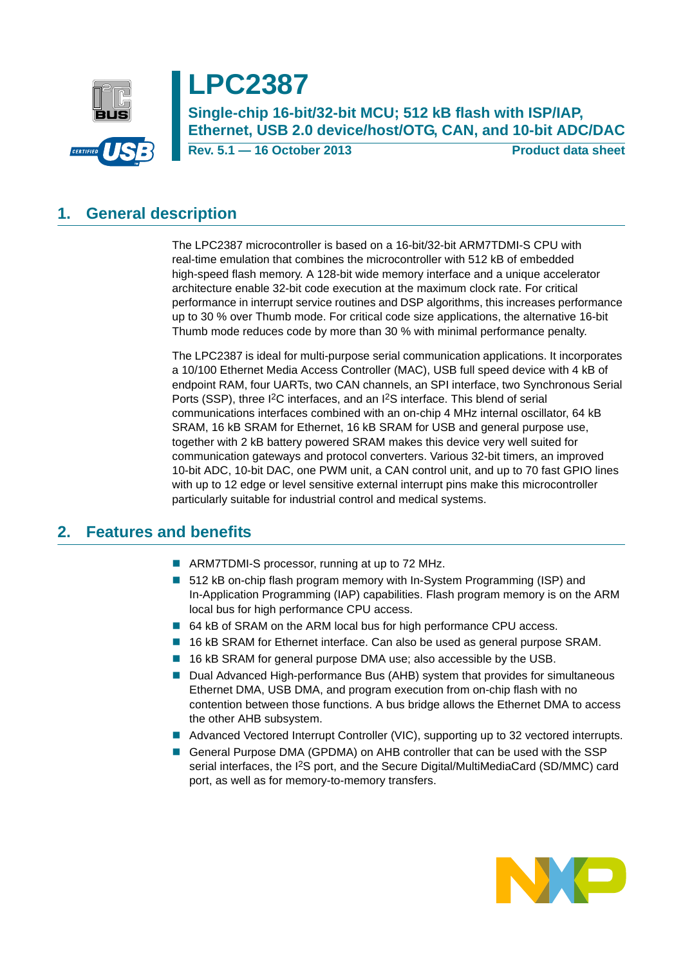

# **LPC2387**

**Single-chip 16-bit/32-bit MCU; 512 kB flash with ISP/IAP, Ethernet, USB 2.0 device/host/OTG, CAN, and 10-bit ADC/DAC**

**Rev. 5.1 — 16 October 2013 Product data sheet**

# <span id="page-0-0"></span>**1. General description**

The LPC2387 microcontroller is based on a 16-bit/32-bit ARM7TDMI-S CPU with real-time emulation that combines the microcontroller with 512 kB of embedded high-speed flash memory. A 128-bit wide memory interface and a unique accelerator architecture enable 32-bit code execution at the maximum clock rate. For critical performance in interrupt service routines and DSP algorithms, this increases performance up to 30 % over Thumb mode. For critical code size applications, the alternative 16-bit Thumb mode reduces code by more than 30 % with minimal performance penalty.

The LPC2387 is ideal for multi-purpose serial communication applications. It incorporates a 10/100 Ethernet Media Access Controller (MAC), USB full speed device with 4 kB of endpoint RAM, four UARTs, two CAN channels, an SPI interface, two Synchronous Serial Ports (SSP), three I<sup>2</sup>C interfaces, and an I<sup>2</sup>S interface. This blend of serial communications interfaces combined with an on-chip 4 MHz internal oscillator, 64 kB SRAM, 16 kB SRAM for Ethernet, 16 kB SRAM for USB and general purpose use, together with 2 kB battery powered SRAM makes this device very well suited for communication gateways and protocol converters. Various 32-bit timers, an improved 10-bit ADC, 10-bit DAC, one PWM unit, a CAN control unit, and up to 70 fast GPIO lines with up to 12 edge or level sensitive external interrupt pins make this microcontroller particularly suitable for industrial control and medical systems.

## <span id="page-0-1"></span>**2. Features and benefits**

- ARM7TDMI-S processor, running at up to 72 MHz.
- 512 kB on-chip flash program memory with In-System Programming (ISP) and In-Application Programming (IAP) capabilities. Flash program memory is on the ARM local bus for high performance CPU access.
- 64 kB of SRAM on the ARM local bus for high performance CPU access.
- 16 kB SRAM for Ethernet interface. Can also be used as general purpose SRAM.
- 16 kB SRAM for general purpose DMA use; also accessible by the USB.
- Dual Advanced High-performance Bus (AHB) system that provides for simultaneous Ethernet DMA, USB DMA, and program execution from on-chip flash with no contention between those functions. A bus bridge allows the Ethernet DMA to access the other AHB subsystem.
- Advanced Vectored Interrupt Controller (VIC), supporting up to 32 vectored interrupts.
- General Purpose DMA (GPDMA) on AHB controller that can be used with the SSP serial interfaces, the I2S port, and the Secure Digital/MultiMediaCard (SD/MMC) card port, as well as for memory-to-memory transfers.

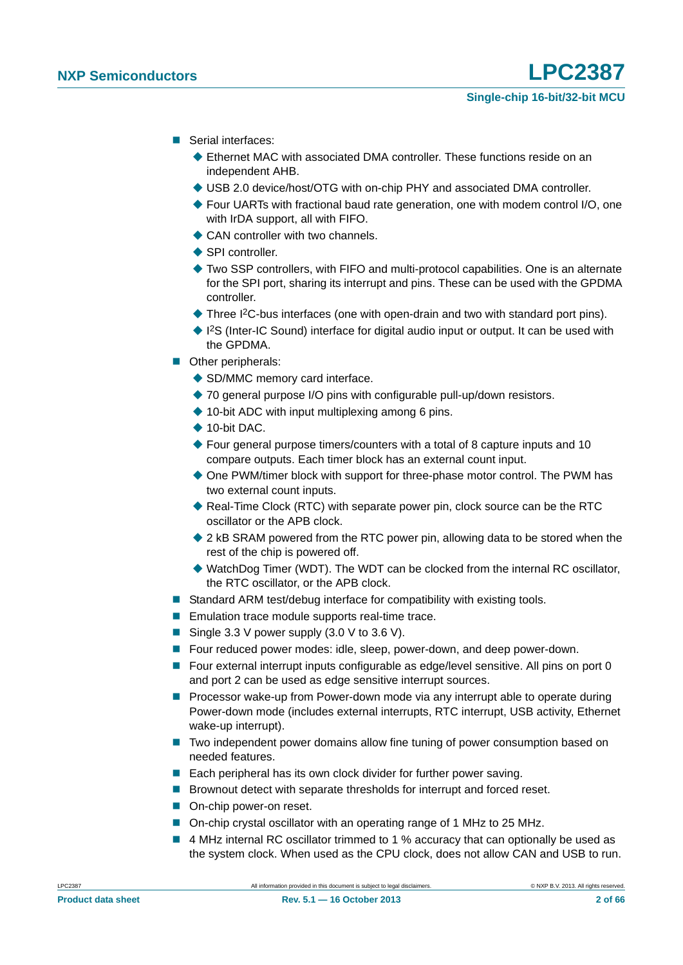- Serial interfaces:
	- Ethernet MAC with associated DMA controller. These functions reside on an independent AHB.
	- USB 2.0 device/host/OTG with on-chip PHY and associated DMA controller.
	- ◆ Four UARTs with fractional baud rate generation, one with modem control I/O, one with IrDA support, all with FIFO.
	- **← CAN controller with two channels**
	- **SPI controller**
	- Two SSP controllers, with FIFO and multi-protocol capabilities. One is an alternate for the SPI port, sharing its interrupt and pins. These can be used with the GPDMA controller.
	- ◆ Three I<sup>2</sup>C-bus interfaces (one with open-drain and two with standard port pins).
	- ◆ I<sup>2</sup>S (Inter-IC Sound) interface for digital audio input or output. It can be used with the GPDMA.
- **Other peripherals:** 
	- ◆ SD/MMC memory card interface.
	- ◆ 70 general purpose I/O pins with configurable pull-up/down resistors.
	- $\triangle$  10-bit ADC with input multiplexing among 6 pins.
	- $\triangle$  10-bit DAC.
	- $\blacklozenge$  Four general purpose timers/counters with a total of 8 capture inputs and 10 compare outputs. Each timer block has an external count input.
	- ◆ One PWM/timer block with support for three-phase motor control. The PWM has two external count inputs.
	- Real-Time Clock (RTC) with separate power pin, clock source can be the RTC oscillator or the APB clock.
	- ◆ 2 kB SRAM powered from the RTC power pin, allowing data to be stored when the rest of the chip is powered off.
	- ◆ WatchDog Timer (WDT). The WDT can be clocked from the internal RC oscillator, the RTC oscillator, or the APB clock.
- Standard ARM test/debug interface for compatibility with existing tools.
- **Emulation trace module supports real-time trace.**
- Single 3.3 V power supply  $(3.0 \vee$  to 3.6 V).
- Four reduced power modes: idle, sleep, power-down, and deep power-down.
- Four external interrupt inputs configurable as edge/level sensitive. All pins on port 0 and port 2 can be used as edge sensitive interrupt sources.
- **Processor wake-up from Power-down mode via any interrupt able to operate during** Power-down mode (includes external interrupts, RTC interrupt, USB activity, Ethernet wake-up interrupt).
- Two independent power domains allow fine tuning of power consumption based on needed features.
- Each peripheral has its own clock divider for further power saving.
- Brownout detect with separate thresholds for interrupt and forced reset.
- On-chip power-on reset.
- On-chip crystal oscillator with an operating range of 1 MHz to 25 MHz.
- 4 MHz internal RC oscillator trimmed to 1 % accuracy that can optionally be used as the system clock. When used as the CPU clock, does not allow CAN and USB to run.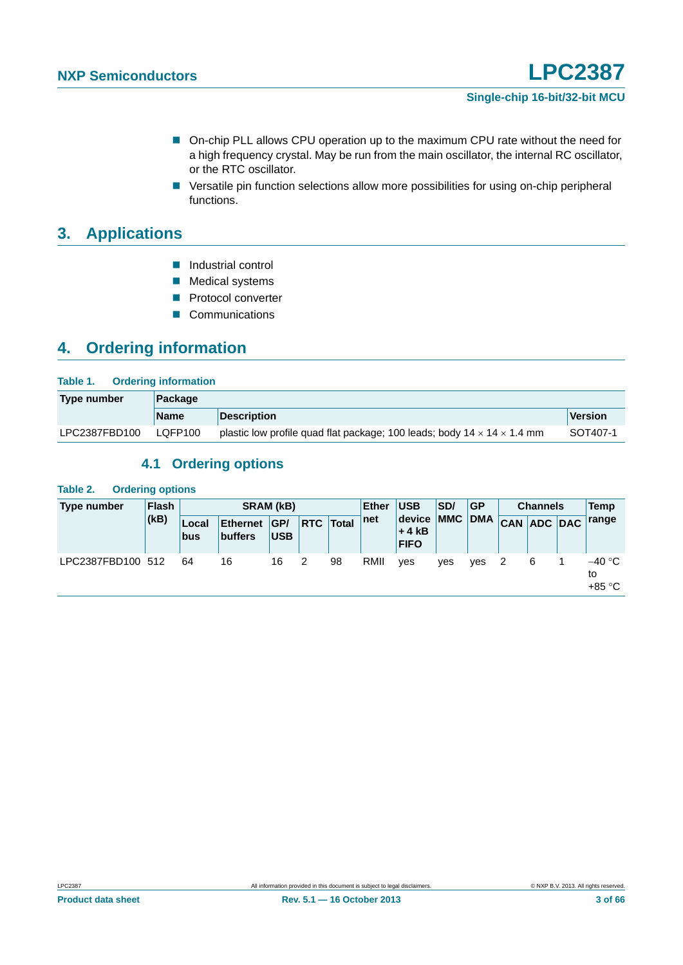- On-chip PLL allows CPU operation up to the maximum CPU rate without the need for a high frequency crystal. May be run from the main oscillator, the internal RC oscillator, or the RTC oscillator.
- Versatile pin function selections allow more possibilities for using on-chip peripheral functions.

# <span id="page-2-0"></span>**3. Applications**

- **Industrial control**
- **Medical systems**
- **Protocol converter**
- Communications

# <span id="page-2-1"></span>**4. Ordering information**

| Table 1.<br><b>Ordering information</b> |             |                                                                                     |          |  |  |  |  |
|-----------------------------------------|-------------|-------------------------------------------------------------------------------------|----------|--|--|--|--|
| Type number                             | Package     |                                                                                     |          |  |  |  |  |
|                                         | <b>Name</b> | <b>Description</b>                                                                  | Version  |  |  |  |  |
| LPC2387FBD100                           | LQFP100     | plastic low profile quad flat package; 100 leads; body $14 \times 14 \times 1.4$ mm | SOT407-1 |  |  |  |  |

### **4.1 Ordering options**

#### <span id="page-2-2"></span>**Table 2. Ordering options**

| Type number       | Flash<br>(kB) | <b>SRAM (kB)</b> |                                   |                   |    |                  | <b>USB</b><br>Ether | SD/                                 | GP  | <b>Channels</b> |  |             | Temp |                        |
|-------------------|---------------|------------------|-----------------------------------|-------------------|----|------------------|---------------------|-------------------------------------|-----|-----------------|--|-------------|------|------------------------|
|                   |               | Local<br>bus     | <b>Ethernet</b><br><b>buffers</b> | GP/<br><b>USB</b> |    | <b>RTC</b> Total | net                 | device MMC<br>$+4kB$<br><b>FIFO</b> |     | <b>DMA</b>      |  | CAN ADC DAC |      | range                  |
| LPC2387FBD100 512 |               | 64               | 16                                | 16                | -2 | 98               | RMII                | ves                                 | ves | ves             |  | 6           |      | –40 °C<br>to<br>+85 °C |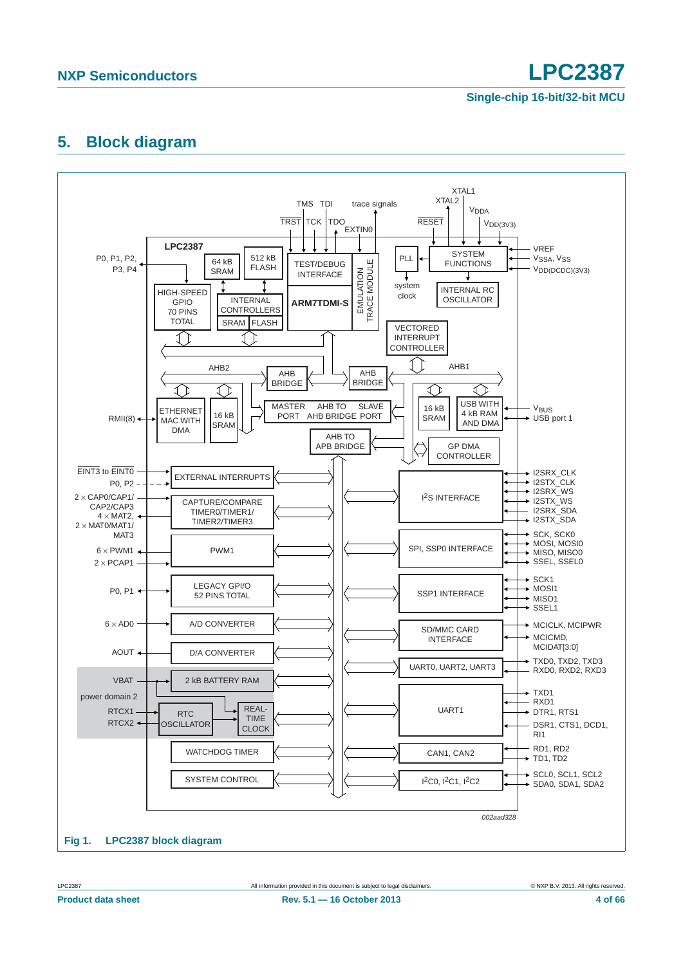# <span id="page-3-0"></span>**5. Block diagram**

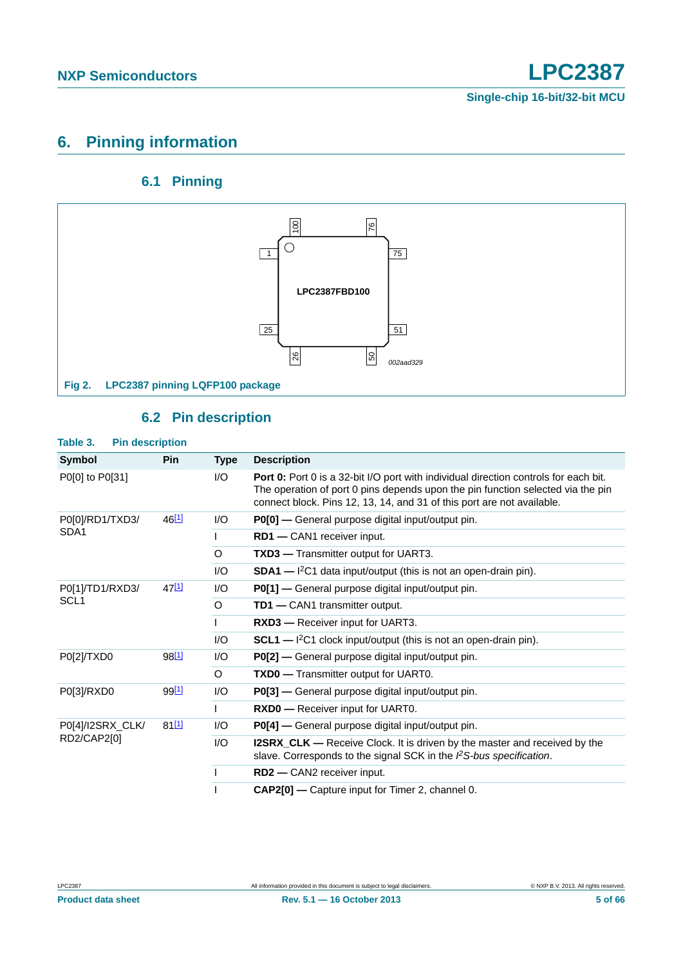# <span id="page-4-1"></span>**6. Pinning information**

## **6.1 Pinning**

<span id="page-4-2"></span>

## **6.2 Pin description**

<span id="page-4-3"></span><span id="page-4-0"></span>

| Table 3.<br><b>Pin description</b> |                   |         |                                                                                                                                                                                                                                                   |
|------------------------------------|-------------------|---------|---------------------------------------------------------------------------------------------------------------------------------------------------------------------------------------------------------------------------------------------------|
| Symbol                             | <b>Pin</b>        | Type    | <b>Description</b>                                                                                                                                                                                                                                |
| P0[0] to P0[31]                    |                   | 1/O     | Port 0: Port 0 is a 32-bit I/O port with individual direction controls for each bit.<br>The operation of port 0 pins depends upon the pin function selected via the pin<br>connect block. Pins 12, 13, 14, and 31 of this port are not available. |
| P0[0]/RD1/TXD3/                    | $46^{[1]}$        | I/O     | P0[0] - General purpose digital input/output pin.                                                                                                                                                                                                 |
| SDA <sub>1</sub>                   |                   |         | RD1 - CAN1 receiver input.                                                                                                                                                                                                                        |
|                                    |                   | O       | <b>TXD3</b> — Transmitter output for UART3.                                                                                                                                                                                                       |
|                                    |                   | 1/O     | $SDA1 - l^2C1$ data input/output (this is not an open-drain pin).                                                                                                                                                                                 |
| P0[1]/TD1/RXD3/                    | 47 <sup>[1]</sup> | I/O     | P0[1] - General purpose digital input/output pin.                                                                                                                                                                                                 |
| SCL <sub>1</sub>                   |                   | $\circ$ | <b>TD1</b> - CAN1 transmitter output.                                                                                                                                                                                                             |
|                                    |                   |         | <b>RXD3</b> — Receiver input for UART3.                                                                                                                                                                                                           |
|                                    |                   | I/O     | $SCL1$ — $I2C1$ clock input/output (this is not an open-drain pin).                                                                                                                                                                               |
| P0[2]/TXD0                         | 98 <sup>[1]</sup> | I/O     | P0[2] — General purpose digital input/output pin.                                                                                                                                                                                                 |
|                                    |                   | $\circ$ | <b>TXD0</b> - Transmitter output for UART0.                                                                                                                                                                                                       |
| P0[3]/RXD0                         | 99 <sup>[1]</sup> | 1/O     | <b>P0[3]</b> — General purpose digital input/output pin.                                                                                                                                                                                          |
|                                    |                   |         | <b>RXD0</b> - Receiver input for UART0.                                                                                                                                                                                                           |
| P0[4]/I2SRX_CLK/                   | 81[1]             | 1/O     | P0[4] - General purpose digital input/output pin.                                                                                                                                                                                                 |
| RD2/CAP2[0]                        |                   | I/O     | <b>I2SRX_CLK</b> — Receive Clock. It is driven by the master and received by the<br>slave. Corresponds to the signal SCK in the PS-bus specification.                                                                                             |
|                                    |                   |         | RD2 - CAN2 receiver input.                                                                                                                                                                                                                        |
|                                    |                   |         | <b>CAP2[0] — Capture input for Timer 2, channel 0.</b>                                                                                                                                                                                            |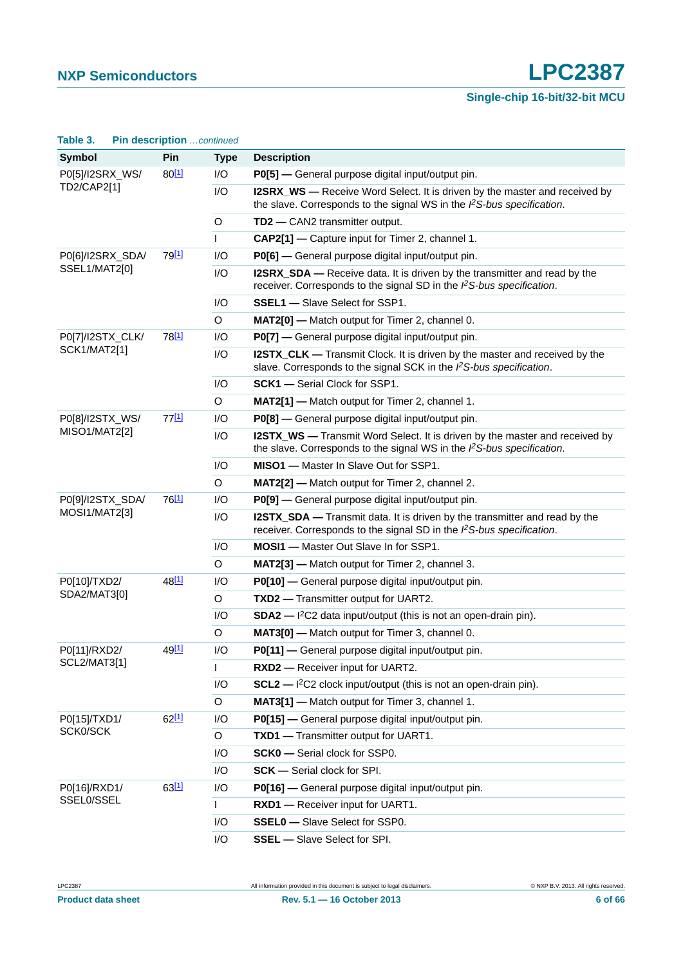| Table 3.                   | Pin description continued |              |                                                                                                                                                               |
|----------------------------|---------------------------|--------------|---------------------------------------------------------------------------------------------------------------------------------------------------------------|
| <b>Symbol</b>              | Pin                       | <b>Type</b>  | <b>Description</b>                                                                                                                                            |
| P0[5]/I2SRX_WS/            | $80^{[1]}$                | I/O          | P0[5] - General purpose digital input/output pin.                                                                                                             |
| TD2/CAP2[1]                |                           | I/O          | I2SRX_WS — Receive Word Select. It is driven by the master and received by<br>the slave. Corresponds to the signal WS in the $l2S-bus$ specification.         |
|                            |                           | $\circ$      | TD2 - CAN2 transmitter output.                                                                                                                                |
|                            |                           | $\mathsf{I}$ | CAP2[1] - Capture input for Timer 2, channel 1.                                                                                                               |
| P0[6]/I2SRX_SDA/           | 79 <sup>[1]</sup>         | I/O          | P0[6] - General purpose digital input/output pin.                                                                                                             |
| SSEL1/MAT2[0]              |                           | I/O          | I2SRX_SDA — Receive data. It is driven by the transmitter and read by the<br>receiver. Corresponds to the signal SD in the PS-bus specification.              |
|                            |                           | I/O          | <b>SSEL1</b> - Slave Select for SSP1.                                                                                                                         |
|                            |                           | O            | <b>MAT2[0]</b> — Match output for Timer 2, channel 0.                                                                                                         |
| P0[7]/I2STX_CLK/           | 78 <sup>[1]</sup>         | I/O          | P0[7] - General purpose digital input/output pin.                                                                                                             |
| <b>SCK1/MAT2[1]</b>        |                           | I/O          | I2STX_CLK — Transmit Clock. It is driven by the master and received by the<br>slave. Corresponds to the signal SCK in the PS-bus specification.               |
|                            |                           | I/O          | <b>SCK1</b> - Serial Clock for SSP1.                                                                                                                          |
|                            |                           | O            | <b>MAT2[1]</b> — Match output for Timer 2, channel 1.                                                                                                         |
| P0[8]/I2STX_WS/            | 77[1]                     | I/O          | P0[8] - General purpose digital input/output pin.                                                                                                             |
| MISO1/MAT2[2]              |                           | I/O          | <b>I2STX_WS</b> — Transmit Word Select. It is driven by the master and received by<br>the slave. Corresponds to the signal WS in the $l2S-bus$ specification. |
|                            |                           | I/O          | MISO1 - Master In Slave Out for SSP1.                                                                                                                         |
|                            |                           | O            | MAT2[2] - Match output for Timer 2, channel 2.                                                                                                                |
| P0[9]/I2STX_SDA/           | 76 <sup>[1]</sup>         | I/O          | P0[9] - General purpose digital input/output pin.                                                                                                             |
| MOSI1/MAT2[3]              |                           | I/O          | I2STX_SDA - Transmit data. It is driven by the transmitter and read by the<br>receiver. Corresponds to the signal SD in the $\beta$ S-bus specification.      |
|                            |                           | I/O          | <b>MOSI1</b> - Master Out Slave In for SSP1.                                                                                                                  |
|                            |                           | $\circ$      | <b>MAT2[3]</b> — Match output for Timer 2, channel 3.                                                                                                         |
| P0[10]/TXD2/               | 48 <sup>[1]</sup>         | I/O          | P0[10] - General purpose digital input/output pin.                                                                                                            |
| SDA2/MAT3[0]               |                           | $\circ$      | TXD2 - Transmitter output for UART2.                                                                                                                          |
|                            |                           | I/O          | $SDA2$ - $1^2C2$ data input/output (this is not an open-drain pin).                                                                                           |
|                            |                           | $\circ$      | MAT3[0] - Match output for Timer 3, channel 0.                                                                                                                |
| P0[11]/RXD2/               | 49 <sup>[1]</sup>         | I/O          | P0[11] - General purpose digital input/output pin.                                                                                                            |
| SCL2/MAT3[1]               |                           | L            | RXD2 - Receiver input for UART2.                                                                                                                              |
|                            |                           | I/O          | $SCL2$ - $I^2C2$ clock input/output (this is not an open-drain pin).                                                                                          |
|                            |                           | $\circ$      | MAT3[1] - Match output for Timer 3, channel 1.                                                                                                                |
| P0[15]/TXD1/<br>SCK0/SCK   | 62[1]                     | I/O          | P0[15] - General purpose digital input/output pin.                                                                                                            |
|                            |                           | $\mathsf O$  | TXD1 - Transmitter output for UART1.                                                                                                                          |
|                            |                           | I/O          | SCK0 - Serial clock for SSP0.                                                                                                                                 |
|                            |                           | I/O          | <b>SCK</b> - Serial clock for SPI.                                                                                                                            |
| P0[16]/RXD1/<br>SSEL0/SSEL | 63[1]                     | I/O          | P0[16] - General purpose digital input/output pin.                                                                                                            |
|                            |                           | $\mathsf{L}$ | RXD1 - Receiver input for UART1.                                                                                                                              |
|                            |                           | I/O          | <b>SSEL0</b> - Slave Select for SSP0.                                                                                                                         |
|                            |                           | I/O          | <b>SSEL</b> - Slave Select for SPI.                                                                                                                           |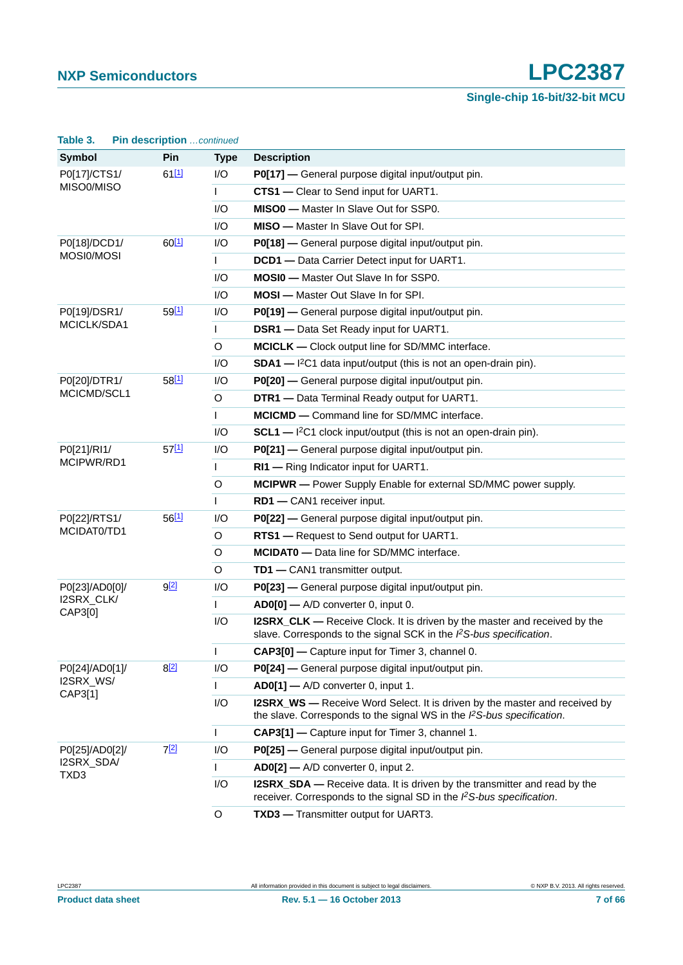| Table 3.              | Pin description continued |              |                                                                                                                                                                |  |  |  |
|-----------------------|---------------------------|--------------|----------------------------------------------------------------------------------------------------------------------------------------------------------------|--|--|--|
| <b>Symbol</b>         | Pin                       | <b>Type</b>  | <b>Description</b>                                                                                                                                             |  |  |  |
| P0[17]/CTS1/          | 61[1]                     | I/O          | P0[17] - General purpose digital input/output pin.                                                                                                             |  |  |  |
| MISO0/MISO            |                           | L            | CTS1 - Clear to Send input for UART1.                                                                                                                          |  |  |  |
|                       |                           | I/O          | MISO0 - Master In Slave Out for SSP0.                                                                                                                          |  |  |  |
|                       |                           | I/O          | <b>MISO</b> - Master In Slave Out for SPI.                                                                                                                     |  |  |  |
| P0[18]/DCD1/          | $60^{[1]}$                | I/O          | P0[18] - General purpose digital input/output pin.                                                                                                             |  |  |  |
| MOSI0/MOSI            |                           | L            | DCD1 - Data Carrier Detect input for UART1.                                                                                                                    |  |  |  |
|                       |                           | I/O          | <b>MOSI0</b> - Master Out Slave In for SSP0.                                                                                                                   |  |  |  |
|                       |                           | I/O          | <b>MOSI</b> - Master Out Slave In for SPI.                                                                                                                     |  |  |  |
| P0[19]/DSR1/          | 59[1]                     | I/O          | P0[19] — General purpose digital input/output pin.                                                                                                             |  |  |  |
| MCICLK/SDA1           |                           | $\mathsf{I}$ | <b>DSR1</b> - Data Set Ready input for UART1.                                                                                                                  |  |  |  |
|                       |                           | O            | MCICLK - Clock output line for SD/MMC interface.                                                                                                               |  |  |  |
|                       |                           | I/O          | $SDA1$ - $I2C1$ data input/output (this is not an open-drain pin).                                                                                             |  |  |  |
| P0[20]/DTR1/          | 58[1]                     | I/O          | P0[20] — General purpose digital input/output pin.                                                                                                             |  |  |  |
| MCICMD/SCL1           |                           | $\circ$      | DTR1 - Data Terminal Ready output for UART1.                                                                                                                   |  |  |  |
|                       |                           |              | <b>MCICMD</b> - Command line for SD/MMC interface.                                                                                                             |  |  |  |
|                       |                           | I/O          | $SCL1$ - $1^2C1$ clock input/output (this is not an open-drain pin).                                                                                           |  |  |  |
| P0[21]/RI1/           | 57[1]                     | I/O          | <b>P0[21]</b> — General purpose digital input/output pin.                                                                                                      |  |  |  |
| MCIPWR/RD1            |                           | $\mathsf{I}$ | RI1 - Ring Indicator input for UART1.                                                                                                                          |  |  |  |
|                       |                           | O            | MCIPWR - Power Supply Enable for external SD/MMC power supply.                                                                                                 |  |  |  |
|                       |                           | T            | RD1 - CAN1 receiver input.                                                                                                                                     |  |  |  |
| P0[22]/RTS1/          | 56[1]                     | I/O          | <b>P0[22]</b> — General purpose digital input/output pin.                                                                                                      |  |  |  |
| MCIDAT0/TD1           |                           | $\circ$      | RTS1 - Request to Send output for UART1.                                                                                                                       |  |  |  |
|                       |                           | O            | <b>MCIDATO</b> - Data line for SD/MMC interface.                                                                                                               |  |  |  |
|                       |                           | O            | TD1 - CAN1 transmitter output.                                                                                                                                 |  |  |  |
| P0[23]/AD0[0]/        | 9[2]                      | I/O          | P0[23] - General purpose digital input/output pin.                                                                                                             |  |  |  |
| I2SRX_CLK/<br>CAP3[0] |                           | $\mathsf{I}$ | $AD0[0]$ — A/D converter 0, input 0.                                                                                                                           |  |  |  |
|                       |                           | I/O          | I2SRX_CLK — Receive Clock. It is driven by the master and received by the<br>slave. Corresponds to the signal SCK in the PS-bus specification.                 |  |  |  |
|                       |                           |              | CAP3[0] - Capture input for Timer 3, channel 0.                                                                                                                |  |  |  |
| P0[24]/AD0[1]/        | 8[2]                      | I/O          | P0[24] - General purpose digital input/output pin.                                                                                                             |  |  |  |
| I2SRX_WS/             |                           |              | $AD0[1]$ $-$ A/D converter 0, input 1.                                                                                                                         |  |  |  |
| CAP3[1]               |                           | I/O          | <b>I2SRX_WS</b> — Receive Word Select. It is driven by the master and received by<br>the slave. Corresponds to the signal WS in the $l^2S$ -bus specification. |  |  |  |
|                       |                           | $\mathbf{I}$ | CAP3[1] - Capture input for Timer 3, channel 1.                                                                                                                |  |  |  |
| P0[25]/AD0[2]/        | 7[2]                      | I/O          | P0[25] - General purpose digital input/output pin.                                                                                                             |  |  |  |
| I2SRX_SDA/<br>TXD3    |                           | $\mathbf{L}$ | $AD0[2]$ $-$ A/D converter 0, input 2.                                                                                                                         |  |  |  |
|                       |                           | I/O          | <b>I2SRX_SDA</b> — Receive data. It is driven by the transmitter and read by the<br>receiver. Corresponds to the signal SD in the PS-bus specification.        |  |  |  |
|                       |                           | $\mathsf O$  | TXD3 - Transmitter output for UART3.                                                                                                                           |  |  |  |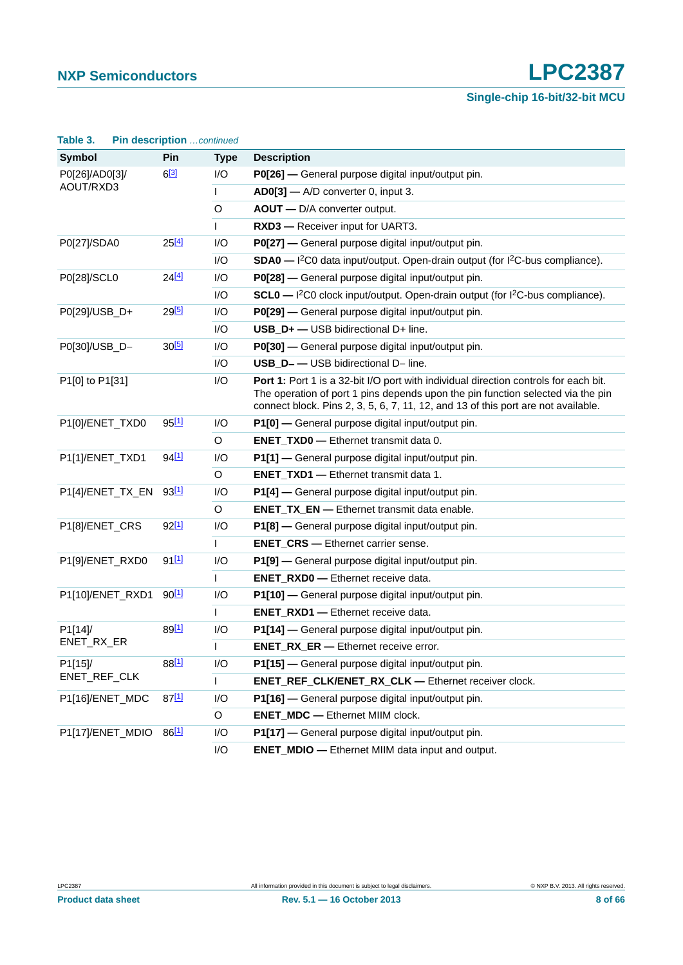| Table 3.         | Pin description continued |              |                                                                                                                                                                                                                                                              |
|------------------|---------------------------|--------------|--------------------------------------------------------------------------------------------------------------------------------------------------------------------------------------------------------------------------------------------------------------|
| Symbol           | Pin                       | <b>Type</b>  | <b>Description</b>                                                                                                                                                                                                                                           |
| P0[26]/AD0[3]/   | $6^{[3]}$                 | I/O          | P0[26] — General purpose digital input/output pin.                                                                                                                                                                                                           |
| AOUT/RXD3        |                           | $\mathsf{I}$ | AD0[3] - A/D converter 0, input 3.                                                                                                                                                                                                                           |
|                  |                           | $\circ$      | AOUT - D/A converter output.                                                                                                                                                                                                                                 |
|                  |                           | I.           | RXD3 - Receiver input for UART3.                                                                                                                                                                                                                             |
| P0[27]/SDA0      | 25[4]                     | I/O          | P0[27] — General purpose digital input/output pin.                                                                                                                                                                                                           |
|                  |                           | I/O          | SDA0 - I <sup>2</sup> C0 data input/output. Open-drain output (for I <sup>2</sup> C-bus compliance).                                                                                                                                                         |
| P0[28]/SCL0      | 24[4]                     | I/O          | P0[28] - General purpose digital input/output pin.                                                                                                                                                                                                           |
|                  |                           | I/O          | SCL0 - I <sup>2</sup> C0 clock input/output. Open-drain output (for I <sup>2</sup> C-bus compliance).                                                                                                                                                        |
| P0[29]/USB_D+    | $29^{[5]}$                | I/O          | P0[29] — General purpose digital input/output pin.                                                                                                                                                                                                           |
|                  |                           | I/O          | USB_D+ - USB bidirectional D+ line.                                                                                                                                                                                                                          |
| P0[30]/USB_D-    | 30[5]                     | I/O          | P0[30] - General purpose digital input/output pin.                                                                                                                                                                                                           |
|                  |                           | I/O          | USB_D--USB bidirectional D- line.                                                                                                                                                                                                                            |
| P1[0] to P1[31]  |                           | I/O          | Port 1: Port 1 is a 32-bit I/O port with individual direction controls for each bit.<br>The operation of port 1 pins depends upon the pin function selected via the pin<br>connect block. Pins 2, 3, 5, 6, 7, 11, 12, and 13 of this port are not available. |
| P1[0]/ENET_TXD0  | $95^{[1]}$                | I/O          | P1[0] - General purpose digital input/output pin.                                                                                                                                                                                                            |
|                  |                           | $\mathsf O$  | <b>ENET_TXD0</b> - Ethernet transmit data 0.                                                                                                                                                                                                                 |
| P1[1]/ENET_TXD1  | 94 <sup>[1]</sup>         | I/O          | P1[1] - General purpose digital input/output pin.                                                                                                                                                                                                            |
|                  |                           | $\circ$      | <b>ENET_TXD1</b> - Ethernet transmit data 1.                                                                                                                                                                                                                 |
| P1[4]/ENET_TX_EN | 93 <sup>[1]</sup>         | I/O          | P1[4] - General purpose digital input/output pin.                                                                                                                                                                                                            |
|                  |                           | $\mathsf O$  | <b>ENET_TX_EN -</b> Ethernet transmit data enable.                                                                                                                                                                                                           |
| P1[8]/ENET_CRS   | $92^{[1]}$                | I/O          | P1[8] - General purpose digital input/output pin.                                                                                                                                                                                                            |
|                  |                           | L            | <b>ENET_CRS</b> - Ethernet carrier sense.                                                                                                                                                                                                                    |
| P1[9]/ENET_RXD0  | $91^{[1]}$                | I/O          | P1[9] - General purpose digital input/output pin.                                                                                                                                                                                                            |
|                  |                           | L            | <b>ENET_RXD0</b> - Ethernet receive data.                                                                                                                                                                                                                    |
| P1[10]/ENET_RXD1 | $90^{[1]}$                | I/O          | P1[10] - General purpose digital input/output pin.                                                                                                                                                                                                           |
|                  |                           | L            | <b>ENET_RXD1</b> - Ethernet receive data.                                                                                                                                                                                                                    |
| P1[14]/          | 89[1]                     | I/O          | P1[14] — General purpose digital input/output pin.                                                                                                                                                                                                           |
| ENET RX ER       |                           | L            | <b>ENET_RX_ER -</b> Ethernet receive error.                                                                                                                                                                                                                  |
| P1[15]/          | 88[1]                     | I/O          | P1[15] - General purpose digital input/output pin.                                                                                                                                                                                                           |
| ENET_REF_CLK     |                           | $\mathbf{I}$ | ENET_REF_CLK/ENET_RX_CLK - Ethernet receiver clock.                                                                                                                                                                                                          |
| P1[16]/ENET_MDC  | 87[1]                     | I/O          | P1[16] - General purpose digital input/output pin.                                                                                                                                                                                                           |
|                  |                           | $\circ$      | <b>ENET_MDC</b> - Ethernet MIIM clock.                                                                                                                                                                                                                       |
| P1[17]/ENET_MDIO | 86[1]                     | I/O          | P1[17] - General purpose digital input/output pin.                                                                                                                                                                                                           |
|                  |                           | I/O          | <b>ENET_MDIO</b> — Ethernet MIIM data input and output.                                                                                                                                                                                                      |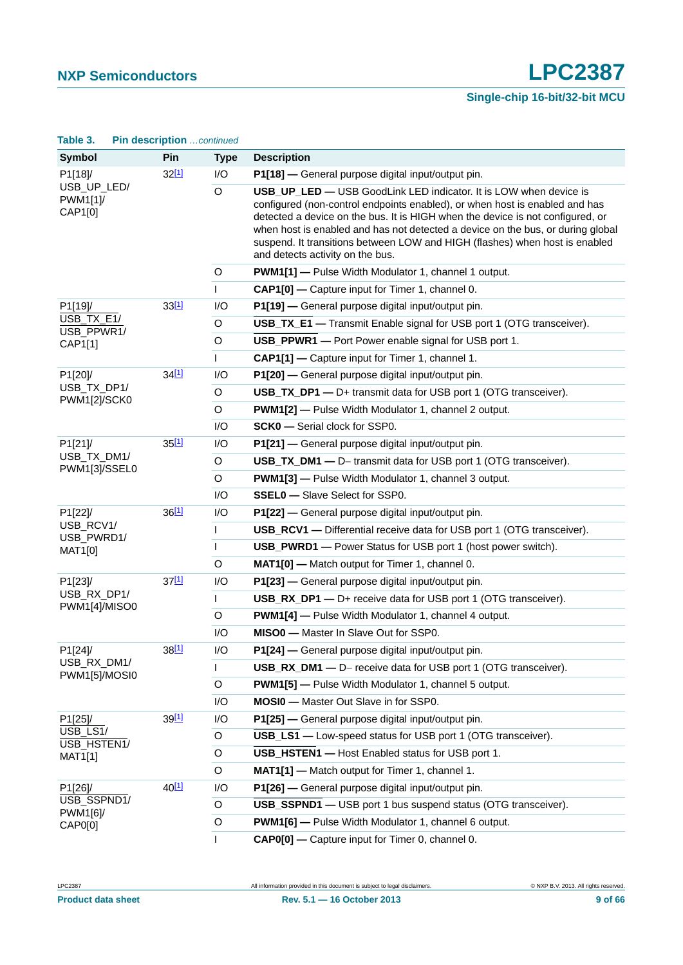# **Single-chip 16-bit/32-bit MCU**

| <b>Symbol</b>                      | Pin               | <b>Type</b>  | <b>Description</b>                                                                                                                                                                                                                                                                                                                                                                                                                       |
|------------------------------------|-------------------|--------------|------------------------------------------------------------------------------------------------------------------------------------------------------------------------------------------------------------------------------------------------------------------------------------------------------------------------------------------------------------------------------------------------------------------------------------------|
| P1[18]/                            | $32^{[1]}$        | I/O          | P1[18] - General purpose digital input/output pin.                                                                                                                                                                                                                                                                                                                                                                                       |
| USB_UP_LED/<br>PWM1[1]/<br>CAP1[0] |                   | O            | USB_UP_LED - USB GoodLink LED indicator. It is LOW when device is<br>configured (non-control endpoints enabled), or when host is enabled and has<br>detected a device on the bus. It is HIGH when the device is not configured, or<br>when host is enabled and has not detected a device on the bus, or during global<br>suspend. It transitions between LOW and HIGH (flashes) when host is enabled<br>and detects activity on the bus. |
|                                    |                   | $\mathsf O$  | <b>PWM1[1]</b> - Pulse Width Modulator 1, channel 1 output.                                                                                                                                                                                                                                                                                                                                                                              |
|                                    |                   | L            | CAP1[0] - Capture input for Timer 1, channel 0.                                                                                                                                                                                                                                                                                                                                                                                          |
| P1[19]/                            | 33[1]             | I/O          | P1[19] - General purpose digital input/output pin.                                                                                                                                                                                                                                                                                                                                                                                       |
| USB_TX_E1/<br>USB_PPWR1/           |                   | O            | <b>USB_TX_E1</b> — Transmit Enable signal for USB port 1 (OTG transceiver).                                                                                                                                                                                                                                                                                                                                                              |
| CAP1[1]                            |                   | $\circ$      | USB_PPWR1 - Port Power enable signal for USB port 1.                                                                                                                                                                                                                                                                                                                                                                                     |
|                                    |                   | $\mathsf{I}$ | CAP1[1] - Capture input for Timer 1, channel 1.                                                                                                                                                                                                                                                                                                                                                                                          |
| P1[20]/                            | 34 <sup>[1]</sup> | I/O          | P1[20] - General purpose digital input/output pin.                                                                                                                                                                                                                                                                                                                                                                                       |
| USB_TX_DP1/<br>PWM1[2]/SCK0        |                   | O            | USB_TX_DP1 - D+ transmit data for USB port 1 (OTG transceiver).                                                                                                                                                                                                                                                                                                                                                                          |
|                                    |                   | $\mathsf O$  | <b>PWM1[2]</b> - Pulse Width Modulator 1, channel 2 output.                                                                                                                                                                                                                                                                                                                                                                              |
|                                    |                   | I/O          | <b>SCK0</b> - Serial clock for SSP0.                                                                                                                                                                                                                                                                                                                                                                                                     |
| P1[21]/                            | $35^{[1]}$        | I/O          | P1[21] - General purpose digital input/output pin.                                                                                                                                                                                                                                                                                                                                                                                       |
| USB_TX_DM1/<br>PWM1[3]/SSEL0       |                   | O            | <b>USB_TX_DM1 -- D-</b> transmit data for USB port 1 (OTG transceiver).                                                                                                                                                                                                                                                                                                                                                                  |
|                                    |                   | $\mathsf O$  | <b>PWM1[3]</b> - Pulse Width Modulator 1, channel 3 output.                                                                                                                                                                                                                                                                                                                                                                              |
|                                    |                   | I/O          | <b>SSEL0</b> - Slave Select for SSP0.                                                                                                                                                                                                                                                                                                                                                                                                    |
| P1[22]/                            | 36[1]             | I/O          | P1[22] - General purpose digital input/output pin.                                                                                                                                                                                                                                                                                                                                                                                       |
| USB_RCV1/<br>USB_PWRD1/            |                   | L            | <b>USB_RCV1</b> — Differential receive data for USB port 1 (OTG transceiver).                                                                                                                                                                                                                                                                                                                                                            |
| MAT1[0]                            |                   | I            | <b>USB_PWRD1</b> - Power Status for USB port 1 (host power switch).                                                                                                                                                                                                                                                                                                                                                                      |
|                                    |                   | $\circ$      | MAT1[0] - Match output for Timer 1, channel 0.                                                                                                                                                                                                                                                                                                                                                                                           |
| P1[23]/                            | $37^{[1]}$        | I/O          | P1[23] - General purpose digital input/output pin.                                                                                                                                                                                                                                                                                                                                                                                       |
| USB_RX_DP1/<br>PWM1[4]/MISO0       |                   | L            | USB_RX_DP1 - D+ receive data for USB port 1 (OTG transceiver).                                                                                                                                                                                                                                                                                                                                                                           |
|                                    |                   | $\mathsf O$  | <b>PWM1[4]</b> - Pulse Width Modulator 1, channel 4 output.                                                                                                                                                                                                                                                                                                                                                                              |
|                                    |                   | I/O          | MISO0 - Master In Slave Out for SSP0.                                                                                                                                                                                                                                                                                                                                                                                                    |
| P1[24]/                            | 38 <sup>[1]</sup> | I/O          | P1[24] - General purpose digital input/output pin.                                                                                                                                                                                                                                                                                                                                                                                       |
| USB_RX_DM1/<br>PWM1[5]/MOSI0       |                   |              | USB_RX_DM1 - D- receive data for USB port 1 (OTG transceiver).                                                                                                                                                                                                                                                                                                                                                                           |
|                                    |                   | $\mathsf O$  | <b>PWM1[5]</b> - Pulse Width Modulator 1, channel 5 output.                                                                                                                                                                                                                                                                                                                                                                              |
|                                    |                   | I/O          | MOSI0 - Master Out Slave in for SSP0.                                                                                                                                                                                                                                                                                                                                                                                                    |
| P1[25]/                            | 39[1]             | I/O          | P1[25] - General purpose digital input/output pin.                                                                                                                                                                                                                                                                                                                                                                                       |
| USB_LS1/<br>USB_HSTEN1/            |                   | O            | <b>USB_LS1</b> — Low-speed status for USB port 1 (OTG transceiver).                                                                                                                                                                                                                                                                                                                                                                      |
| MAT1[1]                            |                   | $\mathsf O$  | USB_HSTEN1 - Host Enabled status for USB port 1.                                                                                                                                                                                                                                                                                                                                                                                         |
|                                    |                   | O            | MAT1[1] - Match output for Timer 1, channel 1.                                                                                                                                                                                                                                                                                                                                                                                           |
| P1[26]/                            | 40[1]             | I/O          | P1[26] - General purpose digital input/output pin.                                                                                                                                                                                                                                                                                                                                                                                       |
| USB_SSPND1/<br>PWM1[6]/            |                   | O            | USB_SSPND1 - USB port 1 bus suspend status (OTG transceiver).                                                                                                                                                                                                                                                                                                                                                                            |
| CAP0[0]                            |                   | $\mathsf O$  | PWM1[6] - Pulse Width Modulator 1, channel 6 output.                                                                                                                                                                                                                                                                                                                                                                                     |
|                                    |                   |              | CAP0[0] - Capture input for Timer 0, channel 0.                                                                                                                                                                                                                                                                                                                                                                                          |

#### **Table 3. Pin description** *…continued*

LPC2387 All information provided in this document is subject to legal disclaimers. © NXP B.V. 2013. All rights reserved.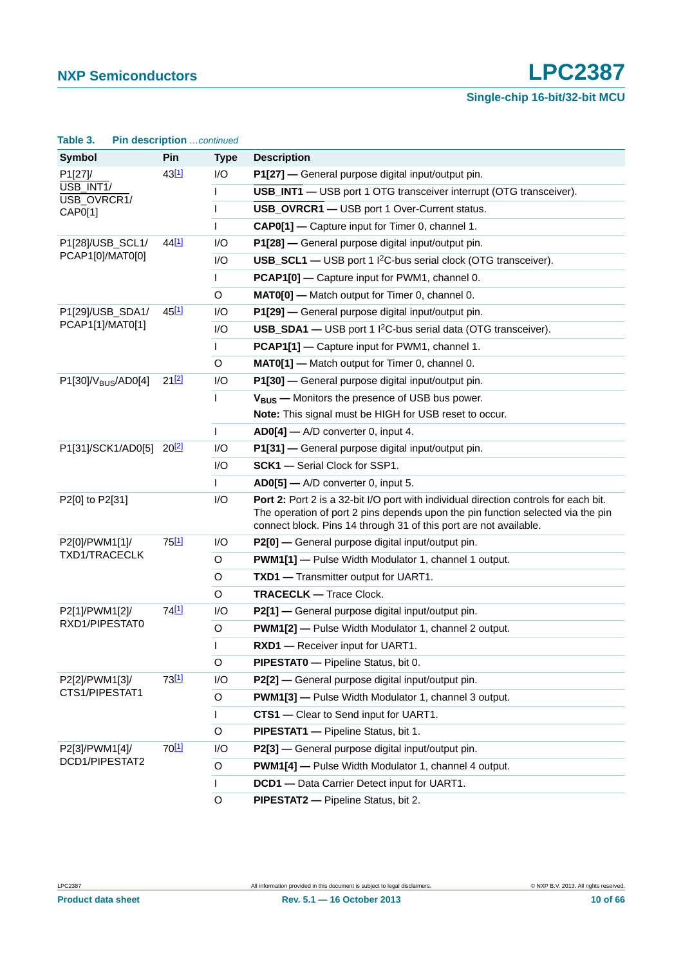**Single-chip 16-bit/32-bit MCU**

| <b>Symbol</b>                        | Pin               | <b>Type</b>  | <b>Description</b>                                                                                                                                                                                                                           |
|--------------------------------------|-------------------|--------------|----------------------------------------------------------------------------------------------------------------------------------------------------------------------------------------------------------------------------------------------|
| P1[27]/                              | $43^{[1]}$        | I/O          | P1[27] - General purpose digital input/output pin.                                                                                                                                                                                           |
| USB_INT1/<br>USB_OVRCR1/             |                   | T            | USB_INT1 - USB port 1 OTG transceiver interrupt (OTG transceiver).                                                                                                                                                                           |
| CAP0[1]                              |                   | I.           | USB_OVRCR1 - USB port 1 Over-Current status.                                                                                                                                                                                                 |
|                                      |                   | $\mathbf{I}$ | CAP0[1] - Capture input for Timer 0, channel 1.                                                                                                                                                                                              |
| P1[28]/USB_SCL1/                     | 44 <sup>[1]</sup> | I/O          | P1[28] - General purpose digital input/output pin.                                                                                                                                                                                           |
| PCAP1[0]/MAT0[0]                     |                   | I/O          | <b>USB_SCL1</b> — USB port 1 I <sup>2</sup> C-bus serial clock (OTG transceiver).                                                                                                                                                            |
|                                      |                   | $\mathbf{I}$ | PCAP1[0] - Capture input for PWM1, channel 0.                                                                                                                                                                                                |
|                                      |                   | $\circ$      | MATO[0] - Match output for Timer 0, channel 0.                                                                                                                                                                                               |
| P1[29]/USB_SDA1/                     | 45[1]             | I/O          | P1[29] - General purpose digital input/output pin.                                                                                                                                                                                           |
| PCAP1[1]/MAT0[1]                     |                   | I/O          | USB_SDA1 - USB port 1 I <sup>2</sup> C-bus serial data (OTG transceiver).                                                                                                                                                                    |
|                                      |                   |              | PCAP1[1] - Capture input for PWM1, channel 1.                                                                                                                                                                                                |
|                                      |                   | $\circ$      | MAT0[1] - Match output for Timer 0, channel 0.                                                                                                                                                                                               |
| P1[30]/V <sub>BUS</sub> /AD0[4]      | 212               | I/O          | P1[30] - General purpose digital input/output pin.                                                                                                                                                                                           |
|                                      |                   | $\mathbf{I}$ | V <sub>BUS</sub> - Monitors the presence of USB bus power.                                                                                                                                                                                   |
|                                      |                   |              | Note: This signal must be HIGH for USB reset to occur.                                                                                                                                                                                       |
|                                      |                   | $\mathbf{I}$ | $AD0[4]$ - A/D converter 0, input 4.                                                                                                                                                                                                         |
| P1[31]/SCK1/AD0[5] 20 <sup>[2]</sup> |                   | I/O          | P1[31] - General purpose digital input/output pin.                                                                                                                                                                                           |
|                                      |                   | I/O          | <b>SCK1</b> - Serial Clock for SSP1.                                                                                                                                                                                                         |
|                                      |                   |              | $AD0[5]$ — A/D converter 0, input 5.                                                                                                                                                                                                         |
| P2[0] to P2[31]                      |                   | I/O          | Port 2: Port 2 is a 32-bit I/O port with individual direction controls for each bit.<br>The operation of port 2 pins depends upon the pin function selected via the pin<br>connect block. Pins 14 through 31 of this port are not available. |
| P2[0]/PWM1[1]/                       | 75[1]             | I/O          | P2[0] - General purpose digital input/output pin.                                                                                                                                                                                            |
| TXD1/TRACECLK                        |                   | O            | <b>PWM1[1]</b> - Pulse Width Modulator 1, channel 1 output.                                                                                                                                                                                  |
|                                      |                   | $\circ$      | TXD1 - Transmitter output for UART1.                                                                                                                                                                                                         |
|                                      |                   | O            | <b>TRACECLK - Trace Clock.</b>                                                                                                                                                                                                               |
| P2[1]/PWM1[2]/                       | 74[1]             | I/O          | P2[1] - General purpose digital input/output pin.                                                                                                                                                                                            |
| RXD1/PIPESTAT0                       |                   | $\circ$      | <b>PWM1[2]</b> - Pulse Width Modulator 1, channel 2 output.                                                                                                                                                                                  |
|                                      |                   | L            | RXD1 - Receiver input for UART1.                                                                                                                                                                                                             |
|                                      |                   | $\circ$      | PIPESTATO - Pipeline Status, bit 0.                                                                                                                                                                                                          |
| P2[2]/PWM1[3]/                       | 73[1]             | I/O          | P2[2] - General purpose digital input/output pin.                                                                                                                                                                                            |
| CTS1/PIPESTAT1                       |                   | $\mathsf O$  | <b>PWM1[3]</b> - Pulse Width Modulator 1, channel 3 output.                                                                                                                                                                                  |
|                                      |                   | T            | CTS1 - Clear to Send input for UART1.                                                                                                                                                                                                        |
|                                      |                   | $\circ$      | PIPESTAT1 - Pipeline Status, bit 1.                                                                                                                                                                                                          |
| P2[3]/PWM1[4]/                       | 70[1]             | I/O          | P2[3] - General purpose digital input/output pin.                                                                                                                                                                                            |
| DCD1/PIPESTAT2                       |                   | O            | <b>PWM1[4]</b> - Pulse Width Modulator 1, channel 4 output.                                                                                                                                                                                  |
|                                      |                   | L            | DCD1 - Data Carrier Detect input for UART1.                                                                                                                                                                                                  |
|                                      |                   | $\circ$      | PIPESTAT2 - Pipeline Status, bit 2.                                                                                                                                                                                                          |

#### **Table 3. Pin description** *…continued*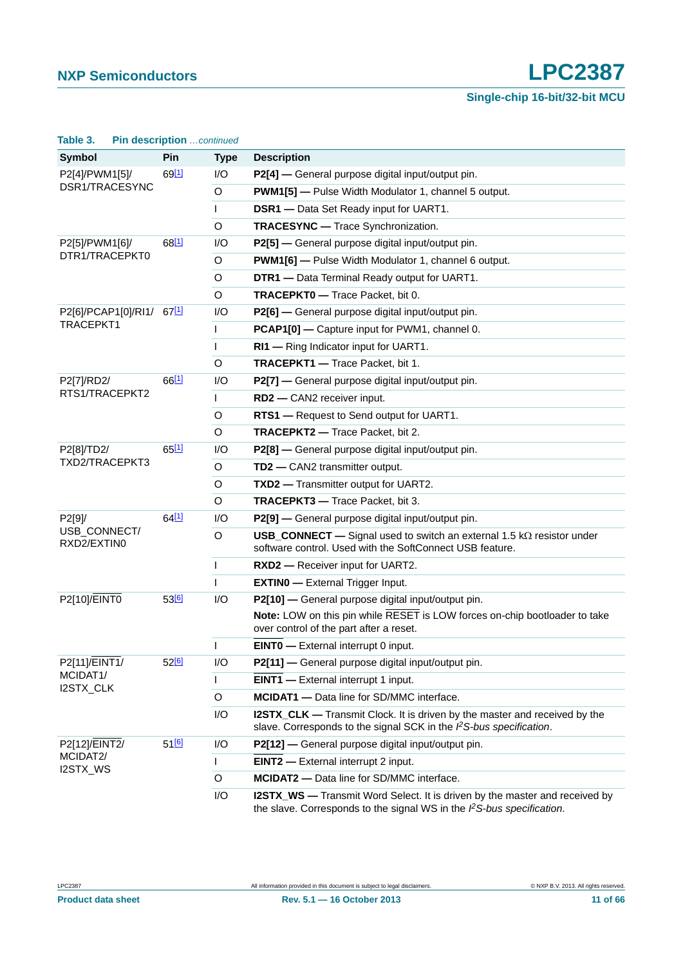| Table 3.                    | Pin description continued |              |                                                                                                                                                                 |
|-----------------------------|---------------------------|--------------|-----------------------------------------------------------------------------------------------------------------------------------------------------------------|
| <b>Symbol</b>               | Pin                       | <b>Type</b>  | <b>Description</b>                                                                                                                                              |
| P2[4]/PWM1[5]/              | $69$ <sup>[1]</sup>       | I/O          | P2[4] — General purpose digital input/output pin.                                                                                                               |
| DSR1/TRACESYNC              |                           | $\mathsf O$  | <b>PWM1[5]</b> - Pulse Width Modulator 1, channel 5 output.                                                                                                     |
|                             |                           | $\mathbf{I}$ | <b>DSR1</b> — Data Set Ready input for UART1.                                                                                                                   |
|                             |                           | $\circ$      | <b>TRACESYNC</b> - Trace Synchronization.                                                                                                                       |
| P2[5]/PWM1[6]/              | 68[1]                     | I/O          | P2[5] - General purpose digital input/output pin.                                                                                                               |
| DTR1/TRACEPKT0              |                           | $\mathsf O$  | <b>PWM1[6]</b> - Pulse Width Modulator 1, channel 6 output.                                                                                                     |
|                             |                           | O            | DTR1 - Data Terminal Ready output for UART1.                                                                                                                    |
|                             |                           | $\circ$      | TRACEPKT0 - Trace Packet, bit 0.                                                                                                                                |
| P2[6]/PCAP1[0]/RI1/ 67[1]   |                           | I/O          | P2[6] - General purpose digital input/output pin.                                                                                                               |
| TRACEPKT1                   |                           | T            | PCAP1[0] - Capture input for PWM1, channel 0.                                                                                                                   |
|                             |                           | L            | RI1 - Ring Indicator input for UART1.                                                                                                                           |
|                             |                           | $\circ$      | TRACEPKT1 - Trace Packet, bit 1.                                                                                                                                |
| P2[7]/RD2/                  | 66[1]                     | I/O          | P2[7] - General purpose digital input/output pin.                                                                                                               |
| RTS1/TRACEPKT2              |                           | L            | RD2 - CAN2 receiver input.                                                                                                                                      |
|                             |                           | O            | RTS1 - Request to Send output for UART1.                                                                                                                        |
|                             |                           | $\circ$      | TRACEPKT2 - Trace Packet, bit 2.                                                                                                                                |
| P2[8]/TD2/                  | 65[1]                     | I/O          | P2[8] - General purpose digital input/output pin.                                                                                                               |
| TXD2/TRACEPKT3              |                           | $\mathsf O$  | TD2 - CAN2 transmitter output.                                                                                                                                  |
|                             |                           | O            | <b>TXD2</b> — Transmitter output for UART2.                                                                                                                     |
|                             |                           | $\circ$      | TRACEPKT3 - Trace Packet, bit 3.                                                                                                                                |
| P2[9]/                      | 64[1]                     | I/O          | P2[9] - General purpose digital input/output pin.                                                                                                               |
| USB_CONNECT/<br>RXD2/EXTIN0 |                           | O            | <b>USB_CONNECT</b> — Signal used to switch an external 1.5 $k\Omega$ resistor under<br>software control. Used with the SoftConnect USB feature.                 |
|                             |                           | T            | RXD2 - Receiver input for UART2.                                                                                                                                |
|                             |                           | $\mathsf{L}$ | <b>EXTINO</b> - External Trigger Input.                                                                                                                         |
| P2[10]/EINT0                | 53[6]                     | I/O          | P2[10] - General purpose digital input/output pin.                                                                                                              |
|                             |                           |              | Note: LOW on this pin while RESET is LOW forces on-chip bootloader to take<br>over control of the part after a reset.                                           |
|                             |                           | T            | <b>EINTO</b> - External interrupt 0 input.                                                                                                                      |
| P2[11]/EINT1/               | 52[6]                     | I/O          | P2[11] - General purpose digital input/output pin.                                                                                                              |
| MCIDAT1/<br>I2STX_CLK       |                           | $\mathsf{L}$ | <b>EINT1</b> - External interrupt 1 input.                                                                                                                      |
|                             |                           | $\circ$      | <b>MCIDAT1</b> - Data line for SD/MMC interface.                                                                                                                |
|                             |                           | I/O          | <b>I2STX_CLK</b> — Transmit Clock. It is driven by the master and received by the<br>slave. Corresponds to the signal SCK in the $l2S-bus$ specification.       |
| P2[12]/EINT2/               | $51^{6}$                  | I/O          | P2[12] - General purpose digital input/output pin.                                                                                                              |
| MCIDAT2/<br>I2STX_WS        |                           | $\mathsf{I}$ | <b>EINT2</b> - External interrupt 2 input.                                                                                                                      |
|                             |                           | $\circ$      | <b>MCIDAT2</b> - Data line for SD/MMC interface.                                                                                                                |
|                             |                           | I/O          | <b>I2STX_WS</b> — Transmit Word Select. It is driven by the master and received by<br>the slave. Corresponds to the signal WS in the $l^2S$ -bus specification. |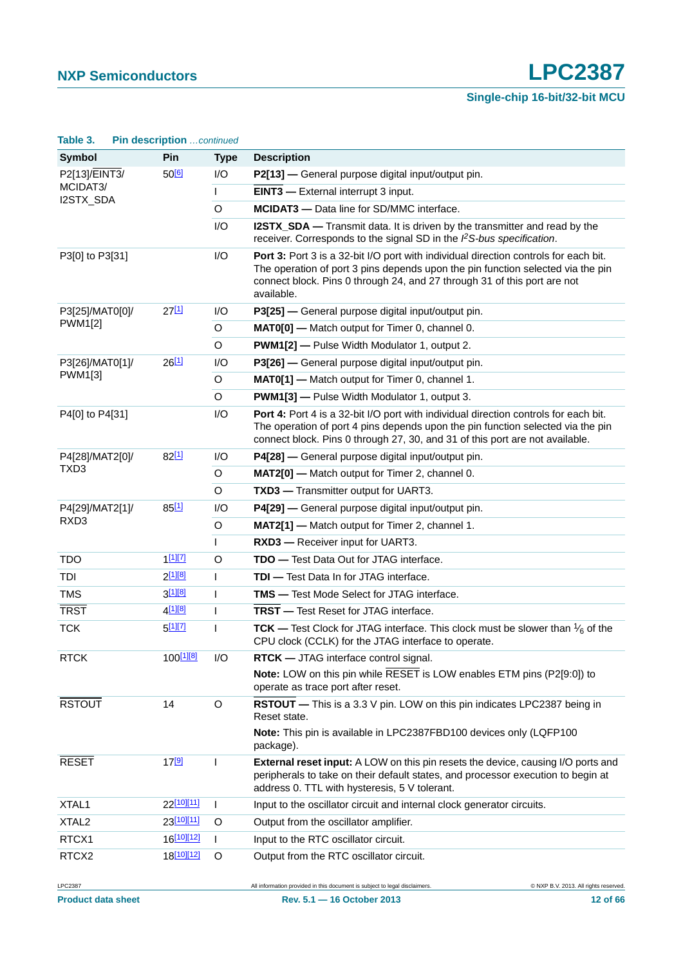| Table 3.              | Pin description continued |             |                                                                                                                                                                                                                                                                   |
|-----------------------|---------------------------|-------------|-------------------------------------------------------------------------------------------------------------------------------------------------------------------------------------------------------------------------------------------------------------------|
| <b>Symbol</b>         | Pin                       | <b>Type</b> | <b>Description</b>                                                                                                                                                                                                                                                |
| P2[13]/EINT3/         | $50^{[6]}$                | I/O         | P2[13] - General purpose digital input/output pin.                                                                                                                                                                                                                |
| MCIDAT3/<br>I2STX_SDA |                           | L           | <b>EINT3</b> - External interrupt 3 input.                                                                                                                                                                                                                        |
|                       |                           | $\circ$     | <b>MCIDAT3</b> - Data line for SD/MMC interface.                                                                                                                                                                                                                  |
|                       |                           | I/O         | <b>I2STX_SDA</b> — Transmit data. It is driven by the transmitter and read by the<br>receiver. Corresponds to the signal SD in the PS-bus specification.                                                                                                          |
| P3[0] to P3[31]       |                           | I/O         | Port 3: Port 3 is a 32-bit I/O port with individual direction controls for each bit.<br>The operation of port 3 pins depends upon the pin function selected via the pin<br>connect block. Pins 0 through 24, and 27 through 31 of this port are not<br>available. |
| P3[25]/MAT0[0]/       | $27^{[1]}$                | I/O         | P3[25] - General purpose digital input/output pin.                                                                                                                                                                                                                |
| PWM1[2]               |                           | O           | MAT0[0] - Match output for Timer 0, channel 0.                                                                                                                                                                                                                    |
|                       |                           | $\circ$     | PWM1[2] - Pulse Width Modulator 1, output 2.                                                                                                                                                                                                                      |
| P3[26]/MAT0[1]/       | 26[1]                     | I/O         | P3[26] - General purpose digital input/output pin.                                                                                                                                                                                                                |
| PWM1[3]               |                           | O           | MAT0[1] - Match output for Timer 0, channel 1.                                                                                                                                                                                                                    |
|                       |                           | O           | <b>PWM1[3]</b> - Pulse Width Modulator 1, output 3.                                                                                                                                                                                                               |
| P4[0] to P4[31]       |                           | I/O         | Port 4: Port 4 is a 32-bit I/O port with individual direction controls for each bit.<br>The operation of port 4 pins depends upon the pin function selected via the pin<br>connect block. Pins 0 through 27, 30, and 31 of this port are not available.           |
| P4[28]/MAT2[0]/       | 82[1]                     | I/O         | P4[28] - General purpose digital input/output pin.                                                                                                                                                                                                                |
| TXD3                  |                           | $\circ$     | MAT2[0] - Match output for Timer 2, channel 0.                                                                                                                                                                                                                    |
|                       |                           | O           | TXD3 - Transmitter output for UART3.                                                                                                                                                                                                                              |
| P4[29]/MAT2[1]/       | 85[1]                     | I/O         | P4[29] - General purpose digital input/output pin.                                                                                                                                                                                                                |
| RXD <sub>3</sub>      |                           | O           | MAT2[1] - Match output for Timer 2, channel 1.                                                                                                                                                                                                                    |
|                       |                           | L           | RXD3 - Receiver input for UART3.                                                                                                                                                                                                                                  |
| <b>TDO</b>            | $1^{[1][7]}$              | $\circ$     | <b>TDO</b> - Test Data Out for JTAG interface.                                                                                                                                                                                                                    |
| TDI                   | $2^{[1][8]}$              | L           | <b>TDI</b> - Test Data In for JTAG interface.                                                                                                                                                                                                                     |
| <b>TMS</b>            | 3[1][8]                   | L           | <b>TMS</b> - Test Mode Select for JTAG interface.                                                                                                                                                                                                                 |
| <b>TRST</b>           | 4 <sup>[1][8]</sup>       | T           | <b>TRST</b> - Test Reset for JTAG interface.                                                                                                                                                                                                                      |
| <b>TCK</b>            | 5[1][7]                   | ı           | TCK — Test Clock for JTAG interface. This clock must be slower than $\frac{1}{6}$ of the<br>CPU clock (CCLK) for the JTAG interface to operate.                                                                                                                   |
| <b>RTCK</b>           | 100 <sup>[1][8]</sup>     | I/O         | <b>RTCK</b> - JTAG interface control signal.                                                                                                                                                                                                                      |
|                       |                           |             | Note: LOW on this pin while RESET is LOW enables ETM pins (P2[9:0]) to<br>operate as trace port after reset.                                                                                                                                                      |
| <b>RSTOUT</b>         | 14                        | O           | RSTOUT - This is a 3.3 V pin. LOW on this pin indicates LPC2387 being in<br>Reset state.                                                                                                                                                                          |
|                       |                           |             | Note: This pin is available in LPC2387FBD100 devices only (LQFP100<br>package).                                                                                                                                                                                   |
| <b>RESET</b>          | 17[9]                     | T           | <b>External reset input:</b> A LOW on this pin resets the device, causing I/O ports and<br>peripherals to take on their default states, and processor execution to begin at<br>address 0. TTL with hysteresis, 5 V tolerant.                                      |
| XTAL1                 | 22[10][11]                | L           | Input to the oscillator circuit and internal clock generator circuits.                                                                                                                                                                                            |
| XTAL <sub>2</sub>     | 23[10][11]                | O           | Output from the oscillator amplifier.                                                                                                                                                                                                                             |
| RTCX1                 | 16[10][12]                | L           | Input to the RTC oscillator circuit.                                                                                                                                                                                                                              |
| RTCX2                 | 18 <sup>[10][12]</sup>    | O           | Output from the RTC oscillator circuit.                                                                                                                                                                                                                           |
| LPC2387               |                           |             | C NXP B.V. 2013. All rights reserved.<br>All information provided in this document is subject to legal disclaimers.                                                                                                                                               |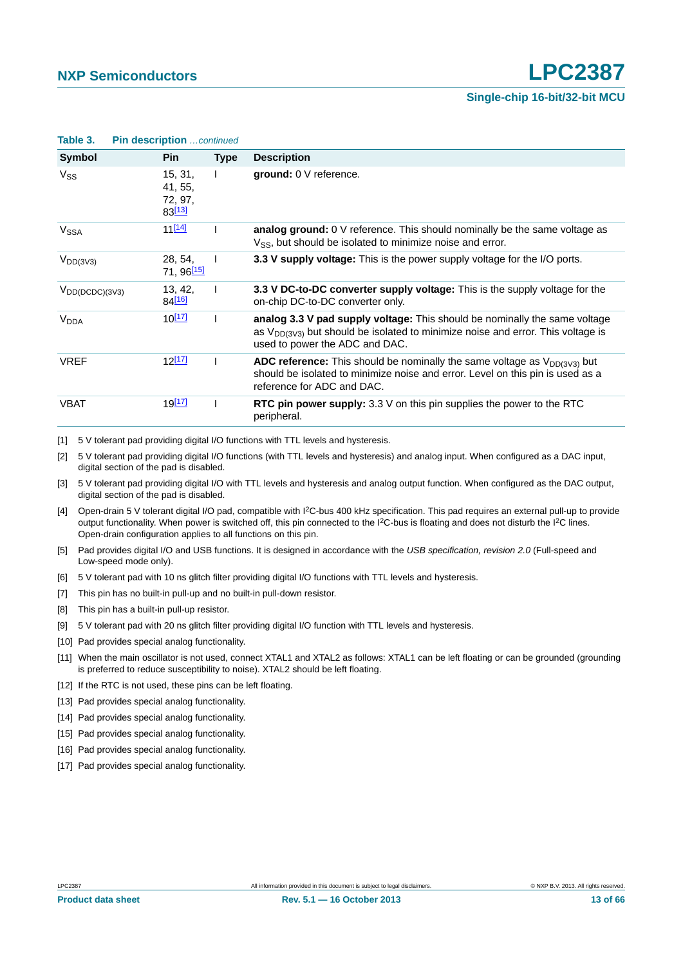| Symbol                  | <b>Pin</b>                              | <b>Type</b>  | <b>Description</b>                                                                                                                                                                                   |
|-------------------------|-----------------------------------------|--------------|------------------------------------------------------------------------------------------------------------------------------------------------------------------------------------------------------|
| $V_{SS}$                | 15, 31,<br>41, 55,<br>72, 97,<br>83[13] | $\mathbf{I}$ | ground: 0 V reference.                                                                                                                                                                               |
| V <sub>SSA</sub>        | 11 <sup>[14]</sup>                      |              | analog ground: $0 \vee$ reference. This should nominally be the same voltage as<br>$V_{SS}$ , but should be isolated to minimize noise and error.                                                    |
| $V_{DD(3V3)}$           | 28, 54,<br>71, 96 <sup>[15]</sup>       |              | 3.3 V supply voltage: This is the power supply voltage for the I/O ports.                                                                                                                            |
| $V_{DD(DCDC)(3V3)}$     | 13, 42,<br>84 <sup>[16]</sup>           | $\mathbf{I}$ | 3.3 V DC-to-DC converter supply voltage: This is the supply voltage for the<br>on-chip DC-to-DC converter only.                                                                                      |
| <b>V</b> <sub>DDA</sub> | $10^{[17]}$                             |              | analog 3.3 V pad supply voltage: This should be nominally the same voltage<br>as $V_{DD(3V3)}$ but should be isolated to minimize noise and error. This voltage is<br>used to power the ADC and DAC. |
| <b>VREF</b>             | $12^{[17]}$                             |              | <b>ADC reference:</b> This should be nominally the same voltage as $V_{DD(3V3)}$ but<br>should be isolated to minimize noise and error. Level on this pin is used as a<br>reference for ADC and DAC. |
| <b>VBAT</b>             | <u>19[17]</u>                           |              | <b>RTC pin power supply:</b> 3.3 $\vee$ on this pin supplies the power to the RTC<br>peripheral.                                                                                                     |

**Table 3. Pin description** continued

<span id="page-12-0"></span>[1] 5 V tolerant pad providing digital I/O functions with TTL levels and hysteresis.

<span id="page-12-1"></span>[2] 5 V tolerant pad providing digital I/O functions (with TTL levels and hysteresis) and analog input. When configured as a DAC input, digital section of the pad is disabled.

<span id="page-12-2"></span>[3] 5 V tolerant pad providing digital I/O with TTL levels and hysteresis and analog output function. When configured as the DAC output, digital section of the pad is disabled.

<span id="page-12-3"></span>[4] Open-drain 5 V tolerant digital I/O pad, compatible with I2C-bus 400 kHz specification. This pad requires an external pull-up to provide output functionality. When power is switched off, this pin connected to the I<sup>2</sup>C-bus is floating and does not disturb the I<sup>2</sup>C lines. Open-drain configuration applies to all functions on this pin.

- <span id="page-12-4"></span>[5] Pad provides digital I/O and USB functions. It is designed in accordance with the *USB specification, revision 2.0* (Full-speed and Low-speed mode only).
- <span id="page-12-5"></span>[6] 5 V tolerant pad with 10 ns glitch filter providing digital I/O functions with TTL levels and hysteresis.
- <span id="page-12-6"></span>[7] This pin has no built-in pull-up and no built-in pull-down resistor.
- <span id="page-12-7"></span>[8] This pin has a built-in pull-up resistor.
- <span id="page-12-8"></span>[9] 5 V tolerant pad with 20 ns glitch filter providing digital I/O function with TTL levels and hysteresis.
- <span id="page-12-9"></span>[10] Pad provides special analog functionality.
- <span id="page-12-10"></span>[11] When the main oscillator is not used, connect XTAL1 and XTAL2 as follows: XTAL1 can be left floating or can be grounded (grounding is preferred to reduce susceptibility to noise). XTAL2 should be left floating.
- <span id="page-12-11"></span>[12] If the RTC is not used, these pins can be left floating.
- <span id="page-12-12"></span>[13] Pad provides special analog functionality.
- <span id="page-12-13"></span>[14] Pad provides special analog functionality.
- <span id="page-12-14"></span>[15] Pad provides special analog functionality.
- <span id="page-12-15"></span>[16] Pad provides special analog functionality.
- <span id="page-12-16"></span>[17] Pad provides special analog functionality.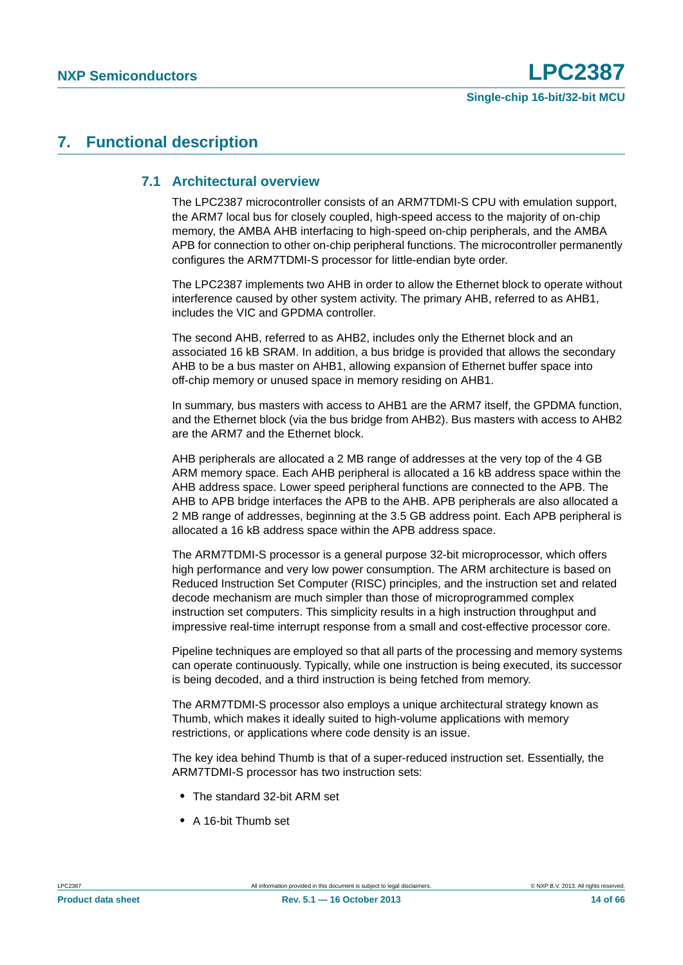# <span id="page-13-1"></span><span id="page-13-0"></span>**7. Functional description**

#### **7.1 Architectural overview**

The LPC2387 microcontroller consists of an ARM7TDMI-S CPU with emulation support, the ARM7 local bus for closely coupled, high-speed access to the majority of on-chip memory, the AMBA AHB interfacing to high-speed on-chip peripherals, and the AMBA APB for connection to other on-chip peripheral functions. The microcontroller permanently configures the ARM7TDMI-S processor for little-endian byte order.

The LPC2387 implements two AHB in order to allow the Ethernet block to operate without interference caused by other system activity. The primary AHB, referred to as AHB1, includes the VIC and GPDMA controller.

The second AHB, referred to as AHB2, includes only the Ethernet block and an associated 16 kB SRAM. In addition, a bus bridge is provided that allows the secondary AHB to be a bus master on AHB1, allowing expansion of Ethernet buffer space into off-chip memory or unused space in memory residing on AHB1.

In summary, bus masters with access to AHB1 are the ARM7 itself, the GPDMA function, and the Ethernet block (via the bus bridge from AHB2). Bus masters with access to AHB2 are the ARM7 and the Ethernet block.

AHB peripherals are allocated a 2 MB range of addresses at the very top of the 4 GB ARM memory space. Each AHB peripheral is allocated a 16 kB address space within the AHB address space. Lower speed peripheral functions are connected to the APB. The AHB to APB bridge interfaces the APB to the AHB. APB peripherals are also allocated a 2 MB range of addresses, beginning at the 3.5 GB address point. Each APB peripheral is allocated a 16 kB address space within the APB address space.

The ARM7TDMI-S processor is a general purpose 32-bit microprocessor, which offers high performance and very low power consumption. The ARM architecture is based on Reduced Instruction Set Computer (RISC) principles, and the instruction set and related decode mechanism are much simpler than those of microprogrammed complex instruction set computers. This simplicity results in a high instruction throughput and impressive real-time interrupt response from a small and cost-effective processor core.

Pipeline techniques are employed so that all parts of the processing and memory systems can operate continuously. Typically, while one instruction is being executed, its successor is being decoded, and a third instruction is being fetched from memory.

The ARM7TDMI-S processor also employs a unique architectural strategy known as Thumb, which makes it ideally suited to high-volume applications with memory restrictions, or applications where code density is an issue.

The key idea behind Thumb is that of a super-reduced instruction set. Essentially, the ARM7TDMI-S processor has two instruction sets:

- **•** The standard 32-bit ARM set
- **•** A 16-bit Thumb set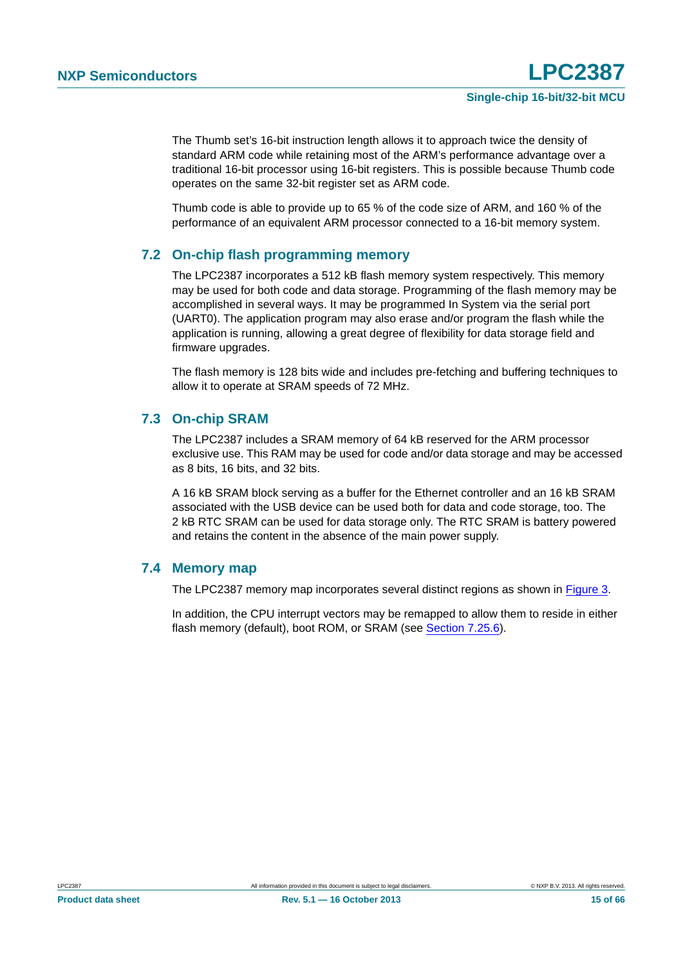The Thumb set's 16-bit instruction length allows it to approach twice the density of standard ARM code while retaining most of the ARM's performance advantage over a traditional 16-bit processor using 16-bit registers. This is possible because Thumb code operates on the same 32-bit register set as ARM code.

Thumb code is able to provide up to 65 % of the code size of ARM, and 160 % of the performance of an equivalent ARM processor connected to a 16-bit memory system.

### <span id="page-14-0"></span>**7.2 On-chip flash programming memory**

The LPC2387 incorporates a 512 kB flash memory system respectively. This memory may be used for both code and data storage. Programming of the flash memory may be accomplished in several ways. It may be programmed In System via the serial port (UART0). The application program may also erase and/or program the flash while the application is running, allowing a great degree of flexibility for data storage field and firmware upgrades.

The flash memory is 128 bits wide and includes pre-fetching and buffering techniques to allow it to operate at SRAM speeds of 72 MHz.

### <span id="page-14-1"></span>**7.3 On-chip SRAM**

The LPC2387 includes a SRAM memory of 64 kB reserved for the ARM processor exclusive use. This RAM may be used for code and/or data storage and may be accessed as 8 bits, 16 bits, and 32 bits.

A 16 kB SRAM block serving as a buffer for the Ethernet controller and an 16 kB SRAM associated with the USB device can be used both for data and code storage, too. The 2 kB RTC SRAM can be used for data storage only. The RTC SRAM is battery powered and retains the content in the absence of the main power supply.

### <span id="page-14-2"></span>**7.4 Memory map**

The LPC2387 memory map incorporates several distinct regions as shown in [Figure 3](#page-15-0).

In addition, the CPU interrupt vectors may be remapped to allow them to reside in either flash memory (default), boot ROM, or SRAM (see [Section 7.25.6\)](#page-32-0).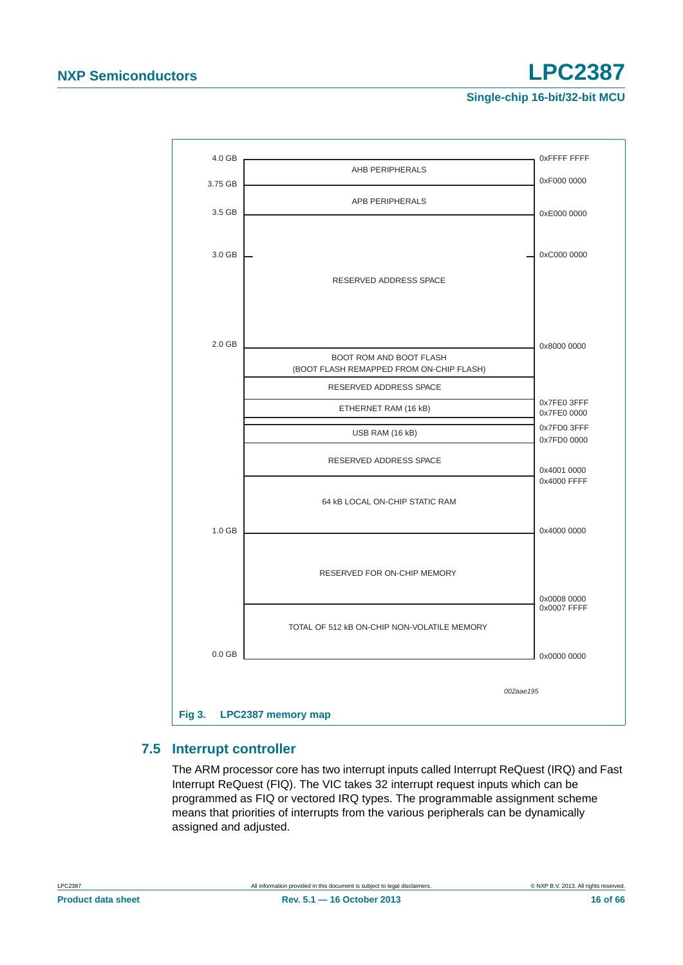

## <span id="page-15-1"></span><span id="page-15-0"></span>**7.5 Interrupt controller**

The ARM processor core has two interrupt inputs called Interrupt ReQuest (IRQ) and Fast Interrupt ReQuest (FIQ). The VIC takes 32 interrupt request inputs which can be programmed as FIQ or vectored IRQ types. The programmable assignment scheme means that priorities of interrupts from the various peripherals can be dynamically assigned and adjusted.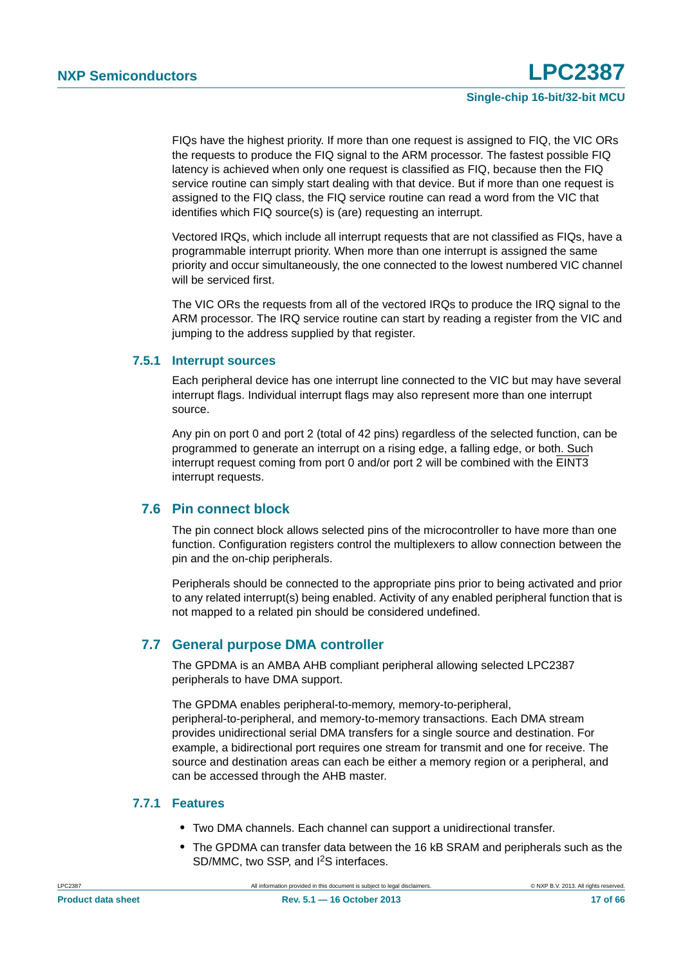FIQs have the highest priority. If more than one request is assigned to FIQ, the VIC ORs the requests to produce the FIQ signal to the ARM processor. The fastest possible FIQ latency is achieved when only one request is classified as FIQ, because then the FIQ service routine can simply start dealing with that device. But if more than one request is assigned to the FIQ class, the FIQ service routine can read a word from the VIC that identifies which FIQ source(s) is (are) requesting an interrupt.

Vectored IRQs, which include all interrupt requests that are not classified as FIQs, have a programmable interrupt priority. When more than one interrupt is assigned the same priority and occur simultaneously, the one connected to the lowest numbered VIC channel will be serviced first.

The VIC ORs the requests from all of the vectored IRQs to produce the IRQ signal to the ARM processor. The IRQ service routine can start by reading a register from the VIC and jumping to the address supplied by that register.

#### <span id="page-16-0"></span>**7.5.1 Interrupt sources**

Each peripheral device has one interrupt line connected to the VIC but may have several interrupt flags. Individual interrupt flags may also represent more than one interrupt source.

Any pin on port 0 and port 2 (total of 42 pins) regardless of the selected function, can be programmed to generate an interrupt on a rising edge, a falling edge, or both. Such interrupt request coming from port 0 and/or port 2 will be combined with the EINT3 interrupt requests.

#### <span id="page-16-1"></span>**7.6 Pin connect block**

The pin connect block allows selected pins of the microcontroller to have more than one function. Configuration registers control the multiplexers to allow connection between the pin and the on-chip peripherals.

Peripherals should be connected to the appropriate pins prior to being activated and prior to any related interrupt(s) being enabled. Activity of any enabled peripheral function that is not mapped to a related pin should be considered undefined.

### <span id="page-16-2"></span>**7.7 General purpose DMA controller**

The GPDMA is an AMBA AHB compliant peripheral allowing selected LPC2387 peripherals to have DMA support.

The GPDMA enables peripheral-to-memory, memory-to-peripheral, peripheral-to-peripheral, and memory-to-memory transactions. Each DMA stream provides unidirectional serial DMA transfers for a single source and destination. For example, a bidirectional port requires one stream for transmit and one for receive. The source and destination areas can each be either a memory region or a peripheral, and can be accessed through the AHB master.

#### <span id="page-16-3"></span>**7.7.1 Features**

- **•** Two DMA channels. Each channel can support a unidirectional transfer.
- **•** The GPDMA can transfer data between the 16 kB SRAM and peripherals such as the SD/MMC, two SSP, and I2S interfaces.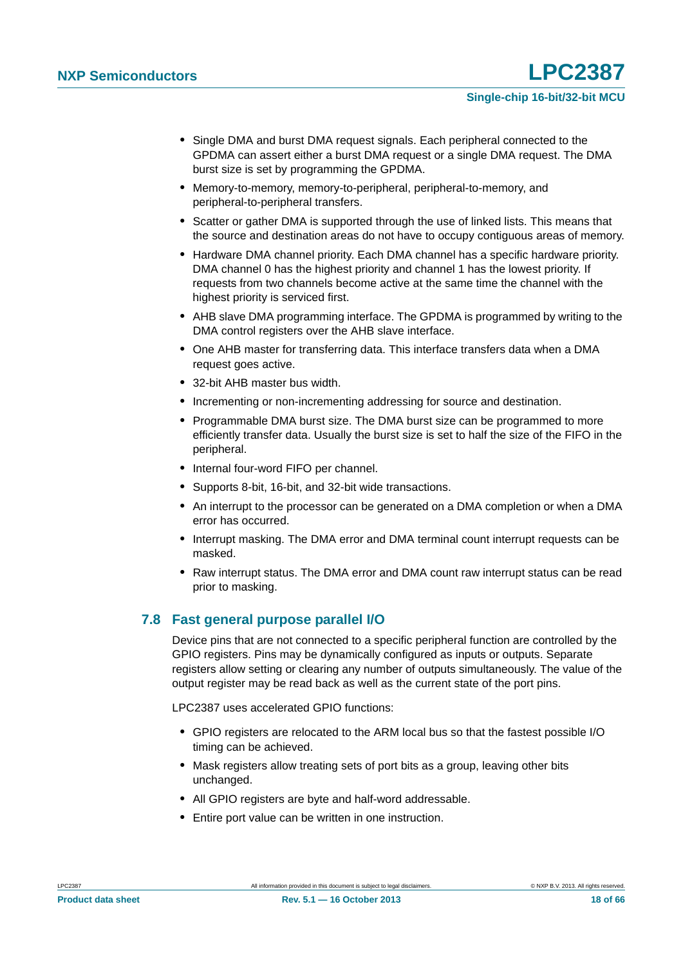- **•** Single DMA and burst DMA request signals. Each peripheral connected to the GPDMA can assert either a burst DMA request or a single DMA request. The DMA burst size is set by programming the GPDMA.
- **•** Memory-to-memory, memory-to-peripheral, peripheral-to-memory, and peripheral-to-peripheral transfers.
- **•** Scatter or gather DMA is supported through the use of linked lists. This means that the source and destination areas do not have to occupy contiguous areas of memory.
- **•** Hardware DMA channel priority. Each DMA channel has a specific hardware priority. DMA channel 0 has the highest priority and channel 1 has the lowest priority. If requests from two channels become active at the same time the channel with the highest priority is serviced first.
- **•** AHB slave DMA programming interface. The GPDMA is programmed by writing to the DMA control registers over the AHB slave interface.
- **•** One AHB master for transferring data. This interface transfers data when a DMA request goes active.
- **•** 32-bit AHB master bus width.
- **•** Incrementing or non-incrementing addressing for source and destination.
- **•** Programmable DMA burst size. The DMA burst size can be programmed to more efficiently transfer data. Usually the burst size is set to half the size of the FIFO in the peripheral.
- **•** Internal four-word FIFO per channel.
- **•** Supports 8-bit, 16-bit, and 32-bit wide transactions.
- **•** An interrupt to the processor can be generated on a DMA completion or when a DMA error has occurred.
- **•** Interrupt masking. The DMA error and DMA terminal count interrupt requests can be masked.
- **•** Raw interrupt status. The DMA error and DMA count raw interrupt status can be read prior to masking.

### <span id="page-17-0"></span>**7.8 Fast general purpose parallel I/O**

Device pins that are not connected to a specific peripheral function are controlled by the GPIO registers. Pins may be dynamically configured as inputs or outputs. Separate registers allow setting or clearing any number of outputs simultaneously. The value of the output register may be read back as well as the current state of the port pins.

LPC2387 uses accelerated GPIO functions:

- **•** GPIO registers are relocated to the ARM local bus so that the fastest possible I/O timing can be achieved.
- **•** Mask registers allow treating sets of port bits as a group, leaving other bits unchanged.
- **•** All GPIO registers are byte and half-word addressable.
- **•** Entire port value can be written in one instruction.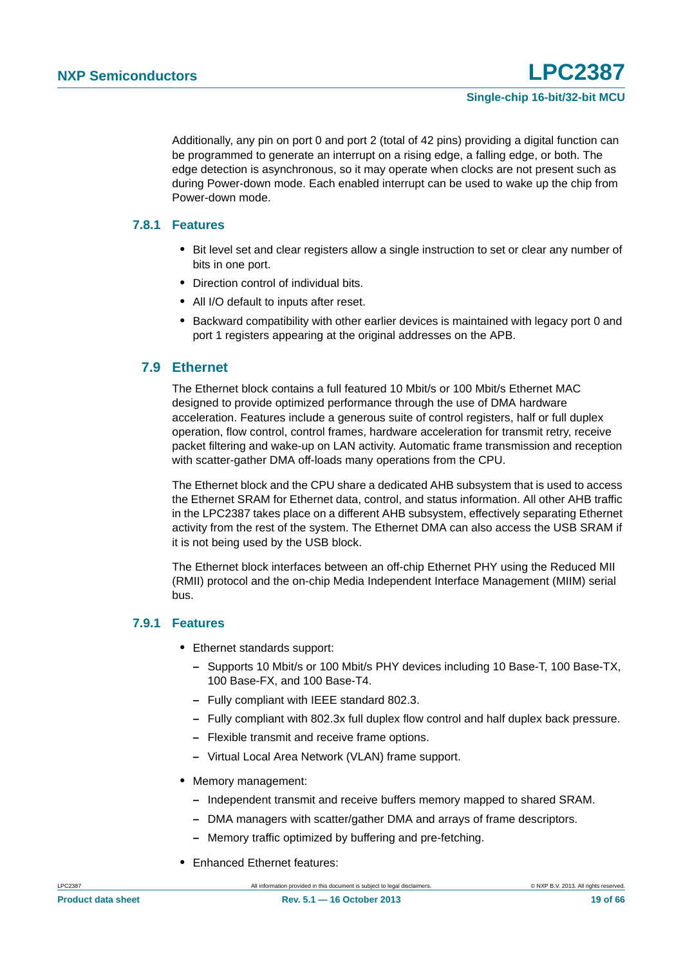Additionally, any pin on port 0 and port 2 (total of 42 pins) providing a digital function can be programmed to generate an interrupt on a rising edge, a falling edge, or both. The edge detection is asynchronous, so it may operate when clocks are not present such as during Power-down mode. Each enabled interrupt can be used to wake up the chip from Power-down mode.

#### <span id="page-18-0"></span>**7.8.1 Features**

- **•** Bit level set and clear registers allow a single instruction to set or clear any number of bits in one port.
- **•** Direction control of individual bits.
- **•** All I/O default to inputs after reset.
- **•** Backward compatibility with other earlier devices is maintained with legacy port 0 and port 1 registers appearing at the original addresses on the APB.

#### <span id="page-18-1"></span>**7.9 Ethernet**

The Ethernet block contains a full featured 10 Mbit/s or 100 Mbit/s Ethernet MAC designed to provide optimized performance through the use of DMA hardware acceleration. Features include a generous suite of control registers, half or full duplex operation, flow control, control frames, hardware acceleration for transmit retry, receive packet filtering and wake-up on LAN activity. Automatic frame transmission and reception with scatter-gather DMA off-loads many operations from the CPU.

The Ethernet block and the CPU share a dedicated AHB subsystem that is used to access the Ethernet SRAM for Ethernet data, control, and status information. All other AHB traffic in the LPC2387 takes place on a different AHB subsystem, effectively separating Ethernet activity from the rest of the system. The Ethernet DMA can also access the USB SRAM if it is not being used by the USB block.

The Ethernet block interfaces between an off-chip Ethernet PHY using the Reduced MII (RMII) protocol and the on-chip Media Independent Interface Management (MIIM) serial bus.

#### <span id="page-18-2"></span>**7.9.1 Features**

- **•** Ethernet standards support:
	- **–** Supports 10 Mbit/s or 100 Mbit/s PHY devices including 10 Base-T, 100 Base-TX, 100 Base-FX, and 100 Base-T4.
	- **–** Fully compliant with IEEE standard 802.3.
	- **–** Fully compliant with 802.3x full duplex flow control and half duplex back pressure.
	- **–** Flexible transmit and receive frame options.
	- **–** Virtual Local Area Network (VLAN) frame support.
- **•** Memory management:
	- **–** Independent transmit and receive buffers memory mapped to shared SRAM.
	- **–** DMA managers with scatter/gather DMA and arrays of frame descriptors.
	- **–** Memory traffic optimized by buffering and pre-fetching.
- **•** Enhanced Ethernet features: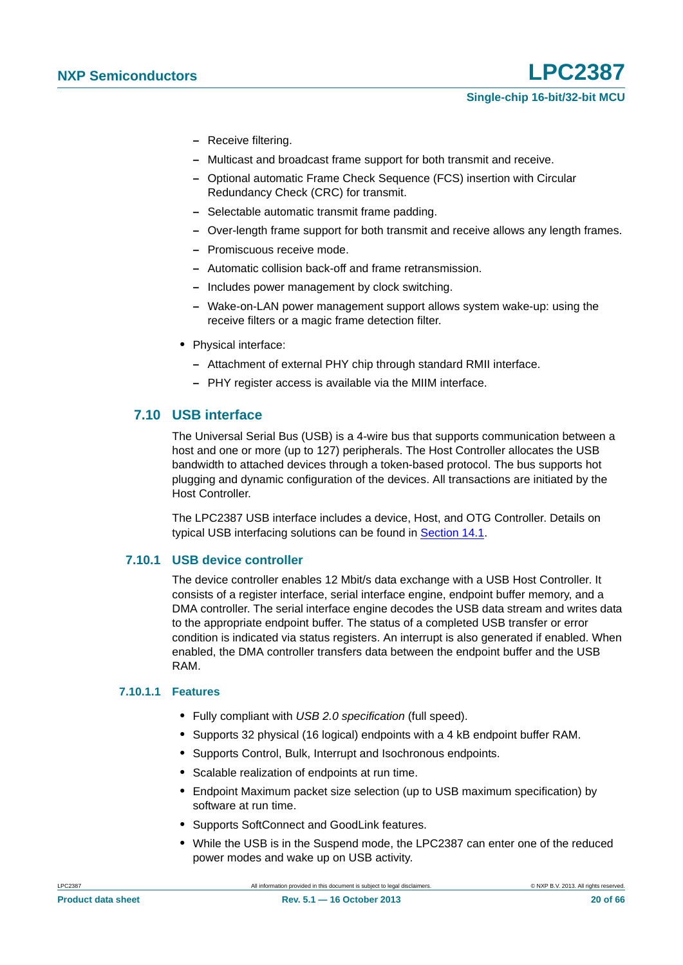- **–** Receive filtering.
- **–** Multicast and broadcast frame support for both transmit and receive.
- **–** Optional automatic Frame Check Sequence (FCS) insertion with Circular Redundancy Check (CRC) for transmit.
- **–** Selectable automatic transmit frame padding.
- **–** Over-length frame support for both transmit and receive allows any length frames.
- **–** Promiscuous receive mode.
- **–** Automatic collision back-off and frame retransmission.
- **–** Includes power management by clock switching.
- **–** Wake-on-LAN power management support allows system wake-up: using the receive filters or a magic frame detection filter.
- **•** Physical interface:
	- **–** Attachment of external PHY chip through standard RMII interface.
	- **–** PHY register access is available via the MIIM interface.

#### <span id="page-19-0"></span>**7.10 USB interface**

The Universal Serial Bus (USB) is a 4-wire bus that supports communication between a host and one or more (up to 127) peripherals. The Host Controller allocates the USB bandwidth to attached devices through a token-based protocol. The bus supports hot plugging and dynamic configuration of the devices. All transactions are initiated by the Host Controller.

The LPC2387 USB interface includes a device, Host, and OTG Controller. Details on typical USB interfacing solutions can be found in [Section 14.1](#page-51-0).

#### <span id="page-19-1"></span>**7.10.1 USB device controller**

The device controller enables 12 Mbit/s data exchange with a USB Host Controller. It consists of a register interface, serial interface engine, endpoint buffer memory, and a DMA controller. The serial interface engine decodes the USB data stream and writes data to the appropriate endpoint buffer. The status of a completed USB transfer or error condition is indicated via status registers. An interrupt is also generated if enabled. When enabled, the DMA controller transfers data between the endpoint buffer and the USB RAM.

#### <span id="page-19-2"></span>**7.10.1.1 Features**

- **•** Fully compliant with *USB 2.0 specification* (full speed).
- **•** Supports 32 physical (16 logical) endpoints with a 4 kB endpoint buffer RAM.
- **•** Supports Control, Bulk, Interrupt and Isochronous endpoints.
- **•** Scalable realization of endpoints at run time.
- **•** Endpoint Maximum packet size selection (up to USB maximum specification) by software at run time.
- **•** Supports SoftConnect and GoodLink features.
- **•** While the USB is in the Suspend mode, the LPC2387 can enter one of the reduced power modes and wake up on USB activity.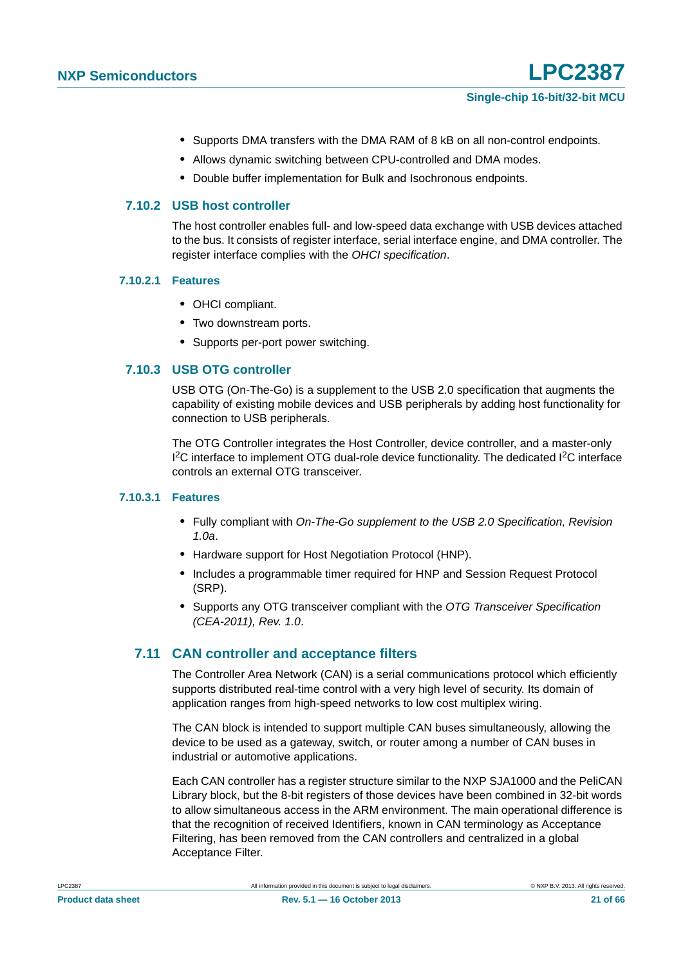- **•** Supports DMA transfers with the DMA RAM of 8 kB on all non-control endpoints.
- **•** Allows dynamic switching between CPU-controlled and DMA modes.
- **•** Double buffer implementation for Bulk and Isochronous endpoints.

#### <span id="page-20-0"></span>**7.10.2 USB host controller**

The host controller enables full- and low-speed data exchange with USB devices attached to the bus. It consists of register interface, serial interface engine, and DMA controller. The register interface complies with the *OHCI specification*.

#### <span id="page-20-1"></span>**7.10.2.1 Features**

- **•** OHCI compliant.
- **•** Two downstream ports.
- **•** Supports per-port power switching.

#### <span id="page-20-2"></span>**7.10.3 USB OTG controller**

USB OTG (On-The-Go) is a supplement to the USB 2.0 specification that augments the capability of existing mobile devices and USB peripherals by adding host functionality for connection to USB peripherals.

The OTG Controller integrates the Host Controller, device controller, and a master-only <sup>12</sup>C interface to implement OTG dual-role device functionality. The dedicated <sup>12</sup>C interface controls an external OTG transceiver.

#### <span id="page-20-3"></span>**7.10.3.1 Features**

- **•** Fully compliant with *On-The-Go supplement to the USB 2.0 Specification, Revision 1.0a*.
- **•** Hardware support for Host Negotiation Protocol (HNP).
- Includes a programmable timer required for HNP and Session Request Protocol (SRP).
- **•** Supports any OTG transceiver compliant with the *OTG Transceiver Specification (CEA-2011), Rev. 1.0*.

#### <span id="page-20-4"></span>**7.11 CAN controller and acceptance filters**

The Controller Area Network (CAN) is a serial communications protocol which efficiently supports distributed real-time control with a very high level of security. Its domain of application ranges from high-speed networks to low cost multiplex wiring.

The CAN block is intended to support multiple CAN buses simultaneously, allowing the device to be used as a gateway, switch, or router among a number of CAN buses in industrial or automotive applications.

Each CAN controller has a register structure similar to the NXP SJA1000 and the PeliCAN Library block, but the 8-bit registers of those devices have been combined in 32-bit words to allow simultaneous access in the ARM environment. The main operational difference is that the recognition of received Identifiers, known in CAN terminology as Acceptance Filtering, has been removed from the CAN controllers and centralized in a global Acceptance Filter.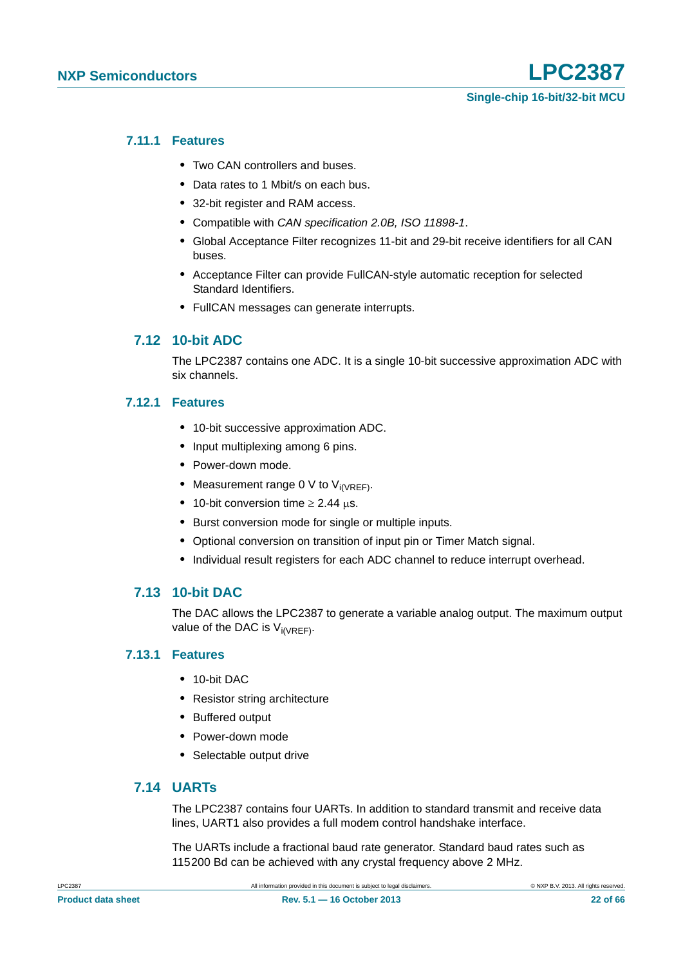#### <span id="page-21-0"></span>**7.11.1 Features**

- **•** Two CAN controllers and buses.
- **•** Data rates to 1 Mbit/s on each bus.
- **•** 32-bit register and RAM access.
- **•** Compatible with *CAN specification 2.0B, ISO 11898-1*.
- **•** Global Acceptance Filter recognizes 11-bit and 29-bit receive identifiers for all CAN buses.
- **•** Acceptance Filter can provide FullCAN-style automatic reception for selected Standard Identifiers.
- **•** FullCAN messages can generate interrupts.

#### <span id="page-21-1"></span>**7.12 10-bit ADC**

The LPC2387 contains one ADC. It is a single 10-bit successive approximation ADC with six channels.

#### <span id="page-21-2"></span>**7.12.1 Features**

- **•** 10-bit successive approximation ADC.
- **•** Input multiplexing among 6 pins.
- **•** Power-down mode.
- Measurement range 0 V to V<sub>i(VRFF)</sub>.
- 10-bit conversion time  $\geq 2.44$   $\mu$ s.
- **•** Burst conversion mode for single or multiple inputs.
- **•** Optional conversion on transition of input pin or Timer Match signal.
- **•** Individual result registers for each ADC channel to reduce interrupt overhead.

#### <span id="page-21-3"></span>**7.13 10-bit DAC**

The DAC allows the LPC2387 to generate a variable analog output. The maximum output value of the DAC is  $V_{i(VRFF)}$ .

#### <span id="page-21-4"></span>**7.13.1 Features**

- **•** 10-bit DAC
- **•** Resistor string architecture
- **•** Buffered output
- **•** Power-down mode
- **•** Selectable output drive

#### <span id="page-21-5"></span>**7.14 UARTs**

The LPC2387 contains four UARTs. In addition to standard transmit and receive data lines, UART1 also provides a full modem control handshake interface.

The UARTs include a fractional baud rate generator. Standard baud rates such as 115200 Bd can be achieved with any crystal frequency above 2 MHz.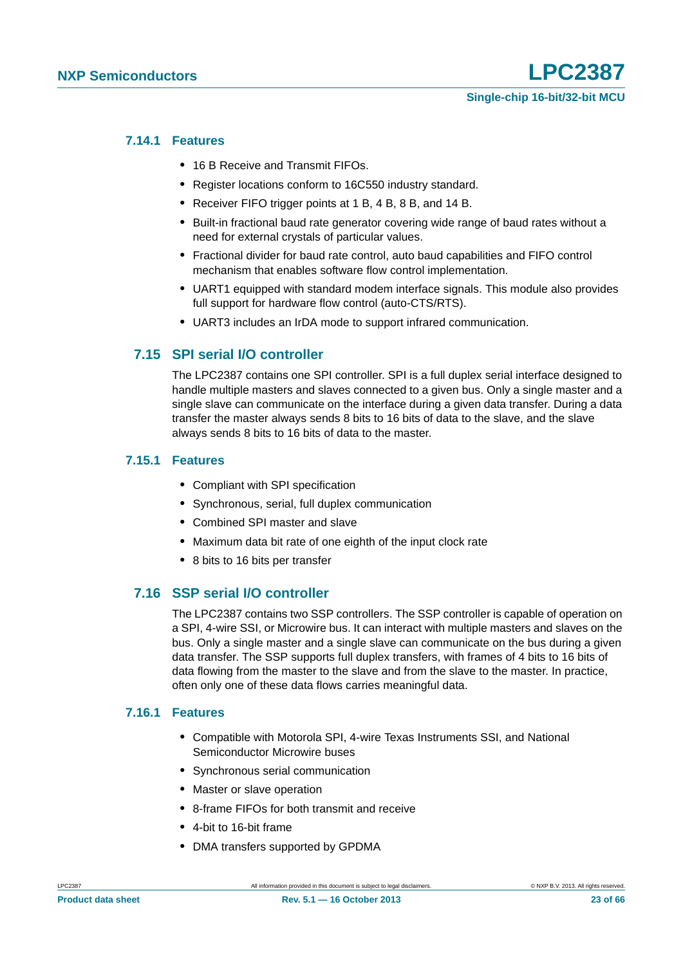#### <span id="page-22-0"></span>**7.14.1 Features**

- **•** 16 B Receive and Transmit FIFOs.
- **•** Register locations conform to 16C550 industry standard.
- **•** Receiver FIFO trigger points at 1 B, 4 B, 8 B, and 14 B.
- **•** Built-in fractional baud rate generator covering wide range of baud rates without a need for external crystals of particular values.
- **•** Fractional divider for baud rate control, auto baud capabilities and FIFO control mechanism that enables software flow control implementation.
- **•** UART1 equipped with standard modem interface signals. This module also provides full support for hardware flow control (auto-CTS/RTS).
- **•** UART3 includes an IrDA mode to support infrared communication.

### <span id="page-22-1"></span>**7.15 SPI serial I/O controller**

The LPC2387 contains one SPI controller. SPI is a full duplex serial interface designed to handle multiple masters and slaves connected to a given bus. Only a single master and a single slave can communicate on the interface during a given data transfer. During a data transfer the master always sends 8 bits to 16 bits of data to the slave, and the slave always sends 8 bits to 16 bits of data to the master.

#### <span id="page-22-2"></span>**7.15.1 Features**

- **•** Compliant with SPI specification
- **•** Synchronous, serial, full duplex communication
- **•** Combined SPI master and slave
- **•** Maximum data bit rate of one eighth of the input clock rate
- **•** 8 bits to 16 bits per transfer

#### <span id="page-22-3"></span>**7.16 SSP serial I/O controller**

The LPC2387 contains two SSP controllers. The SSP controller is capable of operation on a SPI, 4-wire SSI, or Microwire bus. It can interact with multiple masters and slaves on the bus. Only a single master and a single slave can communicate on the bus during a given data transfer. The SSP supports full duplex transfers, with frames of 4 bits to 16 bits of data flowing from the master to the slave and from the slave to the master. In practice, often only one of these data flows carries meaningful data.

#### <span id="page-22-4"></span>**7.16.1 Features**

- **•** Compatible with Motorola SPI, 4-wire Texas Instruments SSI, and National Semiconductor Microwire buses
- **•** Synchronous serial communication
- **•** Master or slave operation
- **•** 8-frame FIFOs for both transmit and receive
- **•** 4-bit to 16-bit frame
- **•** DMA transfers supported by GPDMA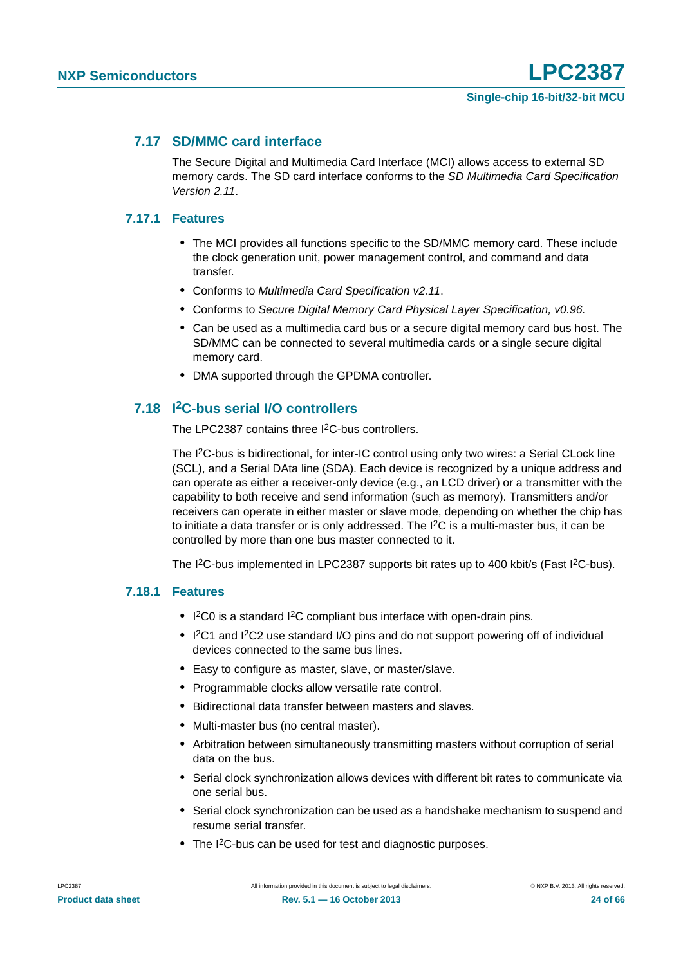#### <span id="page-23-0"></span>**7.17 SD/MMC card interface**

The Secure Digital and Multimedia Card Interface (MCI) allows access to external SD memory cards. The SD card interface conforms to the *SD Multimedia Card Specification Version 2.11*.

#### <span id="page-23-1"></span>**7.17.1 Features**

- **•** The MCI provides all functions specific to the SD/MMC memory card. These include the clock generation unit, power management control, and command and data transfer.
- **•** Conforms to *Multimedia Card Specification v2.11*.
- **•** Conforms to *Secure Digital Memory Card Physical Layer Specification, v0.96.*
- **•** Can be used as a multimedia card bus or a secure digital memory card bus host. The SD/MMC can be connected to several multimedia cards or a single secure digital memory card.
- **•** DMA supported through the GPDMA controller.

### <span id="page-23-2"></span>**7.18 I2C-bus serial I/O controllers**

The LPC2387 contains three I<sup>2</sup>C-bus controllers.

The I<sup>2</sup>C-bus is bidirectional, for inter-IC control using only two wires: a Serial CLock line (SCL), and a Serial DAta line (SDA). Each device is recognized by a unique address and can operate as either a receiver-only device (e.g., an LCD driver) or a transmitter with the capability to both receive and send information (such as memory). Transmitters and/or receivers can operate in either master or slave mode, depending on whether the chip has to initiate a data transfer or is only addressed. The I2C is a multi-master bus, it can be controlled by more than one bus master connected to it.

The I<sup>2</sup>C-bus implemented in LPC2387 supports bit rates up to 400 kbit/s (Fast I<sup>2</sup>C-bus).

#### <span id="page-23-3"></span>**7.18.1 Features**

- **•** I 2C0 is a standard I2C compliant bus interface with open-drain pins.
- I<sup>2</sup>C1 and I<sup>2</sup>C2 use standard I/O pins and do not support powering off of individual devices connected to the same bus lines.
- **•** Easy to configure as master, slave, or master/slave.
- **•** Programmable clocks allow versatile rate control.
- **•** Bidirectional data transfer between masters and slaves.
- **•** Multi-master bus (no central master).
- **•** Arbitration between simultaneously transmitting masters without corruption of serial data on the bus.
- **•** Serial clock synchronization allows devices with different bit rates to communicate via one serial bus.
- **•** Serial clock synchronization can be used as a handshake mechanism to suspend and resume serial transfer.
- **•** The I2C-bus can be used for test and diagnostic purposes.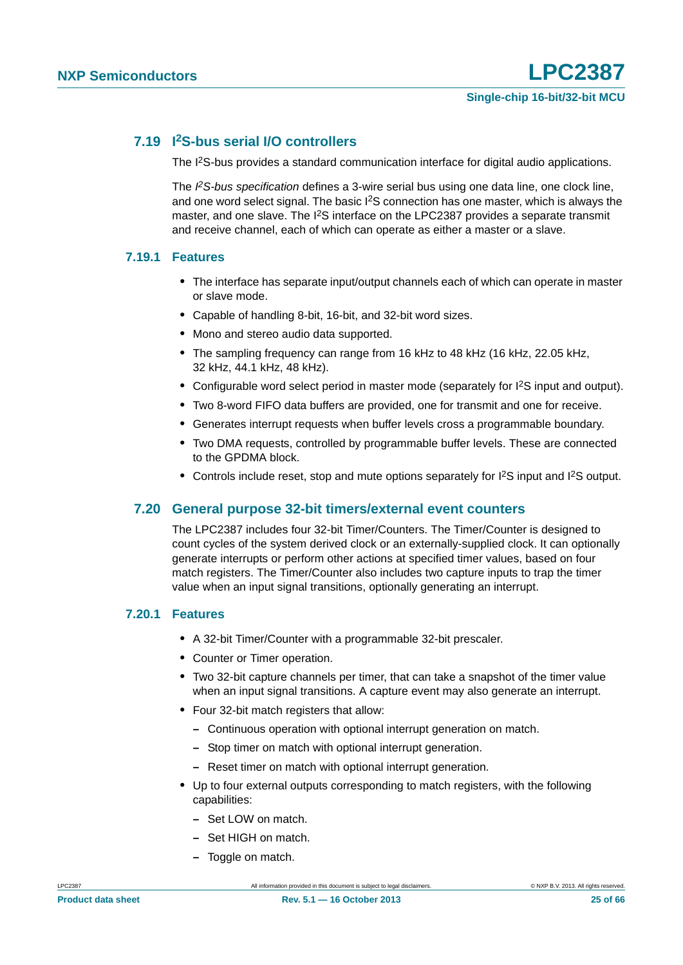### <span id="page-24-0"></span>**7.19 I2S-bus serial I/O controllers**

The I<sup>2</sup>S-bus provides a standard communication interface for digital audio applications.

The *I 2S-bus specification* defines a 3-wire serial bus using one data line, one clock line, and one word select signal. The basic I2S connection has one master, which is always the master, and one slave. The I2S interface on the LPC2387 provides a separate transmit and receive channel, each of which can operate as either a master or a slave.

#### <span id="page-24-1"></span>**7.19.1 Features**

- **•** The interface has separate input/output channels each of which can operate in master or slave mode.
- **•** Capable of handling 8-bit, 16-bit, and 32-bit word sizes.
- **•** Mono and stereo audio data supported.
- **•** The sampling frequency can range from 16 kHz to 48 kHz (16 kHz, 22.05 kHz, 32 kHz, 44.1 kHz, 48 kHz).
- Configurable word select period in master mode (separately for  $l^2S$  input and output).
- **•** Two 8-word FIFO data buffers are provided, one for transmit and one for receive.
- **•** Generates interrupt requests when buffer levels cross a programmable boundary.
- **•** Two DMA requests, controlled by programmable buffer levels. These are connected to the GPDMA block.
- Controls include reset, stop and mute options separately for I<sup>2</sup>S input and I<sup>2</sup>S output.

#### <span id="page-24-2"></span>**7.20 General purpose 32-bit timers/external event counters**

The LPC2387 includes four 32-bit Timer/Counters. The Timer/Counter is designed to count cycles of the system derived clock or an externally-supplied clock. It can optionally generate interrupts or perform other actions at specified timer values, based on four match registers. The Timer/Counter also includes two capture inputs to trap the timer value when an input signal transitions, optionally generating an interrupt.

#### <span id="page-24-3"></span>**7.20.1 Features**

- **•** A 32-bit Timer/Counter with a programmable 32-bit prescaler.
- **•** Counter or Timer operation.
- **•** Two 32-bit capture channels per timer, that can take a snapshot of the timer value when an input signal transitions. A capture event may also generate an interrupt.
- **•** Four 32-bit match registers that allow:
	- **–** Continuous operation with optional interrupt generation on match.
	- **–** Stop timer on match with optional interrupt generation.
	- **–** Reset timer on match with optional interrupt generation.
- **•** Up to four external outputs corresponding to match registers, with the following capabilities:
	- **–** Set LOW on match.
	- **–** Set HIGH on match.
	- **–** Toggle on match.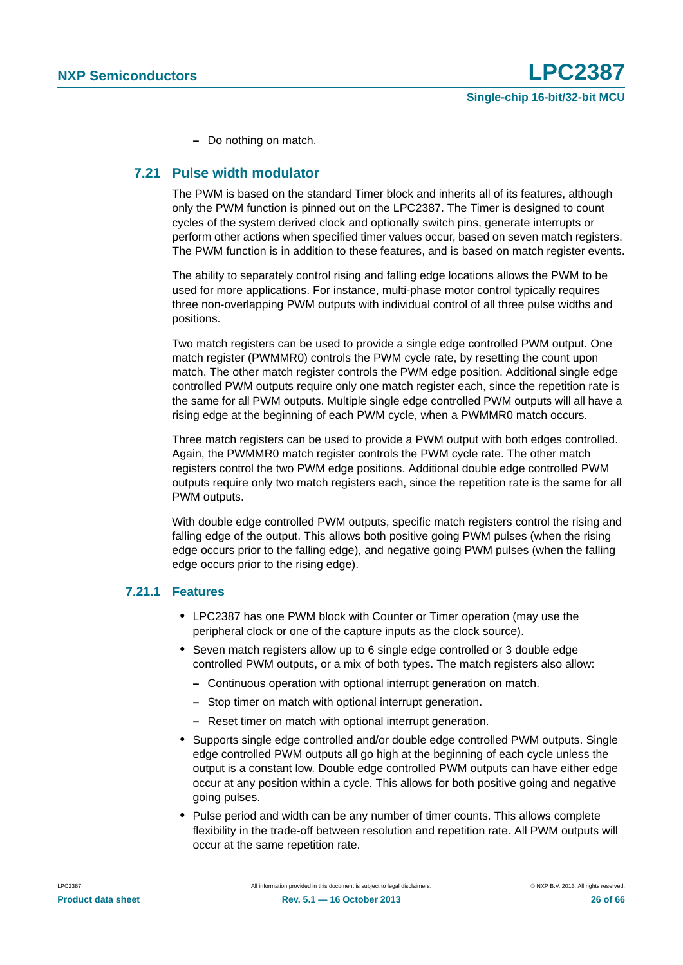**–** Do nothing on match.

#### <span id="page-25-0"></span>**7.21 Pulse width modulator**

The PWM is based on the standard Timer block and inherits all of its features, although only the PWM function is pinned out on the LPC2387. The Timer is designed to count cycles of the system derived clock and optionally switch pins, generate interrupts or perform other actions when specified timer values occur, based on seven match registers. The PWM function is in addition to these features, and is based on match register events.

The ability to separately control rising and falling edge locations allows the PWM to be used for more applications. For instance, multi-phase motor control typically requires three non-overlapping PWM outputs with individual control of all three pulse widths and positions.

Two match registers can be used to provide a single edge controlled PWM output. One match register (PWMMR0) controls the PWM cycle rate, by resetting the count upon match. The other match register controls the PWM edge position. Additional single edge controlled PWM outputs require only one match register each, since the repetition rate is the same for all PWM outputs. Multiple single edge controlled PWM outputs will all have a rising edge at the beginning of each PWM cycle, when a PWMMR0 match occurs.

Three match registers can be used to provide a PWM output with both edges controlled. Again, the PWMMR0 match register controls the PWM cycle rate. The other match registers control the two PWM edge positions. Additional double edge controlled PWM outputs require only two match registers each, since the repetition rate is the same for all PWM outputs.

With double edge controlled PWM outputs, specific match registers control the rising and falling edge of the output. This allows both positive going PWM pulses (when the rising edge occurs prior to the falling edge), and negative going PWM pulses (when the falling edge occurs prior to the rising edge).

#### <span id="page-25-1"></span>**7.21.1 Features**

- **•** LPC2387 has one PWM block with Counter or Timer operation (may use the peripheral clock or one of the capture inputs as the clock source).
- **•** Seven match registers allow up to 6 single edge controlled or 3 double edge controlled PWM outputs, or a mix of both types. The match registers also allow:
	- **–** Continuous operation with optional interrupt generation on match.
	- **–** Stop timer on match with optional interrupt generation.
	- **–** Reset timer on match with optional interrupt generation.
- **•** Supports single edge controlled and/or double edge controlled PWM outputs. Single edge controlled PWM outputs all go high at the beginning of each cycle unless the output is a constant low. Double edge controlled PWM outputs can have either edge occur at any position within a cycle. This allows for both positive going and negative going pulses.
- **•** Pulse period and width can be any number of timer counts. This allows complete flexibility in the trade-off between resolution and repetition rate. All PWM outputs will occur at the same repetition rate.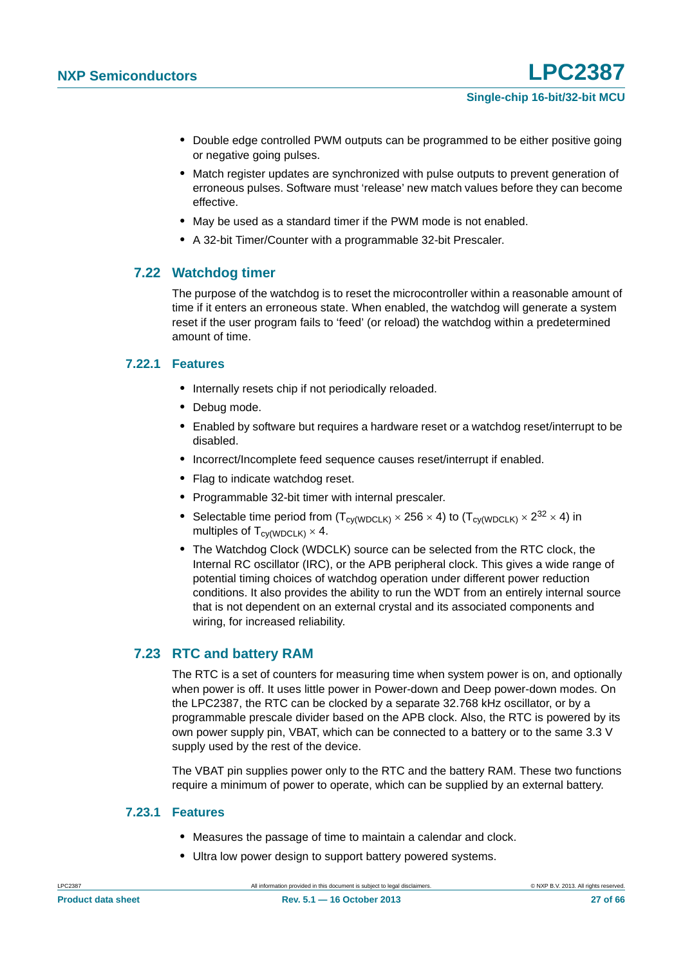- **•** Double edge controlled PWM outputs can be programmed to be either positive going or negative going pulses.
- **•** Match register updates are synchronized with pulse outputs to prevent generation of erroneous pulses. Software must 'release' new match values before they can become effective.
- **•** May be used as a standard timer if the PWM mode is not enabled.
- **•** A 32-bit Timer/Counter with a programmable 32-bit Prescaler.

#### <span id="page-26-0"></span>**7.22 Watchdog timer**

The purpose of the watchdog is to reset the microcontroller within a reasonable amount of time if it enters an erroneous state. When enabled, the watchdog will generate a system reset if the user program fails to 'feed' (or reload) the watchdog within a predetermined amount of time.

#### <span id="page-26-1"></span>**7.22.1 Features**

- **•** Internally resets chip if not periodically reloaded.
- **•** Debug mode.
- **•** Enabled by software but requires a hardware reset or a watchdog reset/interrupt to be disabled.
- **•** Incorrect/Incomplete feed sequence causes reset/interrupt if enabled.
- **•** Flag to indicate watchdog reset.
- **•** Programmable 32-bit timer with internal prescaler.
- Selectable time period from  $(T_{cv(WDCLK)} \times 256 \times 4)$  to  $(T_{cv(WDCLK)} \times 2^{32} \times 4)$  in multiples of  $T_{cy(WDCLK)} \times 4$ .
- **•** The Watchdog Clock (WDCLK) source can be selected from the RTC clock, the Internal RC oscillator (IRC), or the APB peripheral clock. This gives a wide range of potential timing choices of watchdog operation under different power reduction conditions. It also provides the ability to run the WDT from an entirely internal source that is not dependent on an external crystal and its associated components and wiring, for increased reliability.

#### <span id="page-26-2"></span>**7.23 RTC and battery RAM**

The RTC is a set of counters for measuring time when system power is on, and optionally when power is off. It uses little power in Power-down and Deep power-down modes. On the LPC2387, the RTC can be clocked by a separate 32.768 kHz oscillator, or by a programmable prescale divider based on the APB clock. Also, the RTC is powered by its own power supply pin, VBAT, which can be connected to a battery or to the same 3.3 V supply used by the rest of the device.

The VBAT pin supplies power only to the RTC and the battery RAM. These two functions require a minimum of power to operate, which can be supplied by an external battery.

#### <span id="page-26-3"></span>**7.23.1 Features**

- **•** Measures the passage of time to maintain a calendar and clock.
- **•** Ultra low power design to support battery powered systems.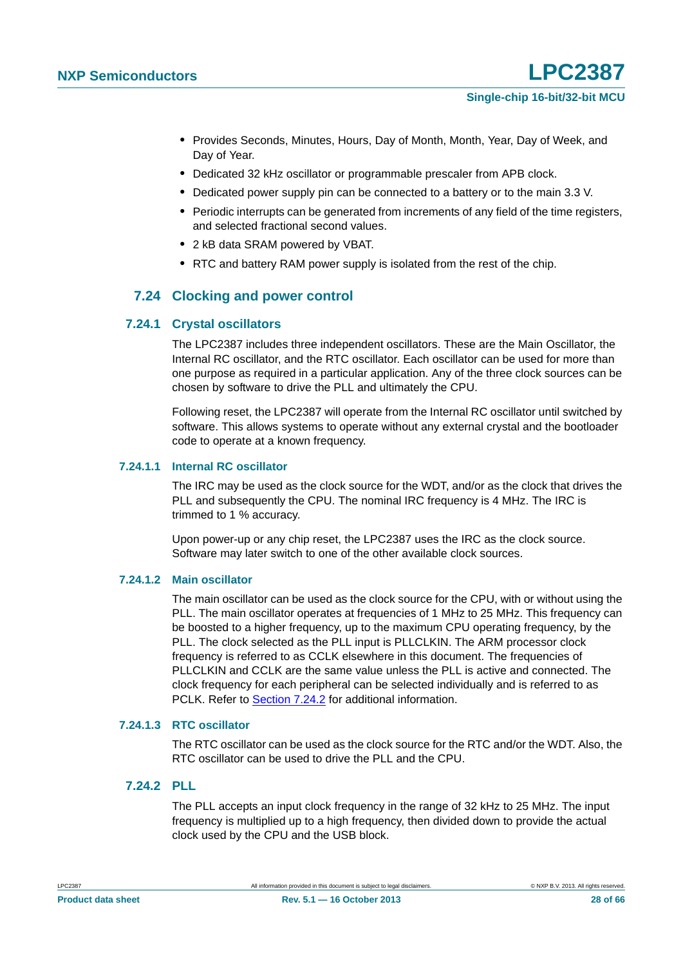- **•** Provides Seconds, Minutes, Hours, Day of Month, Month, Year, Day of Week, and Day of Year.
- **•** Dedicated 32 kHz oscillator or programmable prescaler from APB clock.
- **•** Dedicated power supply pin can be connected to a battery or to the main 3.3 V.
- **•** Periodic interrupts can be generated from increments of any field of the time registers, and selected fractional second values.
- **•** 2 kB data SRAM powered by VBAT.
- **•** RTC and battery RAM power supply is isolated from the rest of the chip.

### **7.24 Clocking and power control**

#### <span id="page-27-2"></span><span id="page-27-1"></span>**7.24.1 Crystal oscillators**

The LPC2387 includes three independent oscillators. These are the Main Oscillator, the Internal RC oscillator, and the RTC oscillator. Each oscillator can be used for more than one purpose as required in a particular application. Any of the three clock sources can be chosen by software to drive the PLL and ultimately the CPU.

Following reset, the LPC2387 will operate from the Internal RC oscillator until switched by software. This allows systems to operate without any external crystal and the bootloader code to operate at a known frequency.

#### <span id="page-27-3"></span>**7.24.1.1 Internal RC oscillator**

The IRC may be used as the clock source for the WDT, and/or as the clock that drives the PLL and subsequently the CPU. The nominal IRC frequency is 4 MHz. The IRC is trimmed to 1 % accuracy.

Upon power-up or any chip reset, the LPC2387 uses the IRC as the clock source. Software may later switch to one of the other available clock sources.

#### <span id="page-27-4"></span>**7.24.1.2 Main oscillator**

The main oscillator can be used as the clock source for the CPU, with or without using the PLL. The main oscillator operates at frequencies of 1 MHz to 25 MHz. This frequency can be boosted to a higher frequency, up to the maximum CPU operating frequency, by the PLL. The clock selected as the PLL input is PLLCLKIN. The ARM processor clock frequency is referred to as CCLK elsewhere in this document. The frequencies of PLLCLKIN and CCLK are the same value unless the PLL is active and connected. The clock frequency for each peripheral can be selected individually and is referred to as PCLK. Refer to [Section 7.24.2](#page-27-0) for additional information.

#### <span id="page-27-5"></span>**7.24.1.3 RTC oscillator**

The RTC oscillator can be used as the clock source for the RTC and/or the WDT. Also, the RTC oscillator can be used to drive the PLL and the CPU.

#### <span id="page-27-0"></span>**7.24.2 PLL**

The PLL accepts an input clock frequency in the range of 32 kHz to 25 MHz. The input frequency is multiplied up to a high frequency, then divided down to provide the actual clock used by the CPU and the USB block.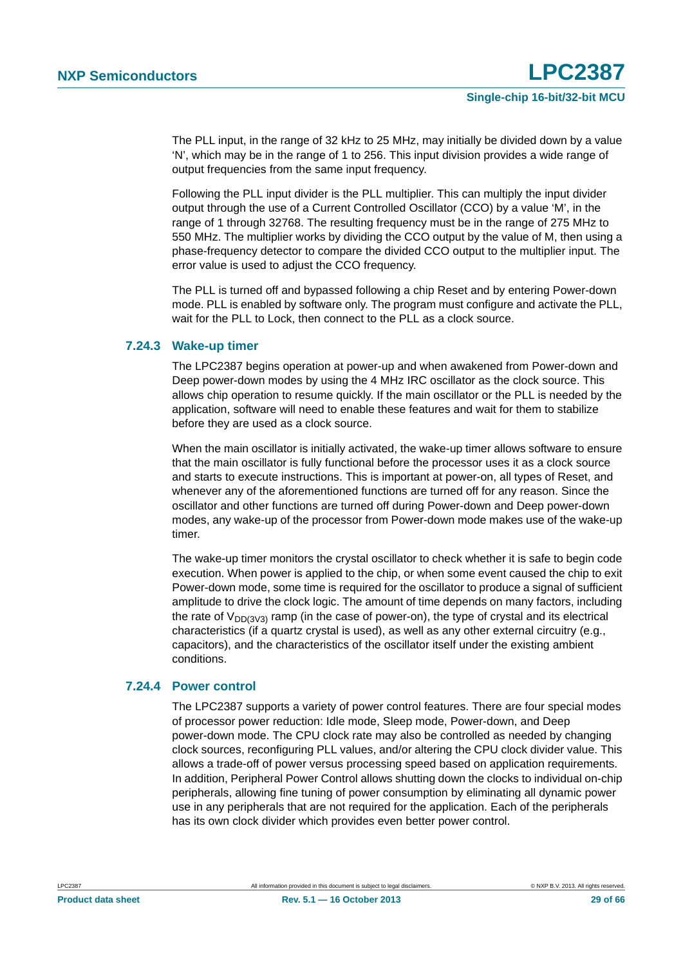The PLL input, in the range of 32 kHz to 25 MHz, may initially be divided down by a value 'N', which may be in the range of 1 to 256. This input division provides a wide range of output frequencies from the same input frequency.

Following the PLL input divider is the PLL multiplier. This can multiply the input divider output through the use of a Current Controlled Oscillator (CCO) by a value 'M', in the range of 1 through 32768. The resulting frequency must be in the range of 275 MHz to 550 MHz. The multiplier works by dividing the CCO output by the value of M, then using a phase-frequency detector to compare the divided CCO output to the multiplier input. The error value is used to adjust the CCO frequency.

The PLL is turned off and bypassed following a chip Reset and by entering Power-down mode. PLL is enabled by software only. The program must configure and activate the PLL, wait for the PLL to Lock, then connect to the PLL as a clock source.

#### <span id="page-28-0"></span>**7.24.3 Wake-up timer**

The LPC2387 begins operation at power-up and when awakened from Power-down and Deep power-down modes by using the 4 MHz IRC oscillator as the clock source. This allows chip operation to resume quickly. If the main oscillator or the PLL is needed by the application, software will need to enable these features and wait for them to stabilize before they are used as a clock source.

When the main oscillator is initially activated, the wake-up timer allows software to ensure that the main oscillator is fully functional before the processor uses it as a clock source and starts to execute instructions. This is important at power-on, all types of Reset, and whenever any of the aforementioned functions are turned off for any reason. Since the oscillator and other functions are turned off during Power-down and Deep power-down modes, any wake-up of the processor from Power-down mode makes use of the wake-up timer.

The wake-up timer monitors the crystal oscillator to check whether it is safe to begin code execution. When power is applied to the chip, or when some event caused the chip to exit Power-down mode, some time is required for the oscillator to produce a signal of sufficient amplitude to drive the clock logic. The amount of time depends on many factors, including the rate of  $V_{DD}(3V3)$  ramp (in the case of power-on), the type of crystal and its electrical characteristics (if a quartz crystal is used), as well as any other external circuitry (e.g., capacitors), and the characteristics of the oscillator itself under the existing ambient conditions.

#### <span id="page-28-1"></span>**7.24.4 Power control**

The LPC2387 supports a variety of power control features. There are four special modes of processor power reduction: Idle mode, Sleep mode, Power-down, and Deep power-down mode. The CPU clock rate may also be controlled as needed by changing clock sources, reconfiguring PLL values, and/or altering the CPU clock divider value. This allows a trade-off of power versus processing speed based on application requirements. In addition, Peripheral Power Control allows shutting down the clocks to individual on-chip peripherals, allowing fine tuning of power consumption by eliminating all dynamic power use in any peripherals that are not required for the application. Each of the peripherals has its own clock divider which provides even better power control.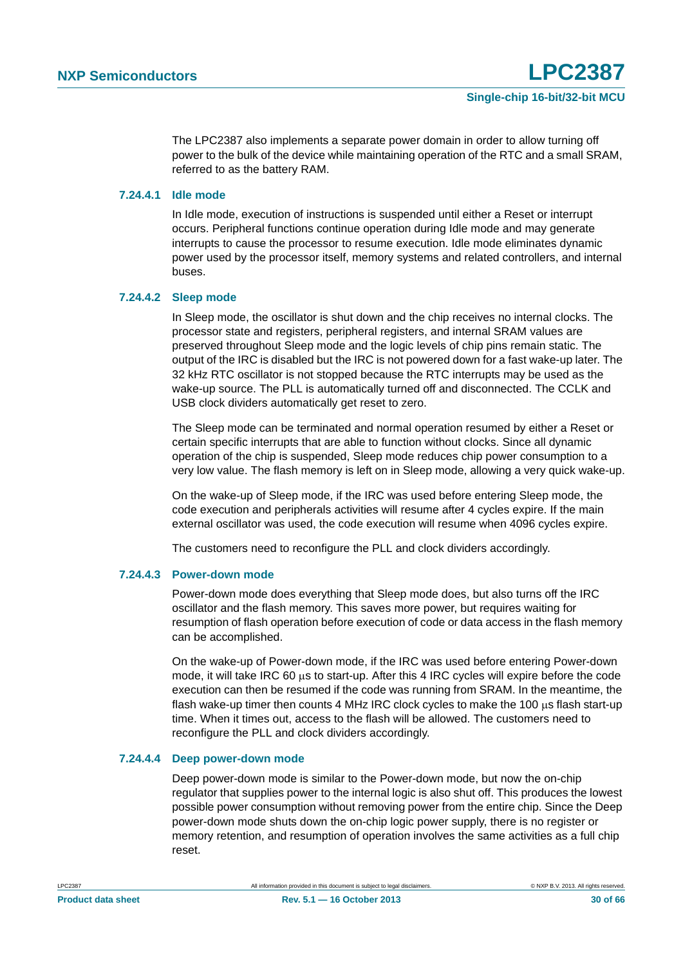The LPC2387 also implements a separate power domain in order to allow turning off power to the bulk of the device while maintaining operation of the RTC and a small SRAM, referred to as the battery RAM.

#### <span id="page-29-0"></span>**7.24.4.1 Idle mode**

In Idle mode, execution of instructions is suspended until either a Reset or interrupt occurs. Peripheral functions continue operation during Idle mode and may generate interrupts to cause the processor to resume execution. Idle mode eliminates dynamic power used by the processor itself, memory systems and related controllers, and internal buses.

#### <span id="page-29-1"></span>**7.24.4.2 Sleep mode**

In Sleep mode, the oscillator is shut down and the chip receives no internal clocks. The processor state and registers, peripheral registers, and internal SRAM values are preserved throughout Sleep mode and the logic levels of chip pins remain static. The output of the IRC is disabled but the IRC is not powered down for a fast wake-up later. The 32 kHz RTC oscillator is not stopped because the RTC interrupts may be used as the wake-up source. The PLL is automatically turned off and disconnected. The CCLK and USB clock dividers automatically get reset to zero.

The Sleep mode can be terminated and normal operation resumed by either a Reset or certain specific interrupts that are able to function without clocks. Since all dynamic operation of the chip is suspended, Sleep mode reduces chip power consumption to a very low value. The flash memory is left on in Sleep mode, allowing a very quick wake-up.

On the wake-up of Sleep mode, if the IRC was used before entering Sleep mode, the code execution and peripherals activities will resume after 4 cycles expire. If the main external oscillator was used, the code execution will resume when 4096 cycles expire.

The customers need to reconfigure the PLL and clock dividers accordingly.

#### <span id="page-29-2"></span>**7.24.4.3 Power-down mode**

Power-down mode does everything that Sleep mode does, but also turns off the IRC oscillator and the flash memory. This saves more power, but requires waiting for resumption of flash operation before execution of code or data access in the flash memory can be accomplished.

On the wake-up of Power-down mode, if the IRC was used before entering Power-down mode, it will take IRC 60  $\mu$ s to start-up. After this 4 IRC cycles will expire before the code execution can then be resumed if the code was running from SRAM. In the meantime, the flash wake-up timer then counts 4 MHz IRC clock cycles to make the 100  $\mu$ s flash start-up time. When it times out, access to the flash will be allowed. The customers need to reconfigure the PLL and clock dividers accordingly.

#### <span id="page-29-3"></span>**7.24.4.4 Deep power-down mode**

Deep power-down mode is similar to the Power-down mode, but now the on-chip regulator that supplies power to the internal logic is also shut off. This produces the lowest possible power consumption without removing power from the entire chip. Since the Deep power-down mode shuts down the on-chip logic power supply, there is no register or memory retention, and resumption of operation involves the same activities as a full chip reset.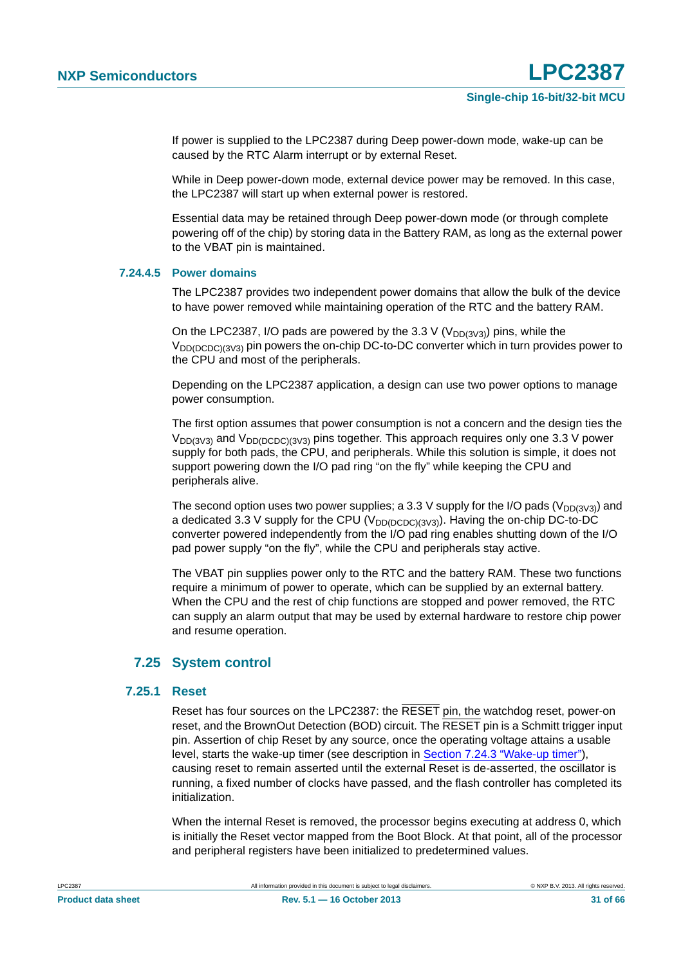If power is supplied to the LPC2387 during Deep power-down mode, wake-up can be caused by the RTC Alarm interrupt or by external Reset.

While in Deep power-down mode, external device power may be removed. In this case, the LPC2387 will start up when external power is restored.

Essential data may be retained through Deep power-down mode (or through complete powering off of the chip) by storing data in the Battery RAM, as long as the external power to the VBAT pin is maintained.

#### <span id="page-30-0"></span>**7.24.4.5 Power domains**

The LPC2387 provides two independent power domains that allow the bulk of the device to have power removed while maintaining operation of the RTC and the battery RAM.

On the LPC2387, I/O pads are powered by the 3.3 V ( $V_{DD(3V3)}$ ) pins, while the  $V_{DD(DCDC)/3V3}$  pin powers the on-chip DC-to-DC converter which in turn provides power to the CPU and most of the peripherals.

Depending on the LPC2387 application, a design can use two power options to manage power consumption.

The first option assumes that power consumption is not a concern and the design ties the  $V_{DD(3V3)}$  and  $V_{DD(DCDC)(3V3)}$  pins together. This approach requires only one 3.3 V power supply for both pads, the CPU, and peripherals. While this solution is simple, it does not support powering down the I/O pad ring "on the fly" while keeping the CPU and peripherals alive.

The second option uses two power supplies; a 3.3 V supply for the I/O pads ( $V_{DD(3V3)}$ ) and a dedicated 3.3 V supply for the CPU ( $V_{DD(DCDC)(3V3)}$ ). Having the on-chip DC-to-DC converter powered independently from the I/O pad ring enables shutting down of the I/O pad power supply "on the fly", while the CPU and peripherals stay active.

The VBAT pin supplies power only to the RTC and the battery RAM. These two functions require a minimum of power to operate, which can be supplied by an external battery. When the CPU and the rest of chip functions are stopped and power removed, the RTC can supply an alarm output that may be used by external hardware to restore chip power and resume operation.

#### <span id="page-30-1"></span>**7.25 System control**

#### <span id="page-30-2"></span>**7.25.1 Reset**

Reset has four sources on the LPC2387: the RESET pin, the watchdog reset, power-on reset, and the BrownOut Detection (BOD) circuit. The RESET pin is a Schmitt trigger input pin. Assertion of chip Reset by any source, once the operating voltage attains a usable level, starts the wake-up timer (see description in [Section 7.24.3 "Wake-up timer"](#page-28-0)), causing reset to remain asserted until the external Reset is de-asserted, the oscillator is running, a fixed number of clocks have passed, and the flash controller has completed its initialization.

When the internal Reset is removed, the processor begins executing at address 0, which is initially the Reset vector mapped from the Boot Block. At that point, all of the processor and peripheral registers have been initialized to predetermined values.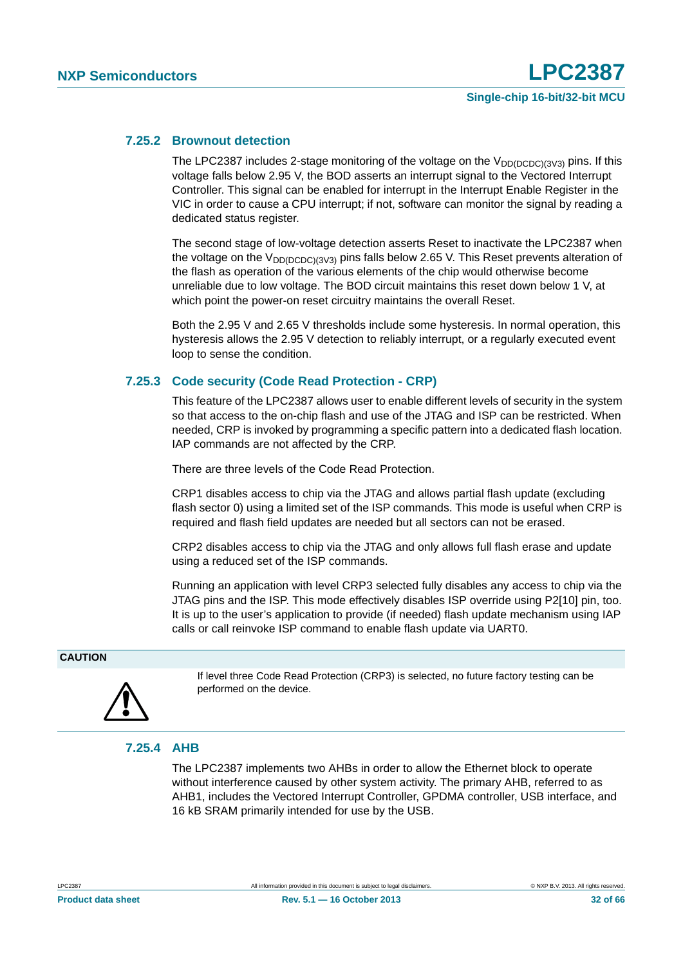#### <span id="page-31-0"></span>**7.25.2 Brownout detection**

The LPC2387 includes 2-stage monitoring of the voltage on the  $V_{DD(DCDC)(3V3)}$  pins. If this voltage falls below 2.95 V, the BOD asserts an interrupt signal to the Vectored Interrupt Controller. This signal can be enabled for interrupt in the Interrupt Enable Register in the VIC in order to cause a CPU interrupt; if not, software can monitor the signal by reading a dedicated status register.

The second stage of low-voltage detection asserts Reset to inactivate the LPC2387 when the voltage on the  $V_{DD(DCDC)(3V3)}$  pins falls below 2.65 V. This Reset prevents alteration of the flash as operation of the various elements of the chip would otherwise become unreliable due to low voltage. The BOD circuit maintains this reset down below 1 V, at which point the power-on reset circuitry maintains the overall Reset.

Both the 2.95 V and 2.65 V thresholds include some hysteresis. In normal operation, this hysteresis allows the 2.95 V detection to reliably interrupt, or a regularly executed event loop to sense the condition.

#### <span id="page-31-1"></span>**7.25.3 Code security (Code Read Protection - CRP)**

This feature of the LPC2387 allows user to enable different levels of security in the system so that access to the on-chip flash and use of the JTAG and ISP can be restricted. When needed, CRP is invoked by programming a specific pattern into a dedicated flash location. IAP commands are not affected by the CRP.

There are three levels of the Code Read Protection.

CRP1 disables access to chip via the JTAG and allows partial flash update (excluding flash sector 0) using a limited set of the ISP commands. This mode is useful when CRP is required and flash field updates are needed but all sectors can not be erased.

CRP2 disables access to chip via the JTAG and only allows full flash erase and update using a reduced set of the ISP commands.

Running an application with level CRP3 selected fully disables any access to chip via the JTAG pins and the ISP. This mode effectively disables ISP override using P2[10] pin, too. It is up to the user's application to provide (if needed) flash update mechanism using IAP calls or call reinvoke ISP command to enable flash update via UART0.

#### **CAUTION**



If level three Code Read Protection (CRP3) is selected, no future factory testing can be performed on the device.

#### <span id="page-31-2"></span>**7.25.4 AHB**

The LPC2387 implements two AHBs in order to allow the Ethernet block to operate without interference caused by other system activity. The primary AHB, referred to as AHB1, includes the Vectored Interrupt Controller, GPDMA controller, USB interface, and 16 kB SRAM primarily intended for use by the USB.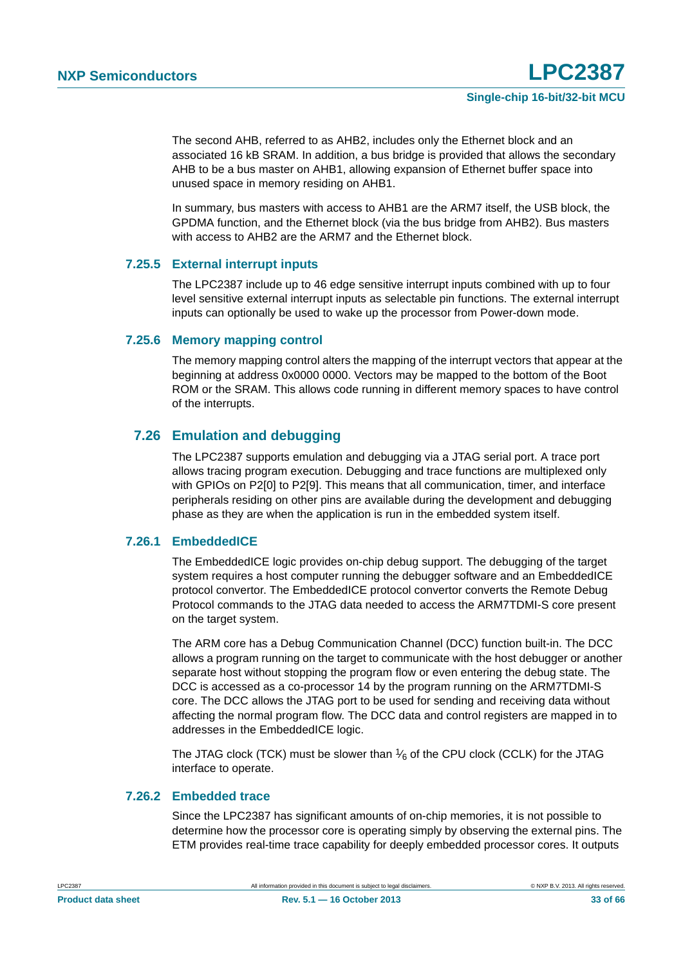The second AHB, referred to as AHB2, includes only the Ethernet block and an associated 16 kB SRAM. In addition, a bus bridge is provided that allows the secondary AHB to be a bus master on AHB1, allowing expansion of Ethernet buffer space into unused space in memory residing on AHB1.

In summary, bus masters with access to AHB1 are the ARM7 itself, the USB block, the GPDMA function, and the Ethernet block (via the bus bridge from AHB2). Bus masters with access to AHB2 are the ARM7 and the Ethernet block.

#### <span id="page-32-1"></span>**7.25.5 External interrupt inputs**

The LPC2387 include up to 46 edge sensitive interrupt inputs combined with up to four level sensitive external interrupt inputs as selectable pin functions. The external interrupt inputs can optionally be used to wake up the processor from Power-down mode.

#### <span id="page-32-0"></span>**7.25.6 Memory mapping control**

The memory mapping control alters the mapping of the interrupt vectors that appear at the beginning at address 0x0000 0000. Vectors may be mapped to the bottom of the Boot ROM or the SRAM. This allows code running in different memory spaces to have control of the interrupts.

### <span id="page-32-2"></span>**7.26 Emulation and debugging**

The LPC2387 supports emulation and debugging via a JTAG serial port. A trace port allows tracing program execution. Debugging and trace functions are multiplexed only with GPIOs on P2[0] to P2[9]. This means that all communication, timer, and interface peripherals residing on other pins are available during the development and debugging phase as they are when the application is run in the embedded system itself.

#### <span id="page-32-3"></span>**7.26.1 EmbeddedICE**

The EmbeddedICE logic provides on-chip debug support. The debugging of the target system requires a host computer running the debugger software and an EmbeddedICE protocol convertor. The EmbeddedICE protocol convertor converts the Remote Debug Protocol commands to the JTAG data needed to access the ARM7TDMI-S core present on the target system.

The ARM core has a Debug Communication Channel (DCC) function built-in. The DCC allows a program running on the target to communicate with the host debugger or another separate host without stopping the program flow or even entering the debug state. The DCC is accessed as a co-processor 14 by the program running on the ARM7TDMI-S core. The DCC allows the JTAG port to be used for sending and receiving data without affecting the normal program flow. The DCC data and control registers are mapped in to addresses in the EmbeddedICE logic.

The JTAG clock (TCK) must be slower than  $\frac{1}{6}$  of the CPU clock (CCLK) for the JTAG interface to operate.

#### <span id="page-32-4"></span>**7.26.2 Embedded trace**

Since the LPC2387 has significant amounts of on-chip memories, it is not possible to determine how the processor core is operating simply by observing the external pins. The ETM provides real-time trace capability for deeply embedded processor cores. It outputs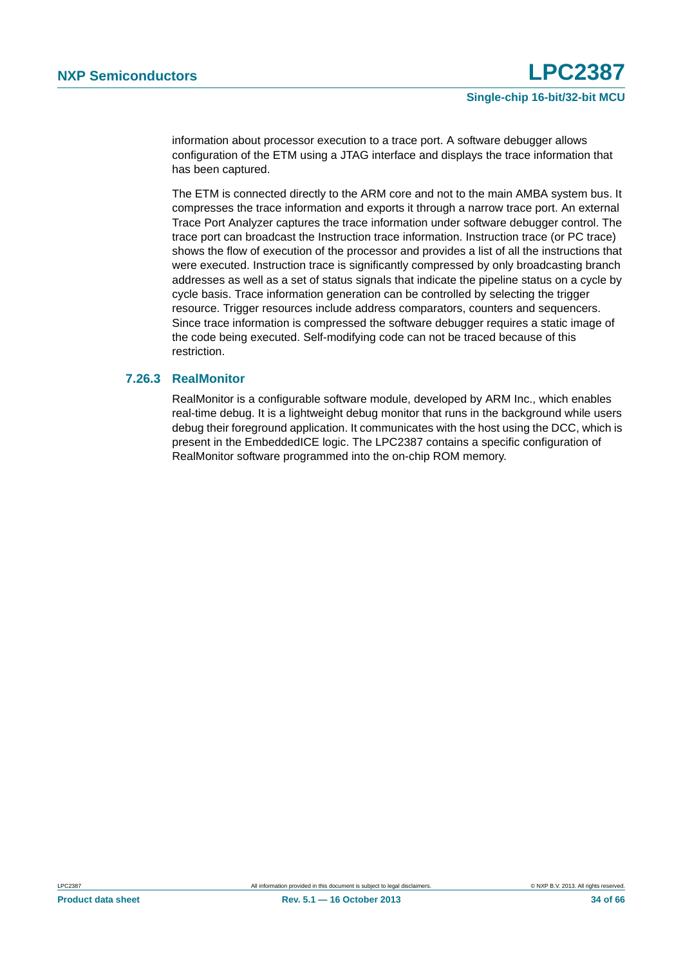information about processor execution to a trace port. A software debugger allows configuration of the ETM using a JTAG interface and displays the trace information that has been captured.

The ETM is connected directly to the ARM core and not to the main AMBA system bus. It compresses the trace information and exports it through a narrow trace port. An external Trace Port Analyzer captures the trace information under software debugger control. The trace port can broadcast the Instruction trace information. Instruction trace (or PC trace) shows the flow of execution of the processor and provides a list of all the instructions that were executed. Instruction trace is significantly compressed by only broadcasting branch addresses as well as a set of status signals that indicate the pipeline status on a cycle by cycle basis. Trace information generation can be controlled by selecting the trigger resource. Trigger resources include address comparators, counters and sequencers. Since trace information is compressed the software debugger requires a static image of the code being executed. Self-modifying code can not be traced because of this restriction.

#### <span id="page-33-0"></span>**7.26.3 RealMonitor**

RealMonitor is a configurable software module, developed by ARM Inc., which enables real-time debug. It is a lightweight debug monitor that runs in the background while users debug their foreground application. It communicates with the host using the DCC, which is present in the EmbeddedICE logic. The LPC2387 contains a specific configuration of RealMonitor software programmed into the on-chip ROM memory.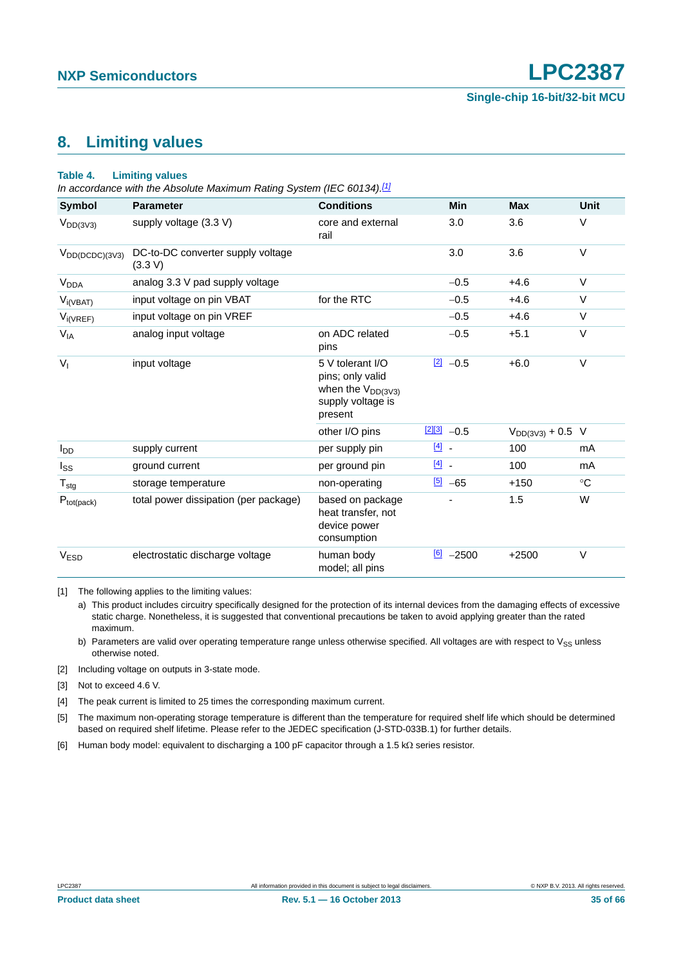# <span id="page-34-6"></span>**8. Limiting values**

#### **Table 4. Limiting values**

*In accordance with the Absolute Maximum Rating System (IEC 60134)[.\[1\]](#page-34-0)*

| Symbol              | <b>Parameter</b>                             | <b>Conditions</b>                                                                              | Min                     | <b>Max</b>            | <b>Unit</b> |
|---------------------|----------------------------------------------|------------------------------------------------------------------------------------------------|-------------------------|-----------------------|-------------|
| $V_{DD(3V3)}$       | supply voltage (3.3 V)                       | core and external<br>rail                                                                      | 3.0                     | 3.6                   | V           |
| $V_{DD(DCDC)(3V3)}$ | DC-to-DC converter supply voltage<br>(3.3 V) |                                                                                                | 3.0                     | 3.6                   | V           |
| V <sub>DDA</sub>    | analog 3.3 V pad supply voltage              |                                                                                                | $-0.5$                  | $+4.6$                | V           |
| $V_{i(VBAT)}$       | input voltage on pin VBAT                    | for the RTC                                                                                    | $-0.5$                  | $+4.6$                | V           |
| $V_{i(VREF)}$       | input voltage on pin VREF                    |                                                                                                | $-0.5$                  | $+4.6$                | V           |
| $V_{IA}$            | analog input voltage                         | on ADC related<br>pins                                                                         | $-0.5$                  | $+5.1$                | V           |
| $V_{I}$             | input voltage                                | 5 V tolerant I/O<br>pins; only valid<br>when the $V_{DD(3V3)}$<br>supply voltage is<br>present | $\boxed{2}$ -0.5        | $+6.0$                | V           |
|                     |                                              | other I/O pins                                                                                 | $\frac{[2][3]}{2}$ -0.5 | $V_{DD(3V3)} + 0.5$ V |             |
| $I_{DD}$            | supply current                               | per supply pin                                                                                 | $\boxed{4}$ -           | 100                   | mA          |
| $I_{SS}$            | ground current                               | per ground pin                                                                                 | $\boxed{4}$             | 100                   | mA          |
| ${\sf T}_{\sf stg}$ | storage temperature                          | non-operating                                                                                  | $\frac{[5]}{2}$ -65     | $+150$                | $^{\circ}C$ |
| $P_{tot(pack)}$     | total power dissipation (per package)        | based on package<br>heat transfer, not<br>device power<br>consumption                          |                         | 1.5                   | W           |
| V <sub>ESD</sub>    | electrostatic discharge voltage              | human body<br>model; all pins                                                                  | $\boxed{6}$ -2500       | $+2500$               | V           |

<span id="page-34-0"></span>[1] The following applies to the limiting values:

a) This product includes circuitry specifically designed for the protection of its internal devices from the damaging effects of excessive static charge. Nonetheless, it is suggested that conventional precautions be taken to avoid applying greater than the rated maximum.

b) Parameters are valid over operating temperature range unless otherwise specified. All voltages are with respect to  $V_{SS}$  unless otherwise noted.

<span id="page-34-1"></span>[2] Including voltage on outputs in 3-state mode.

<span id="page-34-2"></span>[3] Not to exceed 4.6 V.

<span id="page-34-3"></span>[4] The peak current is limited to 25 times the corresponding maximum current.

<span id="page-34-4"></span>[5] The maximum non-operating storage temperature is different than the temperature for required shelf life which should be determined based on required shelf lifetime. Please refer to the JEDEC specification (J-STD-033B.1) for further details.

<span id="page-34-5"></span>[6] Human body model: equivalent to discharging a 100 pF capacitor through a 1.5 k $\Omega$  series resistor.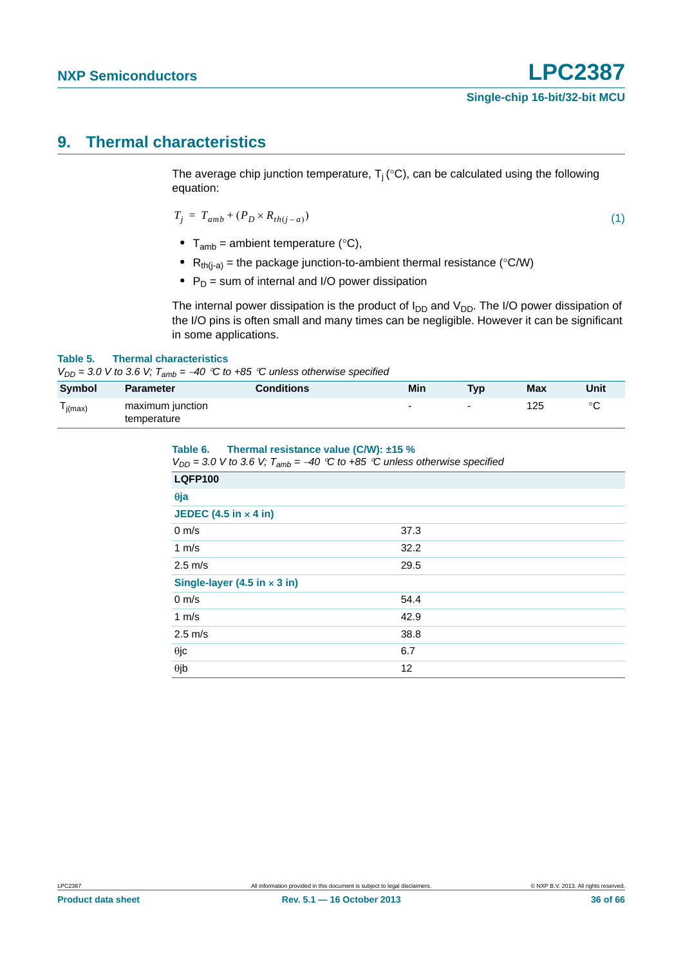# <span id="page-35-0"></span>**9. Thermal characteristics**

The average chip junction temperature,  $T_i$  (°C), can be calculated using the following equation:

$$
T_j = T_{amb} + (P_D \times R_{th(j-a)}) \tag{1}
$$

- $T_{amb}$  = ambient temperature ( $°C$ ),
- $R_{th(i-a)}$  = the package junction-to-ambient thermal resistance (°C/W)
- P<sub>D</sub> = sum of internal and I/O power dissipation

The internal power dissipation is the product of  $I_{DD}$  and  $V_{DD}$ . The I/O power dissipation of the I/O pins is often small and many times can be negligible. However it can be significant in some applications.

#### **Table 5. Thermal characteristics**

 $V_{DD}$  = 3.0 V to 3.6 V;  $T_{amb}$  = -40 °C to +85 °C unless otherwise specified

| <b>Symbol</b> | <b>Parameter</b> | <b>Conditions</b> | Min | <b>Typ</b>               | <b>Max</b> | Unit    |
|---------------|------------------|-------------------|-----|--------------------------|------------|---------|
| l j(max)      | maximum junction |                   | -   | $\overline{\phantom{0}}$ | 125        | $\circ$ |
|               | temperature      |                   |     |                          |            |         |

| Table 6.<br>Thermal resistance value (C/W): $±15\%$<br>$V_{DD}$ = 3.0 V to 3.6 V; $T_{amb}$ = -40 °C to +85 °C unless otherwise specified |      |
|-------------------------------------------------------------------------------------------------------------------------------------------|------|
| <b>LQFP100</b>                                                                                                                            |      |
| $\theta$ ja                                                                                                                               |      |
| JEDEC $(4.5 in \times 4 in)$                                                                                                              |      |
| $0 \text{ m/s}$                                                                                                                           | 37.3 |
| 1 m/s                                                                                                                                     | 32.2 |
| $2.5 \text{ m/s}$                                                                                                                         | 29.5 |
| Single-layer (4.5 in $\times$ 3 in)                                                                                                       |      |
| $0 \text{ m/s}$                                                                                                                           | 54.4 |
| 1 $m/s$                                                                                                                                   | 42.9 |
| $2.5 \text{ m/s}$                                                                                                                         | 38.8 |
| $\theta$ jc                                                                                                                               | 6.7  |
| $\theta$ jb                                                                                                                               | 12   |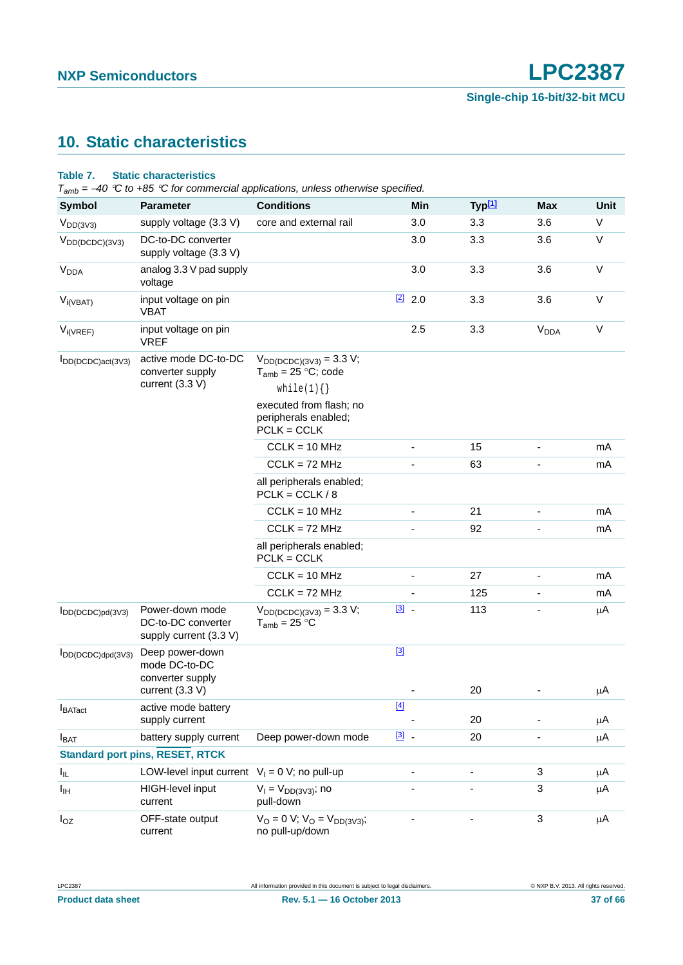# <span id="page-36-0"></span>**10. Static characteristics**

#### **Table 7. Static characteristics**

*Tamb = 40 C to +85 C for commercial applications, unless otherwise specified.*

| <b>Symbol</b>          | <b>Parameter</b>                                                | <b>Conditions</b>                                                | Min             | Typ <sup>[1]</sup> | Max                    | Unit    |
|------------------------|-----------------------------------------------------------------|------------------------------------------------------------------|-----------------|--------------------|------------------------|---------|
| $V_{DD(3V3)}$          | supply voltage (3.3 V)                                          | core and external rail                                           | 3.0             | 3.3                | 3.6                    | V       |
| $V_{DD(DCDC)(3V3)}$    | DC-to-DC converter<br>supply voltage (3.3 V)                    |                                                                  | 3.0             | 3.3                | 3.6                    | $\vee$  |
| <b>V<sub>DDA</sub></b> | analog 3.3 V pad supply<br>voltage                              |                                                                  | 3.0             | 3.3                | 3.6                    | V       |
| $V_{i(VBAT)}$          | input voltage on pin<br><b>VBAT</b>                             |                                                                  | $\boxed{2}$ 2.0 | 3.3                | 3.6                    | V       |
| $V_{i(VREF)}$          | input voltage on pin<br><b>VREF</b>                             |                                                                  | 2.5             | 3.3                | <b>V<sub>DDA</sub></b> | V       |
| IDD(DCDC)act(3V3)      | active mode DC-to-DC<br>converter supply                        | $V_{DD(DCDC)(3V3)} = 3.3 V;$<br>$T_{amb} = 25 °C$ ; code         |                 |                    |                        |         |
|                        | current $(3.3 V)$                                               | while(1) $\{\}$                                                  |                 |                    |                        |         |
|                        |                                                                 | executed from flash; no<br>peripherals enabled;<br>$PCLK = CCLK$ |                 |                    |                        |         |
|                        |                                                                 | $CCLK = 10 MHz$                                                  | $\frac{1}{2}$   | 15                 | $\blacksquare$         | mA      |
|                        |                                                                 | $CCLK = 72 MHz$                                                  |                 | 63                 |                        | mA      |
|                        |                                                                 | all peripherals enabled;<br>$PCLK = CCLK / 8$                    |                 |                    |                        |         |
|                        |                                                                 | $CCLK = 10 MHz$                                                  | ٠               | 21                 |                        | mA      |
|                        |                                                                 | $CCLK = 72 MHz$                                                  | -               | 92                 |                        | mA      |
|                        |                                                                 | all peripherals enabled;<br>$PCLK = CCLK$                        |                 |                    |                        |         |
|                        |                                                                 | $CCLK = 10 MHz$                                                  | ٠               | 27                 |                        | mA      |
|                        |                                                                 | $CCLK = 72 MHz$                                                  |                 | 125                |                        | mA      |
| $I_{DD(DCDC)pd(3V3)}$  | Power-down mode<br>DC-to-DC converter<br>supply current (3.3 V) | $V_{DD(DCDC)(3V3)} = 3.3 V;$<br>$T_{amb} = 25 °C$                | $\boxed{3}$ .   | 113                |                        | μA      |
| $I_{DD(DCDC)dpd(3V3)}$ | Deep power-down<br>mode DC-to-DC<br>converter supply            |                                                                  | $[3]$           |                    |                        |         |
|                        | current (3.3 V)                                                 |                                                                  |                 | 20                 |                        | μA      |
| $I_{\text{BATact}}$    | active mode battery<br>supply current                           |                                                                  | $[4]$           | 20                 |                        | μA      |
| <b>I</b> BAT           | battery supply current                                          | Deep power-down mode                                             | $\boxed{3}$ .   | 20                 |                        | μA      |
|                        | <b>Standard port pins, RESET, RTCK</b>                          |                                                                  |                 |                    |                        |         |
| Iщ.                    | LOW-level input current $V_1 = 0 V$ ; no pull-up                |                                                                  |                 |                    | 3                      | μA      |
| Iщ                     | HIGH-level input<br>current                                     | $V_1 = V_{DD(3V3)}$ ; no<br>pull-down                            |                 |                    | 3                      | μA      |
| $I_{OZ}$               | OFF-state output<br>current                                     | $V_O = 0 V$ ; $V_O = V_{DD(3V3)}$ ;<br>no pull-up/down           |                 |                    | 3                      | $\mu$ A |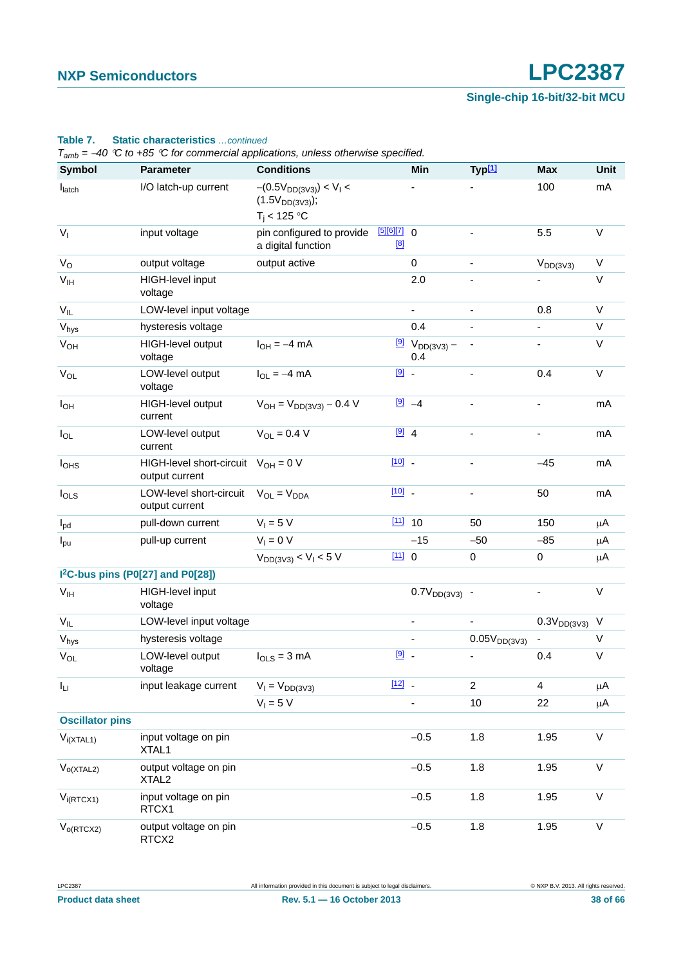#### **Table 7. Static characteristics** *…continued*

*Tamb = 40 C to +85 C for commercial applications, unless otherwise specified.*

| Symbol                 | <b>Parameter</b>                                          | <b>Conditions</b>                                                     |                      | Min                                           | Typ[1]                       | <b>Max</b>       | Unit         |
|------------------------|-----------------------------------------------------------|-----------------------------------------------------------------------|----------------------|-----------------------------------------------|------------------------------|------------------|--------------|
| latch                  | I/O latch-up current                                      | $-(0.5V_{DD(3V3)}) < V_1 <$<br>$(1.5V_{DD(3V3)})$ ;<br>$T_i$ < 125 °C |                      |                                               |                              | 100              | mA           |
| V <sub>1</sub>         | input voltage                                             | pin configured to provide<br>a digital function                       | $[5][6][7]$ 0<br>[8] |                                               | $\blacksquare$               | 5.5              | V            |
| $V_{\rm O}$            | output voltage                                            | output active                                                         |                      | 0                                             |                              | $V_{DD(3V3)}$    | V            |
| V <sub>IH</sub>        | HIGH-level input<br>voltage                               |                                                                       |                      | 2.0                                           |                              |                  | $\vee$       |
| $V_{IL}$               | LOW-level input voltage                                   |                                                                       |                      | ÷.                                            | $\overline{a}$               | 0.8              | $\vee$       |
| Vhys                   | hysteresis voltage                                        |                                                                       |                      | 0.4                                           | ÷                            |                  | V            |
| V <sub>OH</sub>        | HIGH-level output<br>voltage                              | $I_{OH} = -4$ mA                                                      |                      | $\frac{[9]}{9}$ V <sub>DD(3V3)</sub> –<br>0.4 |                              |                  | $\vee$       |
| $V_{OL}$               | LOW-level output<br>voltage                               | $I_{OL} = -4$ mA                                                      | $\boxed{9}$ -        |                                               |                              | 0.4              | $\vee$       |
| $I_{OH}$               | HIGH-level output<br>current                              | $V_{OH} = V_{DD(3V3)} - 0.4 V$                                        |                      | $[9] -4$                                      |                              |                  | mA           |
| $I_{OL}$               | LOW-level output<br>current                               | $V_{OL} = 0.4 V$                                                      | $\boxed{9}$ 4        |                                               | ÷,                           | $\blacksquare$   | mA           |
| I <sub>OHS</sub>       | HIGH-level short-circuit $V_{OH} = 0 V$<br>output current |                                                                       | $[10]$ $-$           |                                               | ÷                            | $-45$            | mA           |
| $I_{OLS}$              | LOW-level short-circuit<br>output current                 | $V_{OL} = V_{DDA}$                                                    | $[10]$ $-$           |                                               | $\qquad \qquad \blacksquare$ | 50               | mA           |
| $I_{\text{pd}}$        | pull-down current                                         | $V_1 = 5 V$                                                           |                      | $111$ 10                                      | 50                           | 150              | $\mu$ A      |
| $I_{\text{pu}}$        | pull-up current                                           | $V_1 = 0 V$                                                           |                      | $-15$                                         | $-50$                        | $-85$            | μA           |
|                        |                                                           | $V_{DD(3V3)} < V_I < 5 V$                                             | [11] 0               |                                               | 0                            | $\pmb{0}$        | $\mu$ A      |
|                        | I <sup>2</sup> C-bus pins (P0[27] and P0[28])             |                                                                       |                      |                                               |                              |                  |              |
| V <sub>IH</sub>        | HIGH-level input<br>voltage                               |                                                                       |                      | $0.7V_{DD(3V3)}$ -                            |                              |                  | $\vee$       |
| $V_{IL}$               | LOW-level input voltage                                   |                                                                       |                      |                                               |                              | $0.3V_{DD(3V3)}$ | V            |
| Vhys                   | hysteresis voltage                                        |                                                                       |                      |                                               | $0.05V_{DD(3V3)}$            |                  | V            |
| $V_{OL}$               | LOW-level output<br>voltage                               | $I_{OLS} = 3$ mA                                                      | $\boxed{9}$ -        |                                               |                              | 0.4              | $\sf V$      |
| $I_{LI}$               | input leakage current                                     | $V_1 = V_{DD(3V3)}$                                                   | $[12]$ .             |                                               | $\overline{2}$               | 4                | μA           |
|                        |                                                           | $V_1 = 5 V$                                                           |                      |                                               | 10                           | 22               | μA           |
| <b>Oscillator pins</b> |                                                           |                                                                       |                      |                                               |                              |                  |              |
| $V_{i(XTAL1)}$         | input voltage on pin<br>XTAL1                             |                                                                       |                      | $-0.5$                                        | 1.8                          | 1.95             | $\mathsf{V}$ |
| $V_{o(XTAL2)}$         | output voltage on pin<br>XTAL <sub>2</sub>                |                                                                       |                      | $-0.5$                                        | 1.8                          | 1.95             | V            |
| $V_{i(RTCX1)}$         | input voltage on pin<br>RTCX1                             |                                                                       |                      | $-0.5$                                        | 1.8                          | 1.95             | $\mathsf{V}$ |
| $V_{o(RTCX2)}$         | output voltage on pin<br>RTCX2                            |                                                                       |                      | $-0.5$                                        | 1.8                          | 1.95             | $\mathsf{V}$ |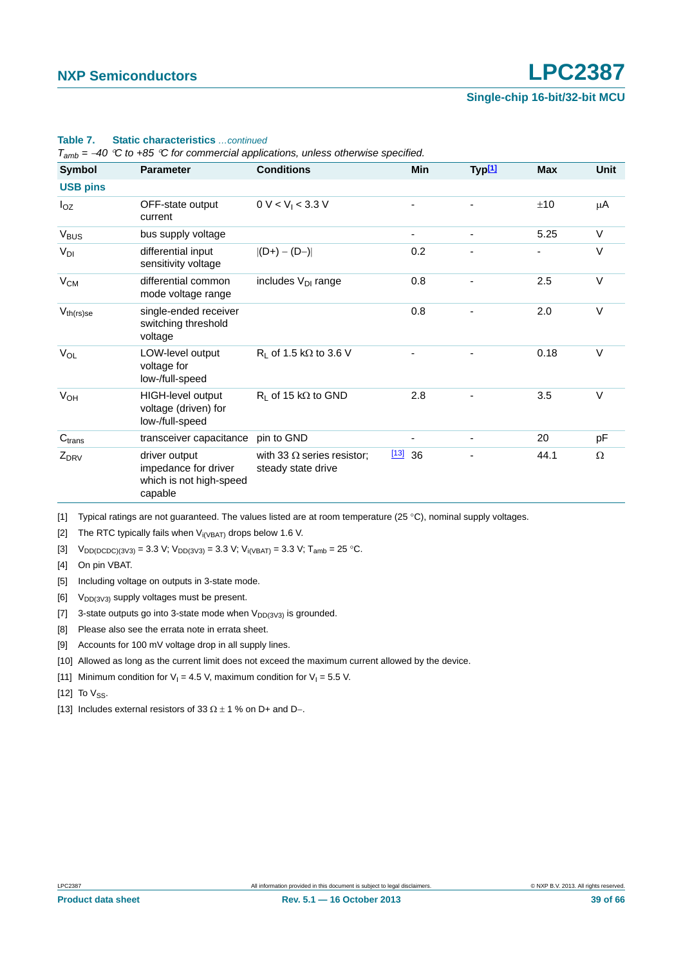| Symbol                | <b>Parameter</b>                                                            | <b>Conditions</b>                                       | Min                      | Typ <sup>[1]</sup> | <b>Max</b> | <b>Unit</b> |
|-----------------------|-----------------------------------------------------------------------------|---------------------------------------------------------|--------------------------|--------------------|------------|-------------|
| <b>USB pins</b>       |                                                                             |                                                         |                          |                    |            |             |
| $I_{OZ}$              | OFF-state output<br>current                                                 | 0 V < V <sub>1</sub> < 3.3 V                            |                          | ٠                  | ±10        | μA          |
| $V_{\text{BUS}}$      | bus supply voltage                                                          |                                                         |                          |                    | 5.25       | $\vee$      |
| $V_{DI}$              | differential input<br>sensitivity voltage                                   | $ (D+) - (D-) $                                         | 0.2                      |                    |            | $\vee$      |
| $V_{CM}$              | differential common<br>mode voltage range                                   | includes $V_{DI}$ range                                 | 0.8                      |                    | 2.5        | $\vee$      |
| $V_{th(rs)se}$        | single-ended receiver<br>switching threshold<br>voltage                     |                                                         | 0.8                      |                    | 2.0        | $\vee$      |
| $V_{OL}$              | LOW-level output<br>voltage for<br>low-/full-speed                          | $R_L$ of 1.5 k $\Omega$ to 3.6 V                        |                          |                    | 0.18       | $\vee$      |
| <b>V<sub>OH</sub></b> | HIGH-level output<br>voltage (driven) for<br>low-/full-speed                | $R_L$ of 15 k $\Omega$ to GND                           | 2.8                      |                    | 3.5        | $\vee$      |
| C <sub>trans</sub>    | transceiver capacitance                                                     | pin to GND                                              |                          |                    | 20         | pF          |
| $Z_{DRV}$             | driver output<br>impedance for driver<br>which is not high-speed<br>capable | with 33 $\Omega$ series resistor;<br>steady state drive | $\underline{[13]}$<br>36 |                    | 44.1       | $\Omega$    |

#### **Table 7. Static characteristics** *…continued*

*Tamb = 40 C to +85 C for commercial applications, unless otherwise specified.*

<span id="page-38-0"></span>[1] Typical ratings are not guaranteed. The values listed are at room temperature (25 °C), nominal supply voltages.

<span id="page-38-1"></span>[2] The RTC typically fails when  $V_{i(VBAT)}$  drops below 1.6 V.

<span id="page-38-2"></span>[3]  $V_{DD(DCDC)(3V3)} = 3.3 V; V_{DD(3V3)} = 3.3 V; V_{i(VBAT)} = 3.3 V; T_{amb} = 25 °C.$ 

<span id="page-38-3"></span>[4] On pin VBAT.

<span id="page-38-4"></span>[5] Including voltage on outputs in 3-state mode.

- <span id="page-38-5"></span>[6]  $V_{DD(3V3)}$  supply voltages must be present.
- <span id="page-38-6"></span>[7] 3-state outputs go into 3-state mode when  $V_{DD(3V3)}$  is grounded.
- <span id="page-38-7"></span>[8] Please also see the errata note in errata sheet.
- <span id="page-38-8"></span>[9] Accounts for 100 mV voltage drop in all supply lines.
- <span id="page-38-9"></span>[10] Allowed as long as the current limit does not exceed the maximum current allowed by the device.
- <span id="page-38-10"></span>[11] Minimum condition for  $V_1 = 4.5$  V, maximum condition for  $V_1 = 5.5$  V.

<span id="page-38-11"></span>[12] To  $V_{SS}$ .

<span id="page-38-12"></span>[13] Includes external resistors of 33  $\Omega \pm 1$  % on D+ and D-.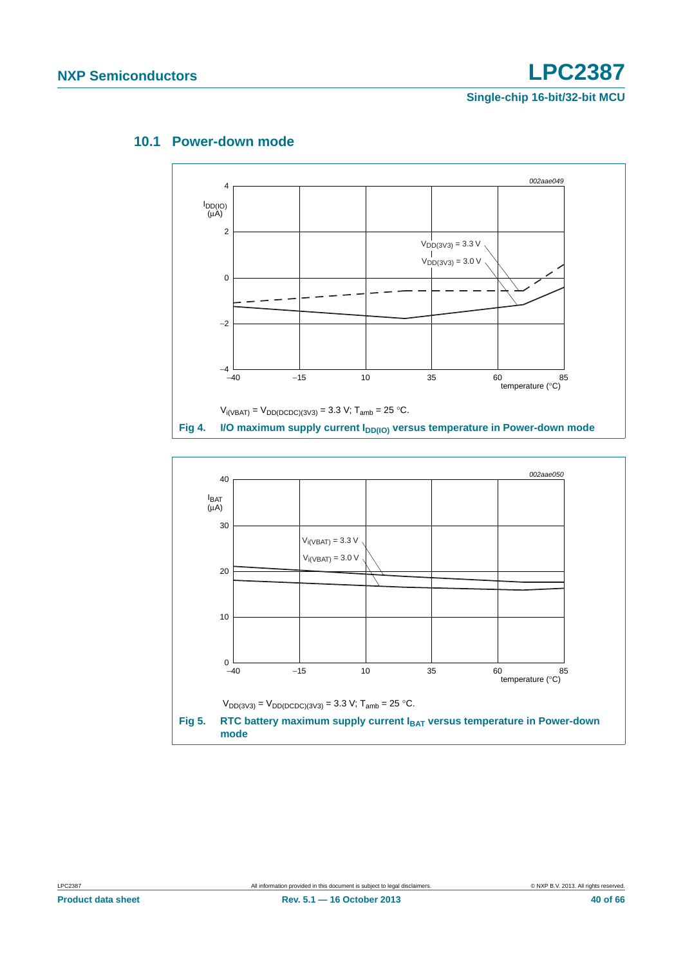

### <span id="page-39-0"></span>**10.1 Power-down mode**

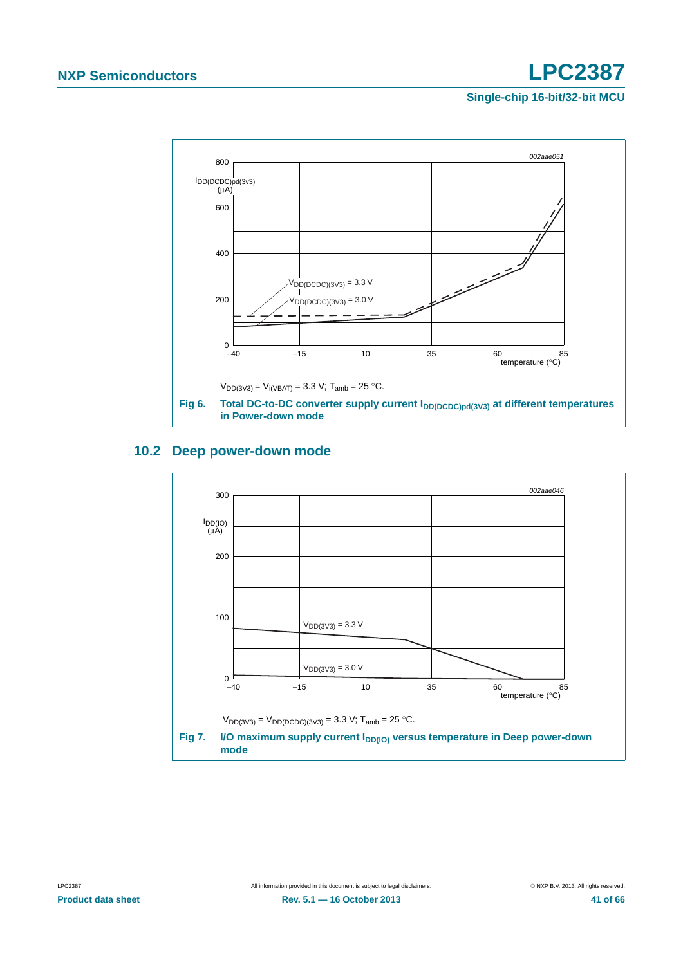

## <span id="page-40-0"></span>**10.2 Deep power-down mode**



**Product data sheet Rev. 5.1 — 16 October 2013** 41 of 66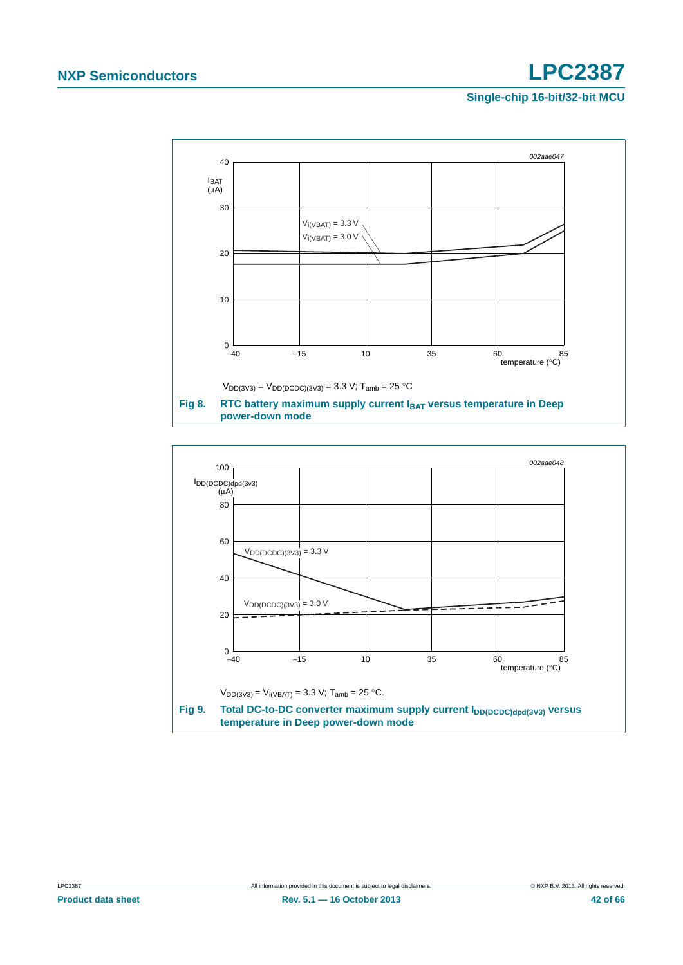

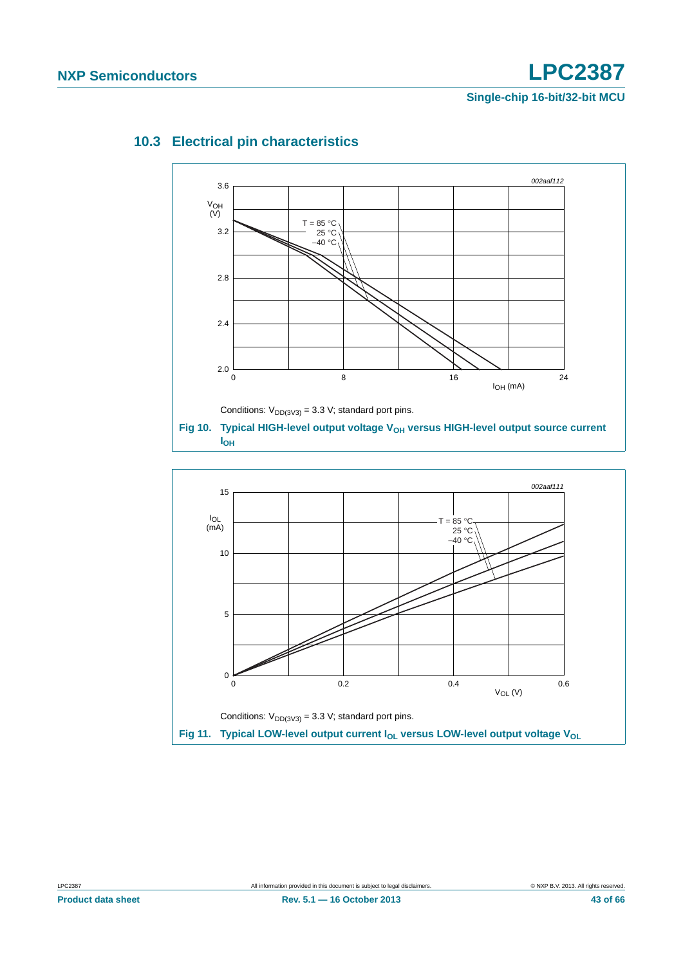

## <span id="page-42-0"></span>**10.3 Electrical pin characteristics**

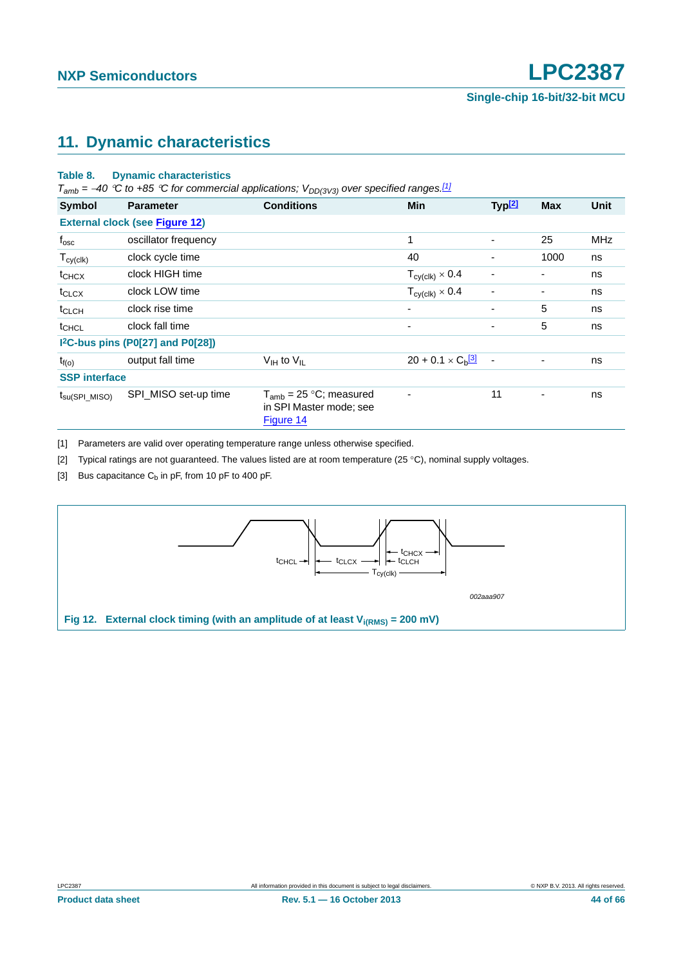# <span id="page-43-5"></span>**11. Dynamic characteristics**

#### <span id="page-43-4"></span>**Table 8. Dynamic characteristics**

 $T_{amb}$  = -40 °C to +85 °C for commercial applications;  $V_{DD(3V3)}$  over specified ranges.<sup>[\[1\]](#page-43-0)</sup>

| <b>Symbol</b>              | <b>Parameter</b>                      | <b>Conditions</b>                                                   | <b>Min</b>                             | Typ <sup>[2]</sup>       | <b>Max</b> | <b>Unit</b> |
|----------------------------|---------------------------------------|---------------------------------------------------------------------|----------------------------------------|--------------------------|------------|-------------|
|                            | <b>External clock (see Figure 12)</b> |                                                                     |                                        |                          |            |             |
| $f_{\rm osc}$              | oscillator frequency                  |                                                                     | 1                                      | $\overline{\phantom{0}}$ | 25         | <b>MHz</b>  |
| $T_{cy(c k)}$              | clock cycle time                      |                                                                     | 40                                     |                          | 1000       | ns          |
| $t_{CHCX}$                 | clock HIGH time                       |                                                                     | $T_{\text{cy}(\text{clk})} \times 0.4$ | $\overline{\phantom{0}}$ | Ξ.         | ns          |
| $t_{CLCX}$                 | clock LOW time                        |                                                                     | $T_{\text{cyclk}}$ $\times$ 0.4        | $\blacksquare$           | -          | ns          |
| t <sub>CLCH</sub>          | clock rise time                       |                                                                     | $\overline{\phantom{a}}$               | ٠                        | 5          | ns          |
| t <sub>CHCL</sub>          | clock fall time                       |                                                                     | $\overline{\phantom{0}}$               | $\overline{\phantom{0}}$ | 5          | ns          |
|                            | $12C-bus pins (P0[27] and P0[28])$    |                                                                     |                                        |                          |            |             |
| $t_{f(o)}$                 | output fall time                      | $V_{\text{IH}}$ to $V_{\text{IL}}$                                  | $20 + 0.1 \times C_{b}$ <sup>3</sup>   | $\overline{\phantom{a}}$ | ۰          | ns          |
| <b>SSP</b> interface       |                                       |                                                                     |                                        |                          |            |             |
| $t_{\text{su(SPI\_MISO)}}$ | SPI_MISO set-up time                  | $T_{amb}$ = 25 °C; measured<br>in SPI Master mode; see<br>Figure 14 | $\overline{\phantom{0}}$               | 11                       |            | ns          |

<span id="page-43-0"></span>[1] Parameters are valid over operating temperature range unless otherwise specified.

<span id="page-43-1"></span>[2] Typical ratings are not guaranteed. The values listed are at room temperature (25 °C), nominal supply voltages.

<span id="page-43-3"></span>[3] Bus capacitance  $C_b$  in pF, from 10 pF to 400 pF.

<span id="page-43-2"></span>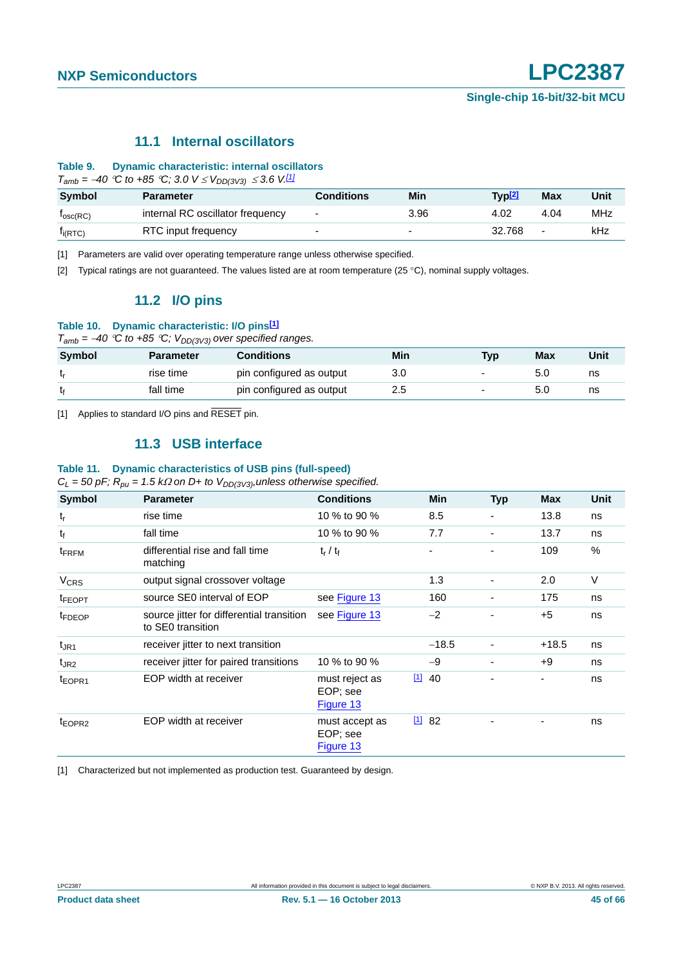### **11.1 Internal oscillators**

#### <span id="page-44-4"></span>**Table 9. Dynamic characteristic: internal oscillators**

 $T_{amb} = -40$  <sup>°</sup>C to +85 <sup>°</sup>C; 3.0  $V \leq V_{DD(3V3)} \leq 3.6$  V.<sup>[\[1\]](#page-44-0)</sup>

| <b>Symbol</b>        | <b>Parameter</b>                 | Conditions               | Min                      | Typ <u>[2]</u> | Max                      | Unit |
|----------------------|----------------------------------|--------------------------|--------------------------|----------------|--------------------------|------|
| $I_{\text{osc}(RC)}$ | internal RC oscillator frequency | ٠                        | 3.96                     | 4.02           | 4.04                     | MHz  |
| $I_{i(RTC)}$         | RTC input frequency              | $\overline{\phantom{0}}$ | $\overline{\phantom{0}}$ | 32.768         | $\overline{\phantom{0}}$ | kHz  |

t<sub>f</sub> fall time pin configured as output  $2.5$  - 5.0 ns

<span id="page-44-0"></span>[1] Parameters are valid over operating temperature range unless otherwise specified.

<span id="page-44-5"></span><span id="page-44-1"></span>[2] Typical ratings are not guaranteed. The values listed are at room temperature (25 °C), nominal supply voltages.

### **11.2 I/O pins**

#### **Table 10. Dynamic characteristic: I/O pins[\[1\]](#page-44-2)**

 $T_{amb} = -40$  *°C to +85 °C;*  $V_{DD(3V3)}$  over specified ranges. **Symbol Parameter Conditions Min Typ Max Unit** t<sub>r</sub> rise time pin configured as output 3.0 - 5.0 ns

<span id="page-44-6"></span><span id="page-44-2"></span>[1] Applies to standard I/O pins and RESET pin.

### **11.3 USB interface**

#### **Table 11. Dynamic characteristics of USB pins (full-speed)**

 $C_L$  = 50 pF;  $R_{pu}$  = 1.5 k $\Omega$  on D+ to  $V_{DD(3V3)}$ , unless otherwise specified.

| Symbol                 | <b>Parameter</b>                                               | <b>Conditions</b>                       |      | <b>Min</b> | <b>Typ</b>               | <b>Max</b> | Unit |
|------------------------|----------------------------------------------------------------|-----------------------------------------|------|------------|--------------------------|------------|------|
| $t_r$                  | rise time                                                      | 10 % to 90 %                            |      | 8.5        |                          | 13.8       | ns   |
| $t_{f}$                | fall time                                                      | 10 % to 90 %                            |      | 7.7        | $\overline{\phantom{0}}$ | 13.7       | ns   |
| t <sub>FRFM</sub>      | differential rise and fall time<br>matching                    | $t_r / t_f$                             |      |            |                          | 109        | %    |
| <b>V<sub>CRS</sub></b> | output signal crossover voltage                                |                                         |      | 1.3        |                          | 2.0        | V    |
| <sup>t</sup> FEOPT     | source SE0 interval of EOP                                     | see Figure 13                           |      | 160        | $\overline{\phantom{0}}$ | 175        | ns   |
| <sup>t</sup> FDEOP     | source jitter for differential transition<br>to SE0 transition | see Figure 13                           |      | $-2$       |                          | $+5$       | ns   |
| $t_{\rm JR1}$          | receiver jitter to next transition                             |                                         |      | $-18.5$    | $\blacksquare$           | $+18.5$    | ns   |
| $t_{JR2}$              | receiver jitter for paired transitions                         | 10 % to 90 %                            |      | $-9$       | $\overline{\phantom{a}}$ | +9         | ns   |
| t <sub>EOPR1</sub>     | EOP width at receiver                                          | must reject as<br>EOP; see<br>Figure 13 |      | 1140       |                          |            | ns   |
| t <sub>EOPR2</sub>     | EOP width at receiver                                          | must accept as<br>EOP; see<br>Figure 13 | 1182 |            |                          |            | ns   |

<span id="page-44-3"></span>[1] Characterized but not implemented as production test. Guaranteed by design.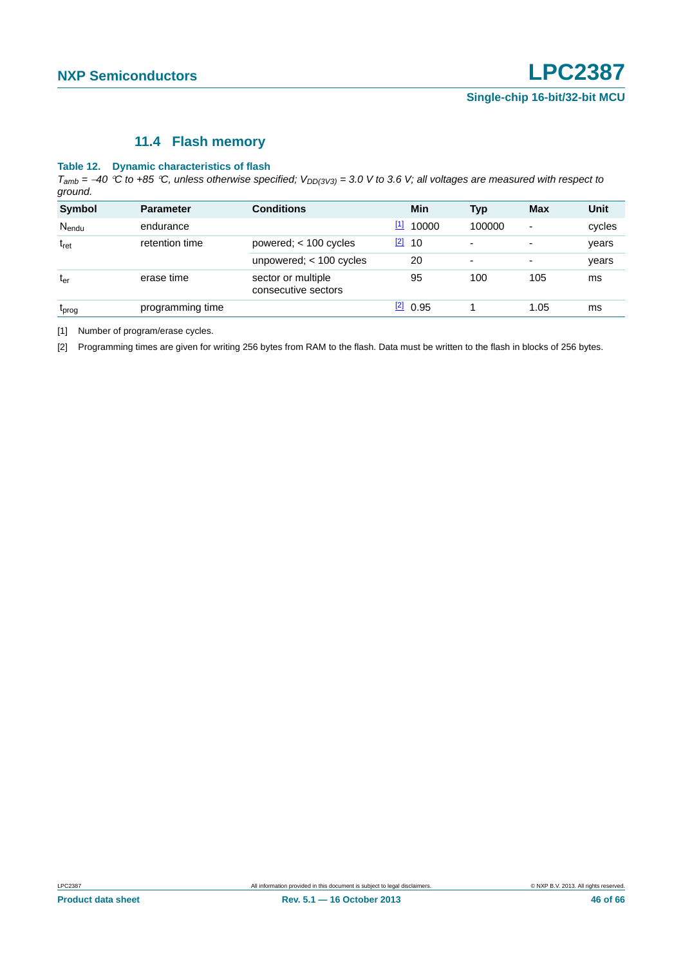#### **11.4 Flash memory**

#### <span id="page-45-2"></span>**Table 12. Dynamic characteristics of flash**

 $T_{amb}$  = -40 °C to +85 °C, unless otherwise specified;  $V_{DD(3V3)}$  = 3.0 V to 3.6 V; all voltages are measured with respect to *ground.*

| <b>Symbol</b>   | <b>Parameter</b> | <b>Conditions</b>                         |       | Min        | <b>Typ</b> | <b>Max</b>               | <b>Unit</b> |
|-----------------|------------------|-------------------------------------------|-------|------------|------------|--------------------------|-------------|
| Nendu           | endurance        |                                           | $[1]$ | 10000      | 100000     | $\overline{\phantom{a}}$ | cycles      |
| $t_{\rm ret}$   | retention time   | powered; $<$ 100 cycles                   | $[2]$ | 10         | ٠          | $\overline{\phantom{a}}$ | years       |
|                 |                  | unpowered; $<$ 100 cycles                 |       | 20         | ٠          | ۰                        | years       |
| t <sub>er</sub> | erase time       | sector or multiple<br>consecutive sectors |       | 95         | 100        | 105                      | ms          |
| <b>L</b> prog   | programming time |                                           |       | $[2]$ 0.95 |            | 1.05                     | ms          |

<span id="page-45-0"></span>[1] Number of program/erase cycles.

<span id="page-45-1"></span>[2] Programming times are given for writing 256 bytes from RAM to the flash. Data must be written to the flash in blocks of 256 bytes.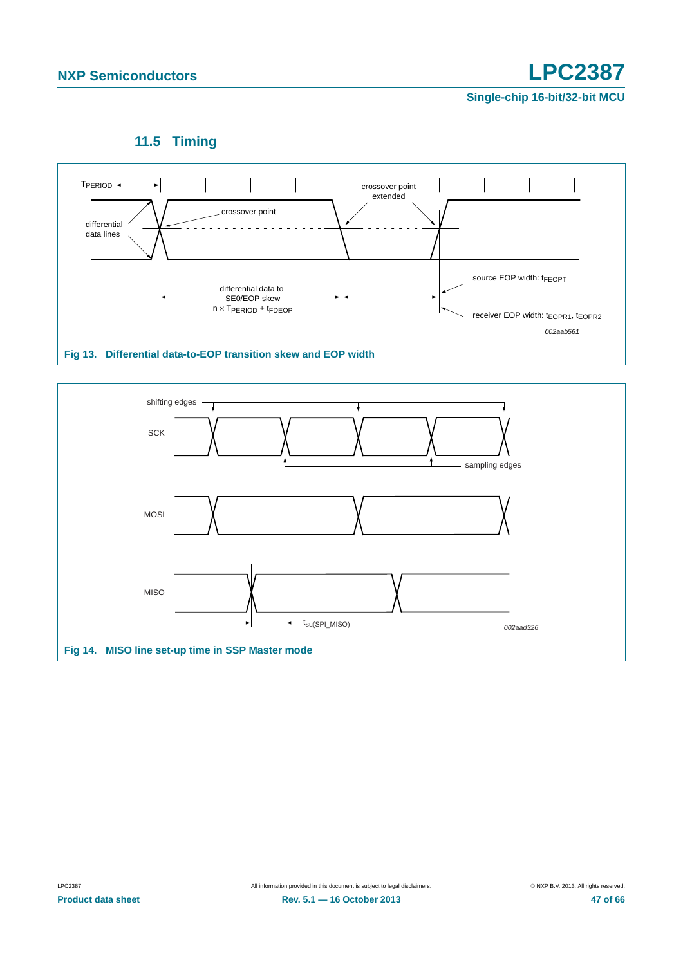

<span id="page-46-2"></span>

<span id="page-46-1"></span><span id="page-46-0"></span>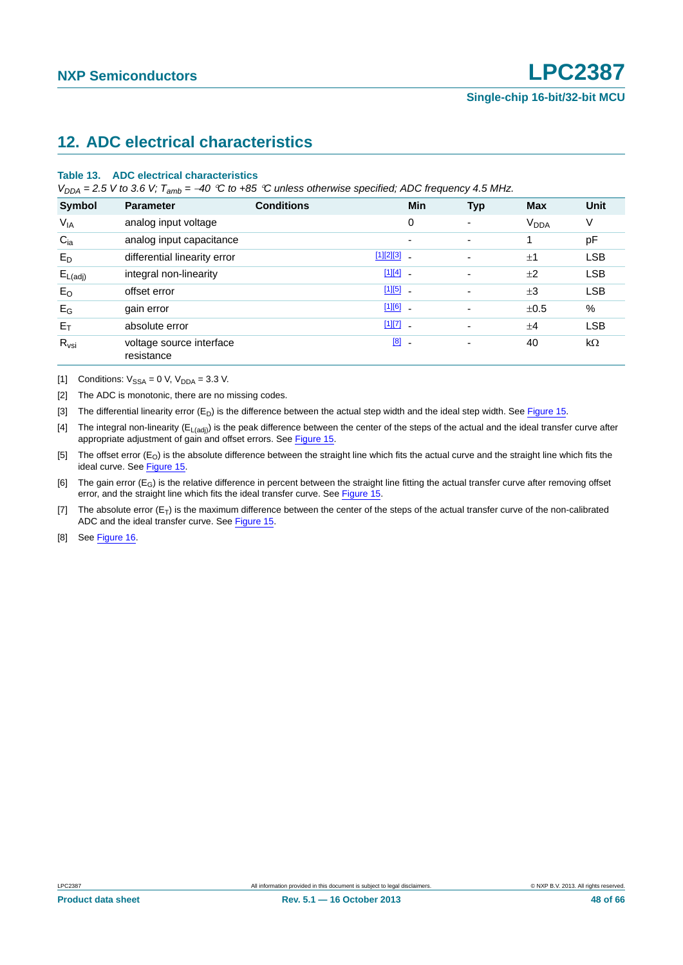# <span id="page-47-8"></span>**12. ADC electrical characteristics**

#### **Table 13. ADC electrical characteristics**

 $V_{DDA}$  = 2.5 V to 3.6 V;  $T_{amb}$  = -40 °C to +85 °C unless otherwise specified; ADC frequency 4.5 MHz.

| Symbol              | <b>Parameter</b>                       | <b>Conditions</b> | <b>Min</b>               | <b>Typ</b>               | <b>Max</b>             | <b>Unit</b> |
|---------------------|----------------------------------------|-------------------|--------------------------|--------------------------|------------------------|-------------|
| $V_{IA}$            | analog input voltage                   |                   | 0                        | $\overline{\phantom{0}}$ | <b>V<sub>DDA</sub></b> | ٧           |
| $C_{ia}$            | analog input capacitance               |                   | $\overline{\phantom{a}}$ | $\overline{\phantom{0}}$ |                        | pF          |
| $E_D$               | differential linearity error           |                   | $[1][2][3]$ .            | $\overline{\phantom{0}}$ | ±1                     | <b>LSB</b>  |
| $E_{L(\text{adj})}$ | integral non-linearity                 |                   | $[1][4]$ -               | ٠                        | ±2                     | <b>LSB</b>  |
| $E_{O}$             | offset error                           |                   | $[1][5]$ $-$             | $\overline{\phantom{a}}$ | $\pm 3$                | <b>LSB</b>  |
| $E_G$               | gain error                             |                   | $[1][6]$ $-$             |                          | ±0.5                   | %           |
| $E_T$               | absolute error                         |                   | $[1][7]$ -               |                          | $+4$                   | <b>LSB</b>  |
| $R_{\text{vsi}}$    | voltage source interface<br>resistance |                   | [8]<br>$\blacksquare$    | $\overline{\phantom{a}}$ | 40                     | $k\Omega$   |

<span id="page-47-0"></span>[1] Conditions:  $V_{SSA} = 0$  V,  $V_{DDA} = 3.3$  V.

<span id="page-47-1"></span>[2] The ADC is monotonic, there are no missing codes.

<span id="page-47-2"></span>[3] The differential linearity error  $(E_D)$  is the difference between the actual step width and the ideal step width. See [Figure 15.](#page-48-0)

<span id="page-47-3"></span>[4] The integral non-linearity ( $E_{L(adi)}$ ) is the peak difference between the center of the steps of the actual and the ideal transfer curve after appropriate adjustment of gain and offset errors. See [Figure 15](#page-48-0).

<span id="page-47-4"></span>[5] The offset error (E<sub>O</sub>) is the absolute difference between the straight line which fits the actual curve and the straight line which fits the ideal curve. See [Figure 15](#page-48-0).

<span id="page-47-5"></span>[6] The gain error  $(E_G)$  is the relative difference in percent between the straight line fitting the actual transfer curve after removing offset error, and the straight line which fits the ideal transfer curve. See [Figure 15.](#page-48-0)

<span id="page-47-6"></span>[7] The absolute error  $(E_T)$  is the maximum difference between the center of the steps of the actual transfer curve of the non-calibrated ADC and the ideal transfer curve. See [Figure 15.](#page-48-0)

<span id="page-47-7"></span>[8] See [Figure 16](#page-49-0).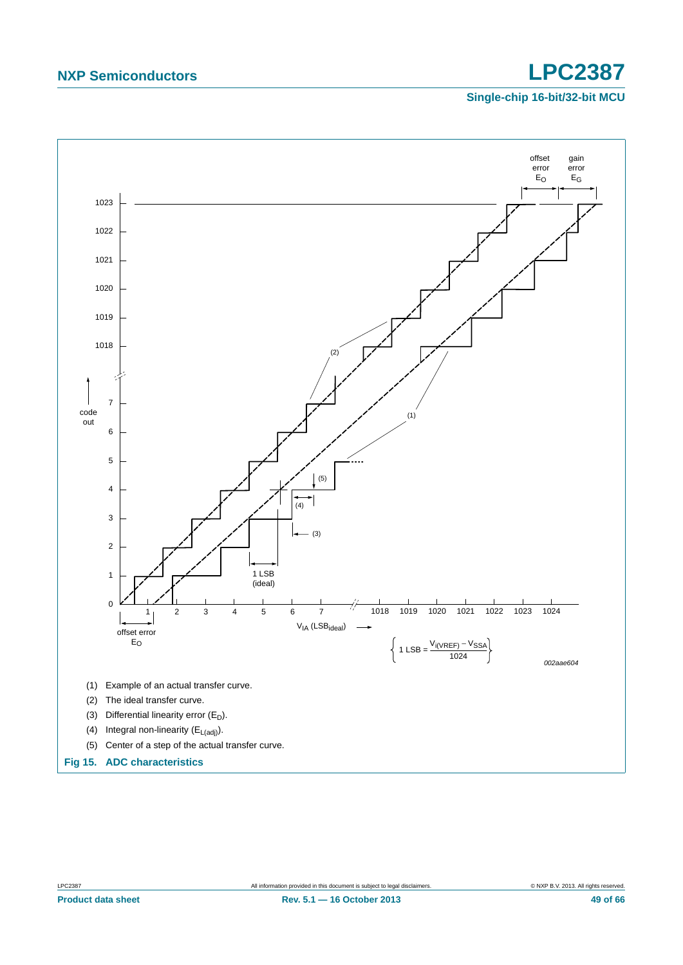<span id="page-48-0"></span>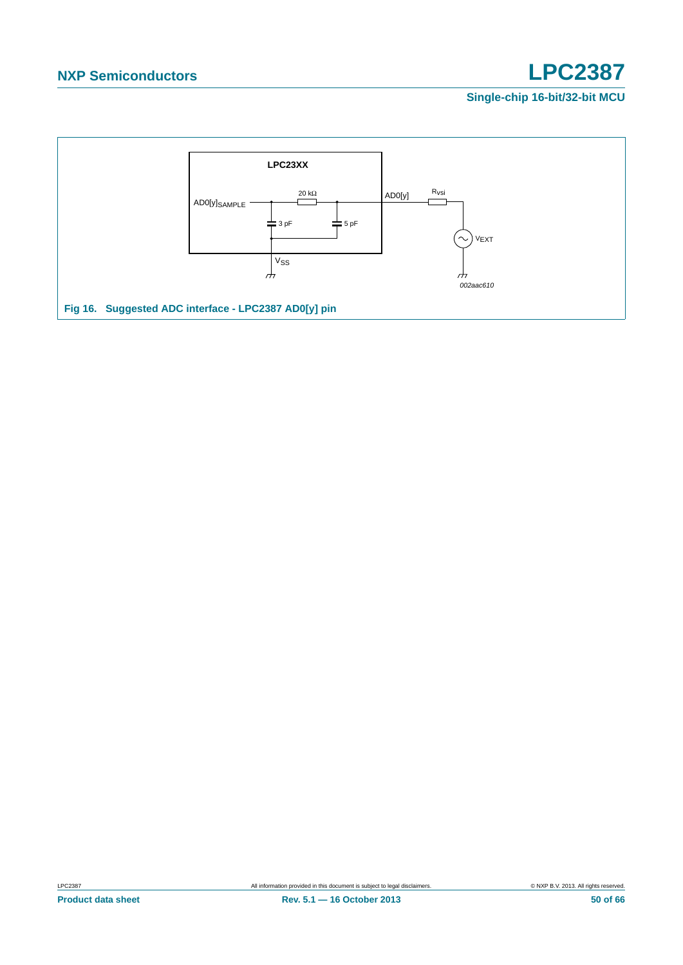<span id="page-49-0"></span>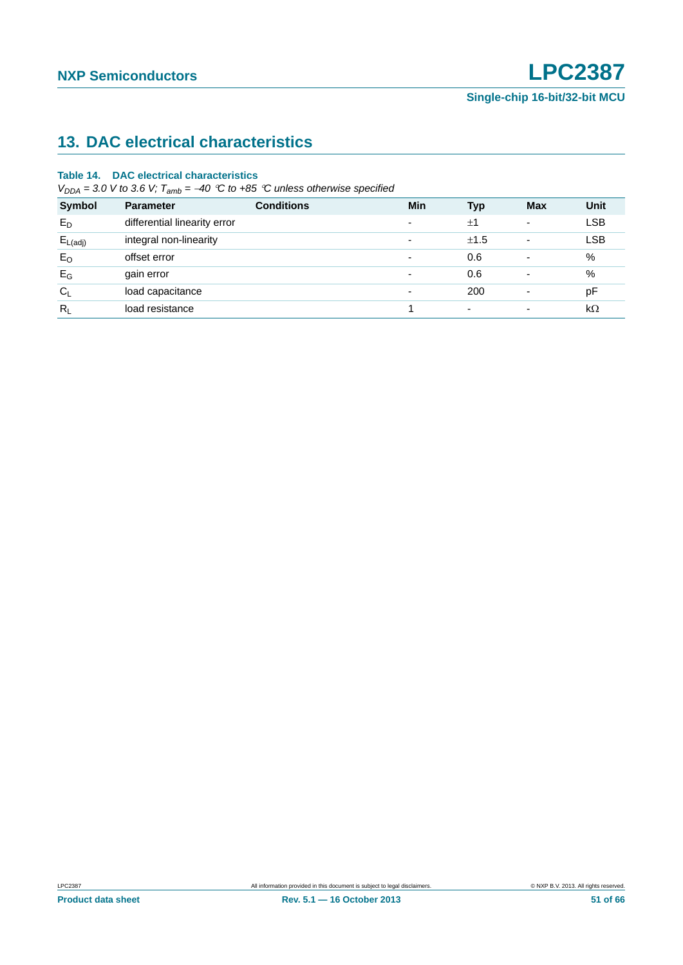# <span id="page-50-0"></span>**13. DAC electrical characteristics**

#### **Table 14. DAC electrical characteristics**

 $V_{DDA} = 3.0$  V to 3.6 V;  $T_{amb} = -40$  °C to +85 °C unless otherwise specified

| <b>Symbol</b>       | <b>Parameter</b>             | <b>Conditions</b> | Min                      | <b>Typ</b>               | <b>Max</b>               | Unit       |
|---------------------|------------------------------|-------------------|--------------------------|--------------------------|--------------------------|------------|
| $E_D$               | differential linearity error |                   | $\overline{\phantom{a}}$ | ±1                       | ٠                        | <b>LSB</b> |
| $E_{L(\text{adj})}$ | integral non-linearity       |                   | $\overline{\phantom{a}}$ | ±1.5                     | ۰                        | <b>LSB</b> |
| $E_{O}$             | offset error                 |                   | $\overline{\phantom{a}}$ | 0.6                      | ۰                        | %          |
| $E_G$               | gain error                   |                   | $\overline{\phantom{a}}$ | 0.6                      |                          | %          |
| $C_L$               | load capacitance             |                   | $\overline{\phantom{a}}$ | 200                      | ٠                        | рF         |
| $R_L$               | load resistance              |                   |                          | $\overline{\phantom{0}}$ | $\overline{\phantom{0}}$ | $k\Omega$  |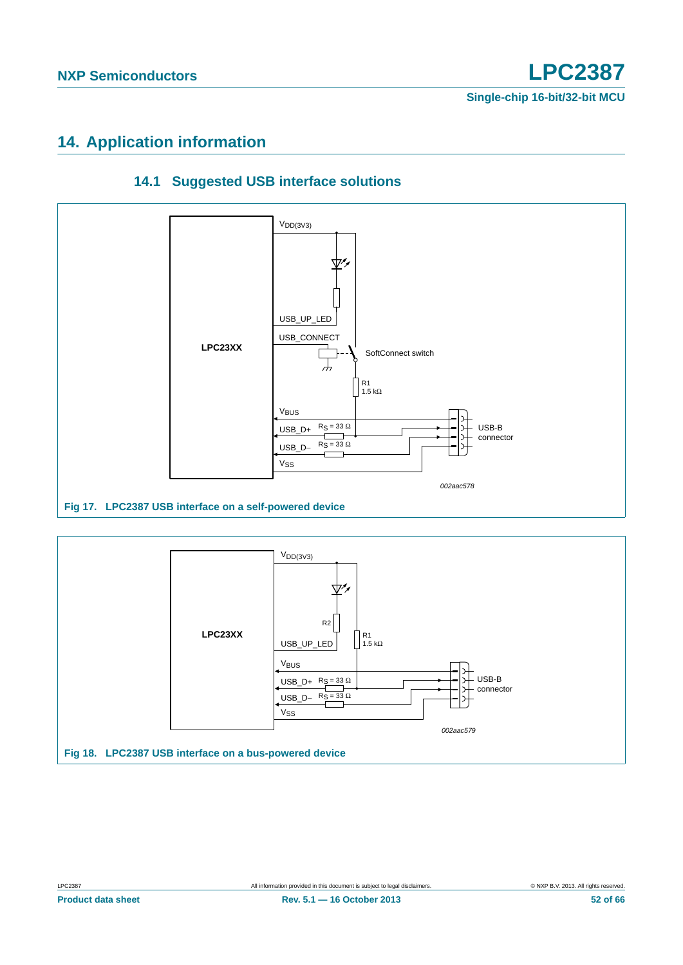# <span id="page-51-1"></span>**14. Application information**

<span id="page-51-0"></span>

### **14.1 Suggested USB interface solutions**

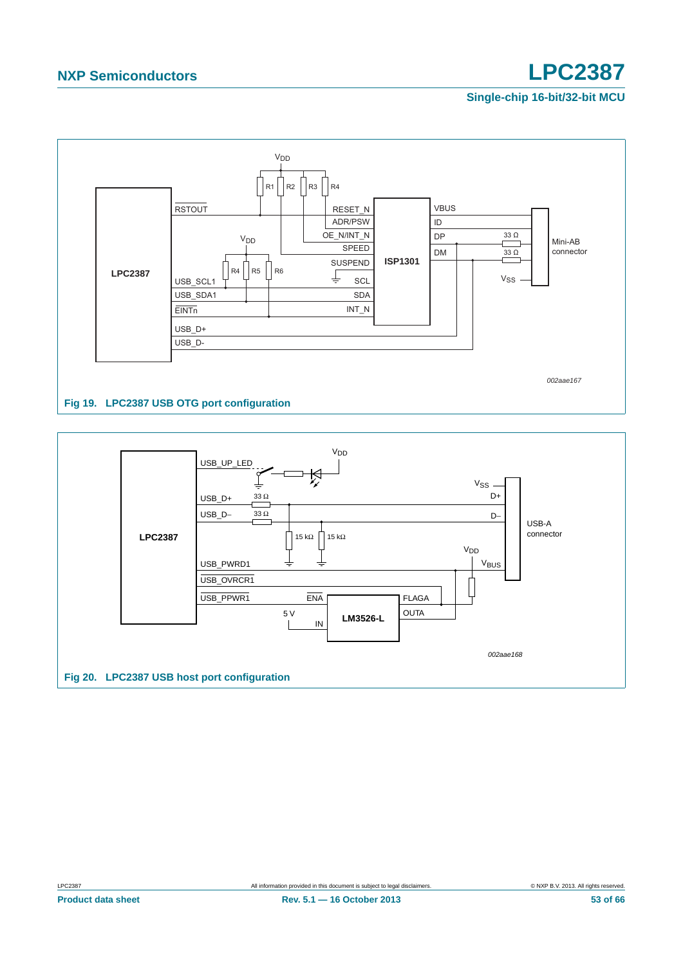

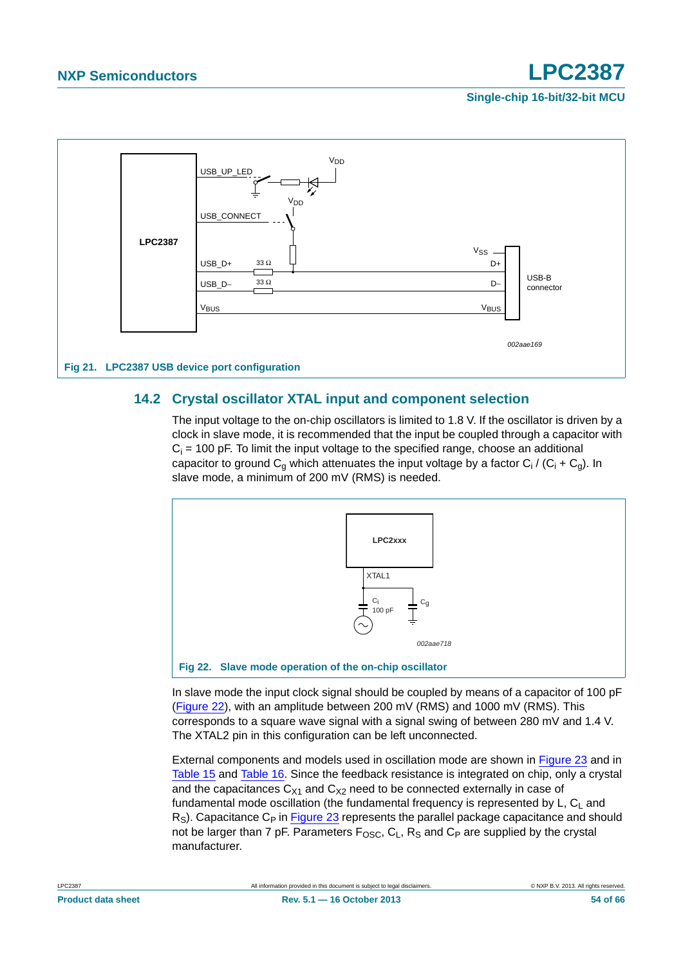



### <span id="page-53-1"></span>**14.2 Crystal oscillator XTAL input and component selection**

The input voltage to the on-chip oscillators is limited to 1.8 V. If the oscillator is driven by a clock in slave mode, it is recommended that the input be coupled through a capacitor with  $C_i$  = 100 pF. To limit the input voltage to the specified range, choose an additional capacitor to ground C<sub>g</sub> which attenuates the input voltage by a factor C<sub>i</sub> / (C<sub>i</sub> + C<sub>g</sub>). In slave mode, a minimum of 200 mV (RMS) is needed.



<span id="page-53-0"></span>In slave mode the input clock signal should be coupled by means of a capacitor of 100 pF [\(Figure 22\)](#page-53-0), with an amplitude between 200 mV (RMS) and 1000 mV (RMS). This corresponds to a square wave signal with a signal swing of between 280 mV and 1.4 V. The XTAL2 pin in this configuration can be left unconnected.

External components and models used in oscillation mode are shown in [Figure 23](#page-54-0) and in [Table 15](#page-54-1) and [Table 16.](#page-54-2) Since the feedback resistance is integrated on chip, only a crystal and the capacitances  $C_{X1}$  and  $C_{X2}$  need to be connected externally in case of fundamental mode oscillation (the fundamental frequency is represented by  $L, C<sub>1</sub>$  and  $R<sub>S</sub>$ ). Capacitance C<sub>P</sub> in [Figure 23](#page-54-0) represents the parallel package capacitance and should not be larger than 7 pF. Parameters  $F_{\text{OSC}}$ ,  $C_L$ ,  $R_S$  and  $C_P$  are supplied by the crystal manufacturer.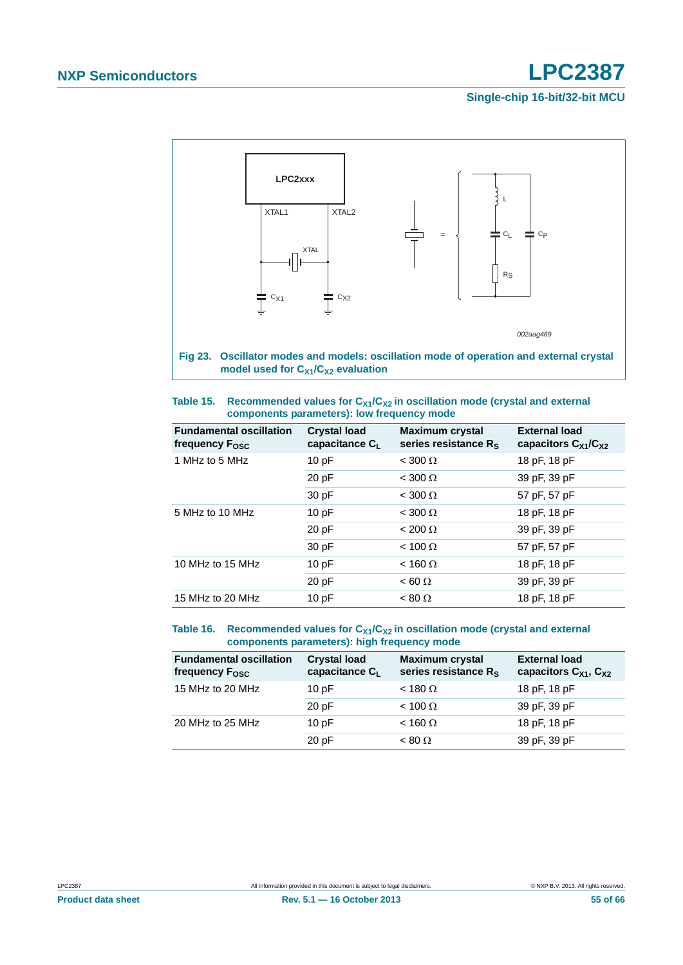

<span id="page-54-1"></span><span id="page-54-0"></span>

| Table 15. | Recommended values for $C_{X1}/C_{X2}$ in oscillation mode (crystal and external |
|-----------|----------------------------------------------------------------------------------|
|           | components parameters): low frequency mode                                       |

| <b>Fundamental oscillation</b><br>frequency F <sub>osc</sub> | <b>Crystal load</b><br>capacitance $C_L$ | <b>Maximum crystal</b><br>series resistance $R_s$ | <b>External load</b><br>capacitors $C_{X1}/C_{X2}$ |
|--------------------------------------------------------------|------------------------------------------|---------------------------------------------------|----------------------------------------------------|
| 1 MHz to 5 MHz                                               | 10pF                                     | $<$ 300 $\Omega$                                  | 18 pF, 18 pF                                       |
|                                                              | 20 pF                                    | $<$ 300 $\Omega$                                  | 39 pF, 39 pF                                       |
|                                                              | 30 pF                                    | $<$ 300 $\Omega$                                  | 57 pF, 57 pF                                       |
| 5 MHz to 10 MHz                                              | 10pF                                     | $<$ 300 $\Omega$                                  | 18 pF, 18 pF                                       |
|                                                              | 20 pF                                    | $< 200 \Omega$                                    | 39 pF, 39 pF                                       |
|                                                              | 30 pF                                    | $< 100 \Omega$                                    | 57 pF, 57 pF                                       |
| 10 MHz to 15 MHz                                             | 10pF                                     | $<$ 160 $\Omega$                                  | 18 pF, 18 pF                                       |
|                                                              | 20 pF                                    | $< 60 \Omega$                                     | 39 pF, 39 pF                                       |
| 15 MHz to 20 MHz                                             | 10pF                                     | $< 80 \Omega$                                     | 18 pF, 18 pF                                       |

#### <span id="page-54-2"></span>Table 16. Recommended values for C<sub>X1</sub>/C<sub>X2</sub> in oscillation mode (crystal and external **components parameters): high frequency mode**

| <b>Fundamental oscillation</b><br>frequency F <sub>osc</sub> | <b>Crystal load</b><br>capacitance C <sub>L</sub> | <b>Maximum crystal</b><br>series resistance R <sub>S</sub> | <b>External load</b><br>capacitors $C_{X1}$ , $C_{X2}$ |
|--------------------------------------------------------------|---------------------------------------------------|------------------------------------------------------------|--------------------------------------------------------|
| 15 MHz to 20 MHz                                             | 10pF                                              | $<$ 180 $\Omega$                                           | 18 pF, 18 pF                                           |
|                                                              | 20 pF                                             | $< 100 \Omega$                                             | 39 pF, 39 pF                                           |
| 20 MHz to 25 MHz                                             | 10pF                                              | $<$ 160 $\Omega$                                           | 18 pF, 18 pF                                           |
|                                                              | 20 pF                                             | $< 80 \Omega$                                              | 39 pF, 39 pF                                           |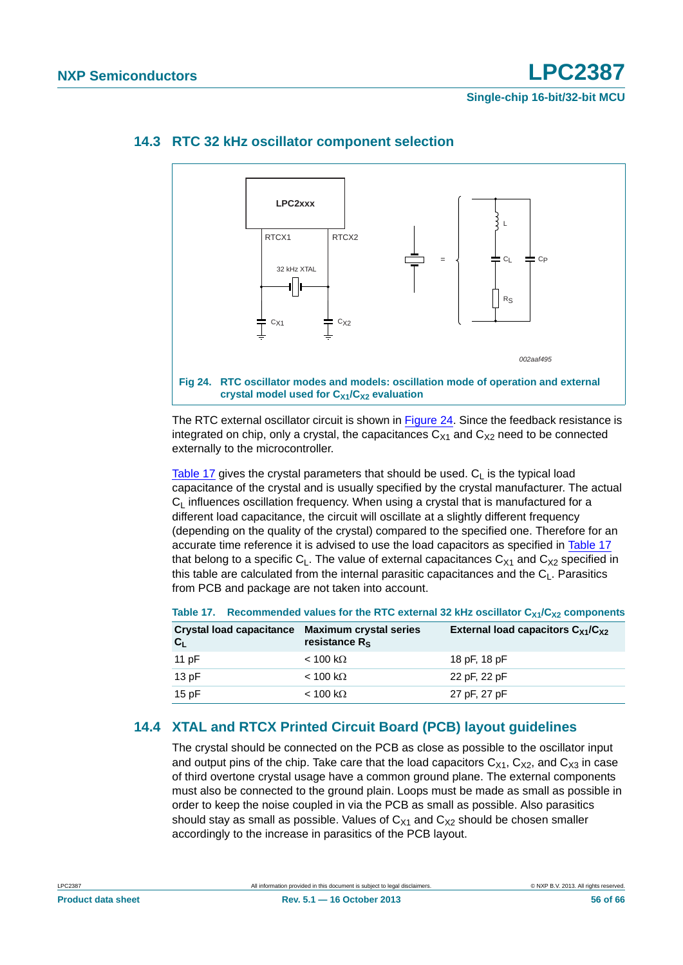

#### <span id="page-55-2"></span>**14.3 RTC 32 kHz oscillator component selection**

<span id="page-55-0"></span>The RTC external oscillator circuit is shown in [Figure 24](#page-55-0). Since the feedback resistance is integrated on chip, only a crystal, the capacitances  $C_{X1}$  and  $C_{X2}$  need to be connected externally to the microcontroller.

[Table 17](#page-55-1) gives the crystal parameters that should be used.  $C_1$  is the typical load capacitance of the crystal and is usually specified by the crystal manufacturer. The actual  $C_1$  influences oscillation frequency. When using a crystal that is manufactured for a different load capacitance, the circuit will oscillate at a slightly different frequency (depending on the quality of the crystal) compared to the specified one. Therefore for an accurate time reference it is advised to use the load capacitors as specified in [Table 17](#page-55-1) that belong to a specific  $C_1$ . The value of external capacitances  $C_{X1}$  and  $C_{X2}$  specified in this table are calculated from the internal parasitic capacitances and the  $C_1$ . Parasitics from PCB and package are not taken into account.

| Crystal load capacitance Maximum crystal series<br>$C_{L}$ | resistance $R_s$ | External load capacitors $C_{X1}/C_{X2}$ |
|------------------------------------------------------------|------------------|------------------------------------------|
| 11 $pF$                                                    | $<$ 100 kΩ       | 18 pF, 18 pF                             |
| 13pF                                                       | $<$ 100 kΩ       | 22 pF, 22 pF                             |
| 15 $pF$                                                    | $<$ 100 kΩ       | 27 pF, 27 pF                             |

#### <span id="page-55-1"></span>Table 17. Recommended values for the RTC external 32 kHz oscillator  $C_{X1}/C_{X2}$  components

### <span id="page-55-3"></span>**14.4 XTAL and RTCX Printed Circuit Board (PCB) layout guidelines**

The crystal should be connected on the PCB as close as possible to the oscillator input and output pins of the chip. Take care that the load capacitors  $C_{X1}$ ,  $C_{X2}$ , and  $C_{X3}$  in case of third overtone crystal usage have a common ground plane. The external components must also be connected to the ground plain. Loops must be made as small as possible in order to keep the noise coupled in via the PCB as small as possible. Also parasitics should stay as small as possible. Values of  $C_{X1}$  and  $C_{X2}$  should be chosen smaller accordingly to the increase in parasitics of the PCB layout.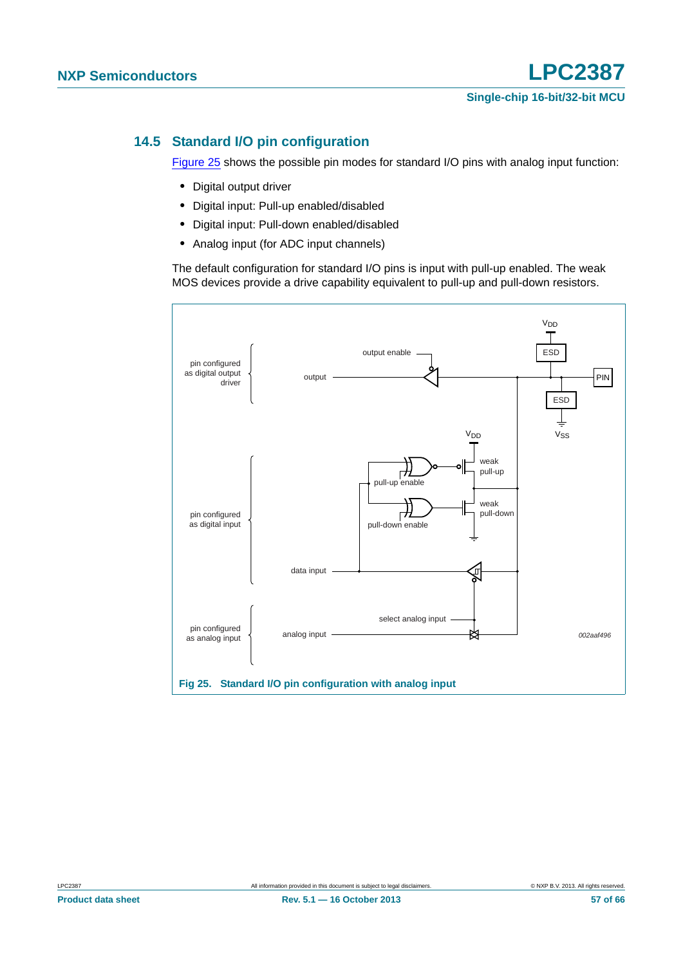### <span id="page-56-1"></span>**14.5 Standard I/O pin configuration**

[Figure 25](#page-56-0) shows the possible pin modes for standard I/O pins with analog input function:

- **•** Digital output driver
- **•** Digital input: Pull-up enabled/disabled
- **•** Digital input: Pull-down enabled/disabled
- **•** Analog input (for ADC input channels)

The default configuration for standard I/O pins is input with pull-up enabled. The weak MOS devices provide a drive capability equivalent to pull-up and pull-down resistors.

<span id="page-56-0"></span>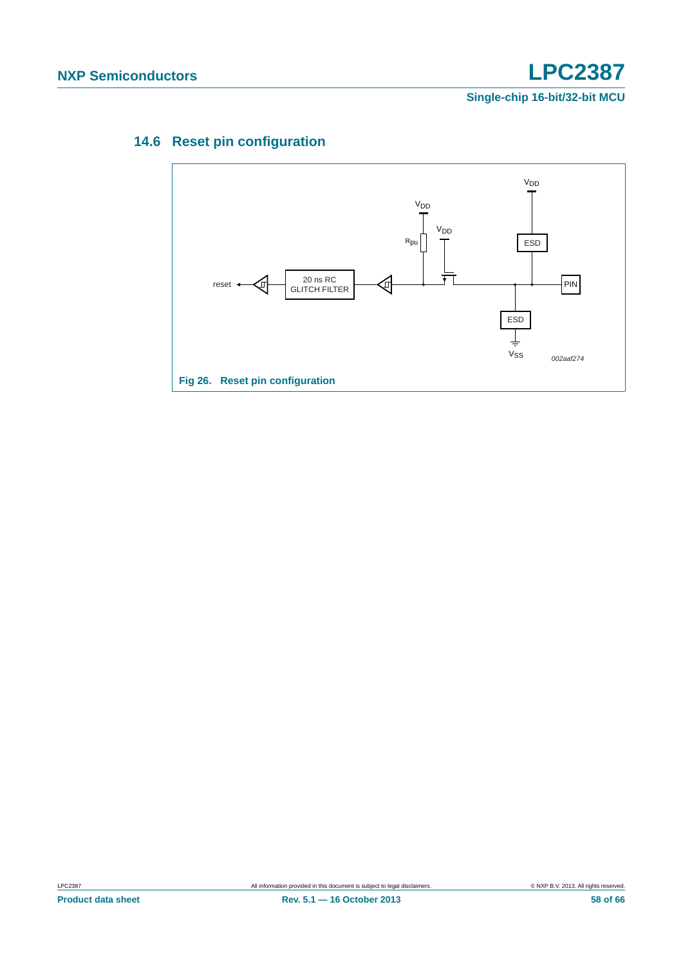# <span id="page-57-0"></span>**14.6 Reset pin configuration**

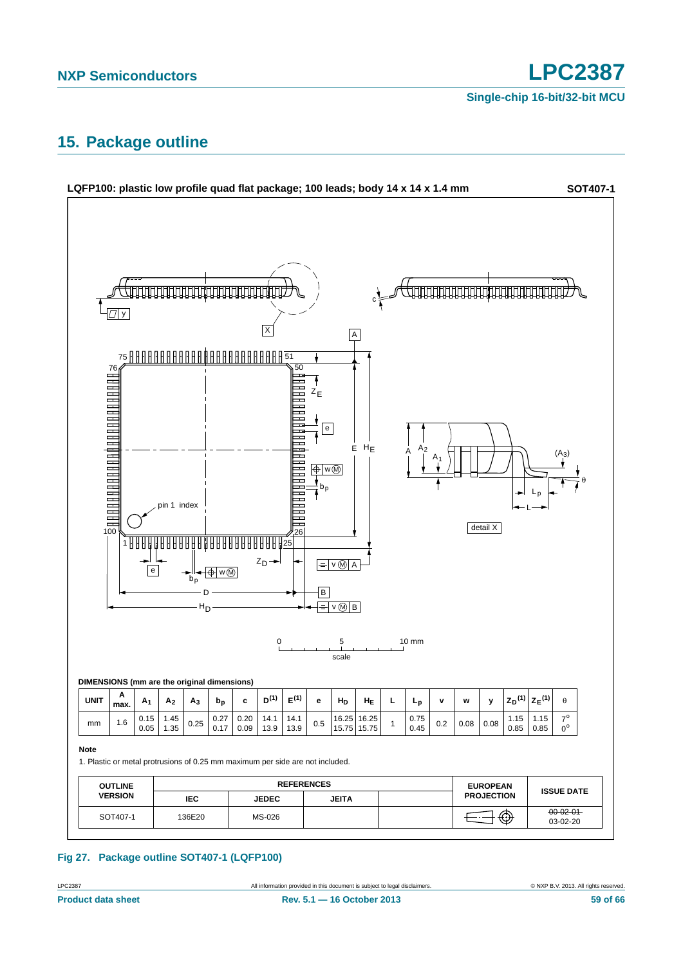**Single-chip 16-bit/32-bit MCU**

# <span id="page-58-0"></span>**15. Package outline**



### **Fig 27. Package outline SOT407-1 (LQFP100)**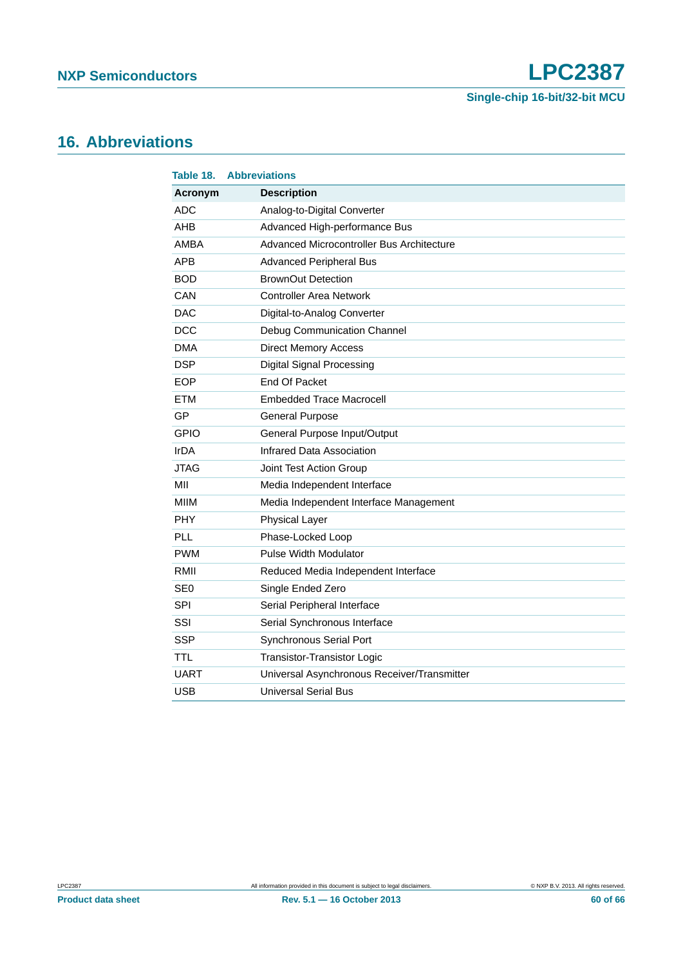# <span id="page-59-0"></span>**16. Abbreviations**

| Table 18.       | <b>Abbreviations</b>                        |
|-----------------|---------------------------------------------|
| Acronym         | <b>Description</b>                          |
| <b>ADC</b>      | Analog-to-Digital Converter                 |
| AHB             | Advanced High-performance Bus               |
| AMBA            | Advanced Microcontroller Bus Architecture   |
| <b>APB</b>      | <b>Advanced Peripheral Bus</b>              |
| <b>BOD</b>      | <b>BrownOut Detection</b>                   |
| CAN             | <b>Controller Area Network</b>              |
| <b>DAC</b>      | Digital-to-Analog Converter                 |
| <b>DCC</b>      | Debug Communication Channel                 |
| <b>DMA</b>      | <b>Direct Memory Access</b>                 |
| <b>DSP</b>      | <b>Digital Signal Processing</b>            |
| <b>EOP</b>      | End Of Packet                               |
| <b>ETM</b>      | <b>Embedded Trace Macrocell</b>             |
| GP              | <b>General Purpose</b>                      |
| <b>GPIO</b>     | General Purpose Input/Output                |
| IrDA            | Infrared Data Association                   |
| <b>JTAG</b>     | Joint Test Action Group                     |
| MII             | Media Independent Interface                 |
| <b>MIIM</b>     | Media Independent Interface Management      |
| PHY             | <b>Physical Layer</b>                       |
| PLL             | Phase-Locked Loop                           |
| <b>PWM</b>      | <b>Pulse Width Modulator</b>                |
| RMII            | Reduced Media Independent Interface         |
| SE <sub>0</sub> | Single Ended Zero                           |
| SPI             | Serial Peripheral Interface                 |
| SSI             | Serial Synchronous Interface                |
| <b>SSP</b>      | Synchronous Serial Port                     |
| <b>TTL</b>      | <b>Transistor-Transistor Logic</b>          |
| <b>UART</b>     | Universal Asynchronous Receiver/Transmitter |
| <b>USB</b>      | <b>Universal Serial Bus</b>                 |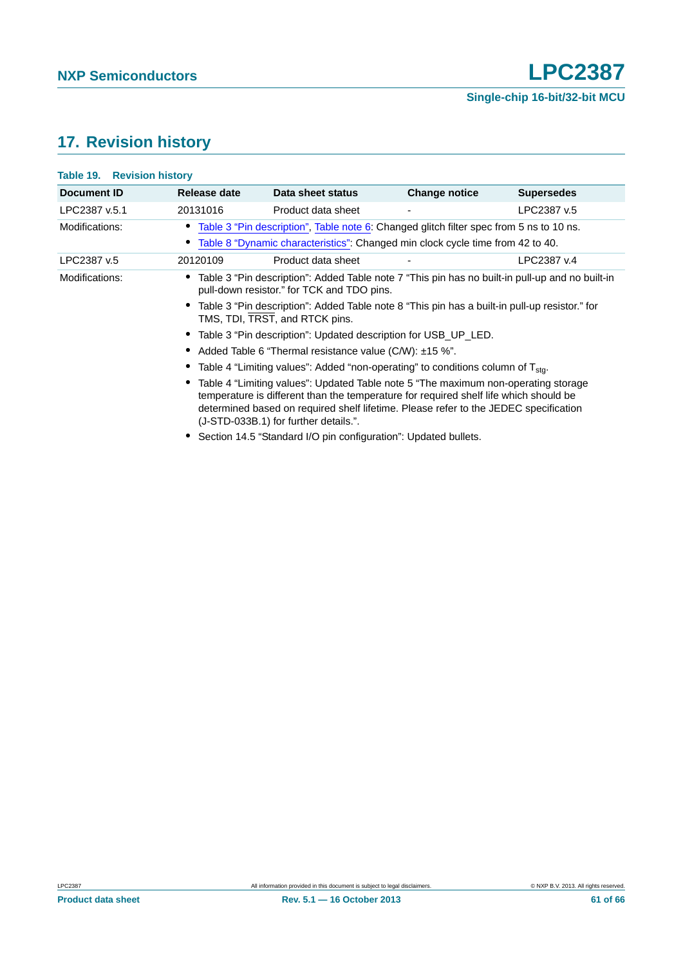# <span id="page-60-0"></span>**17. Revision history**

#### **Table 19. Revision history**

| Document ID    | Release date                                             | Data sheet status                                                                                                                                                                                                                                                                                            | <b>Change notice</b> | <b>Supersedes</b> |  |
|----------------|----------------------------------------------------------|--------------------------------------------------------------------------------------------------------------------------------------------------------------------------------------------------------------------------------------------------------------------------------------------------------------|----------------------|-------------------|--|
| LPC2387 v.5.1  | 20131016                                                 | Product data sheet                                                                                                                                                                                                                                                                                           |                      | LPC2387 v.5       |  |
| Modifications: |                                                          | Table 3 "Pin description", Table note 6: Changed glitch filter spec from 5 ns to 10 ns.                                                                                                                                                                                                                      |                      |                   |  |
|                |                                                          | Table 8 "Dynamic characteristics": Changed min clock cycle time from 42 to 40.                                                                                                                                                                                                                               |                      |                   |  |
| LPC2387 v.5    | 20120109                                                 | Product data sheet                                                                                                                                                                                                                                                                                           |                      | LPC2387 v.4       |  |
| Modifications: |                                                          | Table 3 "Pin description": Added Table note 7 "This pin has no built-in pull-up and no built-in<br>pull-down resistor." for TCK and TDO pins.                                                                                                                                                                |                      |                   |  |
|                |                                                          | Table 3 "Pin description": Added Table note 8 "This pin has a built-in pull-up resistor." for<br>TMS, TDI, TRST, and RTCK pins.                                                                                                                                                                              |                      |                   |  |
|                |                                                          | • Table 3 "Pin description": Updated description for USB_UP_LED.                                                                                                                                                                                                                                             |                      |                   |  |
|                | • Added Table 6 "Thermal resistance value (C/W): ±15 %". |                                                                                                                                                                                                                                                                                                              |                      |                   |  |
|                |                                                          | Table 4 "Limiting values": Added "non-operating" to conditions column of T <sub>sta</sub> .                                                                                                                                                                                                                  |                      |                   |  |
|                |                                                          | Table 4 "Limiting values": Updated Table note 5 "The maximum non-operating storage<br>temperature is different than the temperature for required shelf life which should be<br>determined based on required shelf lifetime. Please refer to the JEDEC specification<br>(J-STD-033B.1) for further details.". |                      |                   |  |
|                |                                                          | Section 14.5 "Standard I/O pin configuration": Updated bullets.                                                                                                                                                                                                                                              |                      |                   |  |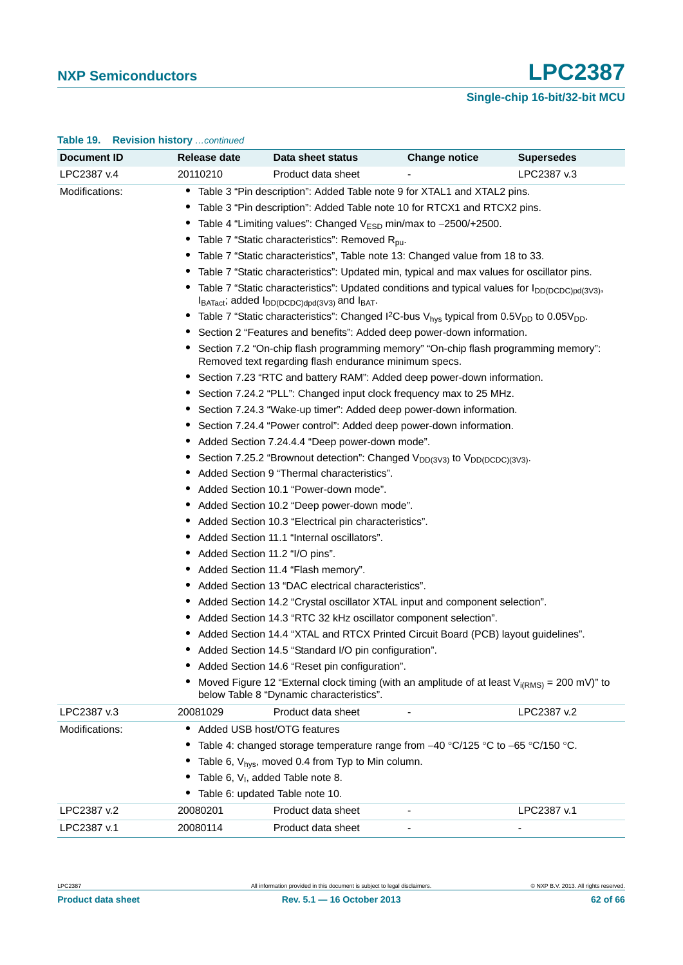## **Single-chip 16-bit/32-bit MCU**

| <b>Document ID</b>            | Release date                                                                                                          | Data sheet status                                                                                                                                                                                                                                                                                                                                                                                                                                                                                                                                                                                                                                                                                                                                                                                                                                                                                                                                                                                                                                                                                                                                                                                                                                                                                                                                                                                                                                                                                                                                                                                                                                                                                                                                                                                                                                                                                                                                                                                                                                                                                                                                                                                                                                                                                                                   | <b>Change notice</b>     | <b>Supersedes</b>        |
|-------------------------------|-----------------------------------------------------------------------------------------------------------------------|-------------------------------------------------------------------------------------------------------------------------------------------------------------------------------------------------------------------------------------------------------------------------------------------------------------------------------------------------------------------------------------------------------------------------------------------------------------------------------------------------------------------------------------------------------------------------------------------------------------------------------------------------------------------------------------------------------------------------------------------------------------------------------------------------------------------------------------------------------------------------------------------------------------------------------------------------------------------------------------------------------------------------------------------------------------------------------------------------------------------------------------------------------------------------------------------------------------------------------------------------------------------------------------------------------------------------------------------------------------------------------------------------------------------------------------------------------------------------------------------------------------------------------------------------------------------------------------------------------------------------------------------------------------------------------------------------------------------------------------------------------------------------------------------------------------------------------------------------------------------------------------------------------------------------------------------------------------------------------------------------------------------------------------------------------------------------------------------------------------------------------------------------------------------------------------------------------------------------------------------------------------------------------------------------------------------------------------|--------------------------|--------------------------|
| LPC2387 v.4                   | 20110210                                                                                                              | Product data sheet                                                                                                                                                                                                                                                                                                                                                                                                                                                                                                                                                                                                                                                                                                                                                                                                                                                                                                                                                                                                                                                                                                                                                                                                                                                                                                                                                                                                                                                                                                                                                                                                                                                                                                                                                                                                                                                                                                                                                                                                                                                                                                                                                                                                                                                                                                                  |                          | LPC2387 v.3              |
| Modifications:                | Added Section 11.2 "I/O pins".                                                                                        | • Table 3 "Pin description": Added Table note 9 for XTAL1 and XTAL2 pins.<br>• Table 3 "Pin description": Added Table note 10 for RTCX1 and RTCX2 pins.<br>Table 4 "Limiting values": Changed $V_{ESD}$ min/max to $-2500/+2500$ .<br>• Table 7 "Static characteristics": Removed $R_{\text{pu}}$ .<br>• Table 7 "Static characteristics", Table note 13: Changed value from 18 to 33.<br>Table 7 "Static characteristics": Updated min, typical and max values for oscillator pins.<br>• Table 7 "Static characteristics": Updated conditions and typical values for I <sub>DD(DCDC)pd(3V3)</sub> ,<br>$I_{BATact}$ ; added $I_{DD(DCDC)dpd(3V3)}$ and $I_{BAT}$ .<br>• Table 7 "Static characteristics": Changed I <sup>2</sup> C-bus V <sub>hys</sub> typical from $0.5V_{DD}$ to $0.05V_{DD}$ .<br>Section 2 "Features and benefits": Added deep power-down information.<br>Section 7.2 "On-chip flash programming memory" "On-chip flash programming memory":<br>Removed text regarding flash endurance minimum specs.<br>• Section 7.23 "RTC and battery RAM": Added deep power-down information.<br>• Section 7.24.2 "PLL": Changed input clock frequency max to 25 MHz.<br>• Section 7.24.3 "Wake-up timer": Added deep power-down information.<br>• Section 7.24.4 "Power control": Added deep power-down information.<br>• Added Section 7.24.4.4 "Deep power-down mode".<br>Section 7.25.2 "Brownout detection": Changed $V_{DD(3V3)}$ to $V_{DD(DCDC)(3V3)}$ .<br>• Added Section 9 "Thermal characteristics".<br>• Added Section 10.1 "Power-down mode".<br>Added Section 10.2 "Deep power-down mode".<br>• Added Section 10.3 "Electrical pin characteristics".<br>• Added Section 11.1 "Internal oscillators".<br>• Added Section 11.4 "Flash memory".<br>• Added Section 13 "DAC electrical characteristics".<br>• Added Section 14.2 "Crystal oscillator XTAL input and component selection".<br>• Added Section 14.3 "RTC 32 kHz oscillator component selection".<br>Added Section 14.4 "XTAL and RTCX Printed Circuit Board (PCB) layout guidelines".<br>• Added Section 14.5 "Standard I/O pin configuration".<br>Added Section 14.6 "Reset pin configuration".<br>Moved Figure 12 "External clock timing (with an amplitude of at least $V_{i(RMS)} = 200$ mV)" to<br>below Table 8 "Dynamic characteristics". |                          |                          |
| LPC2387 v.3                   | 20081029                                                                                                              | Product data sheet                                                                                                                                                                                                                                                                                                                                                                                                                                                                                                                                                                                                                                                                                                                                                                                                                                                                                                                                                                                                                                                                                                                                                                                                                                                                                                                                                                                                                                                                                                                                                                                                                                                                                                                                                                                                                                                                                                                                                                                                                                                                                                                                                                                                                                                                                                                  |                          | LPC2387 v.2              |
| Modifications:<br>LPC2387 v.2 | • Added USB host/OTG features<br>Table 6, $V1$ , added Table note 8.<br>• Table 6: updated Table note 10.<br>20080201 | Table 4: changed storage temperature range from -40 °C/125 °C to -65 °C/150 °C.<br>Table 6, $V_{hys}$ , moved 0.4 from Typ to Min column.<br>Product data sheet                                                                                                                                                                                                                                                                                                                                                                                                                                                                                                                                                                                                                                                                                                                                                                                                                                                                                                                                                                                                                                                                                                                                                                                                                                                                                                                                                                                                                                                                                                                                                                                                                                                                                                                                                                                                                                                                                                                                                                                                                                                                                                                                                                     |                          | LPC2387 v.1              |
| LPC2387 v.1                   | 20080114                                                                                                              | Product data sheet                                                                                                                                                                                                                                                                                                                                                                                                                                                                                                                                                                                                                                                                                                                                                                                                                                                                                                                                                                                                                                                                                                                                                                                                                                                                                                                                                                                                                                                                                                                                                                                                                                                                                                                                                                                                                                                                                                                                                                                                                                                                                                                                                                                                                                                                                                                  | $\overline{\phantom{a}}$ | $\overline{\phantom{a}}$ |

#### **Table 19. Revision history** *…continued*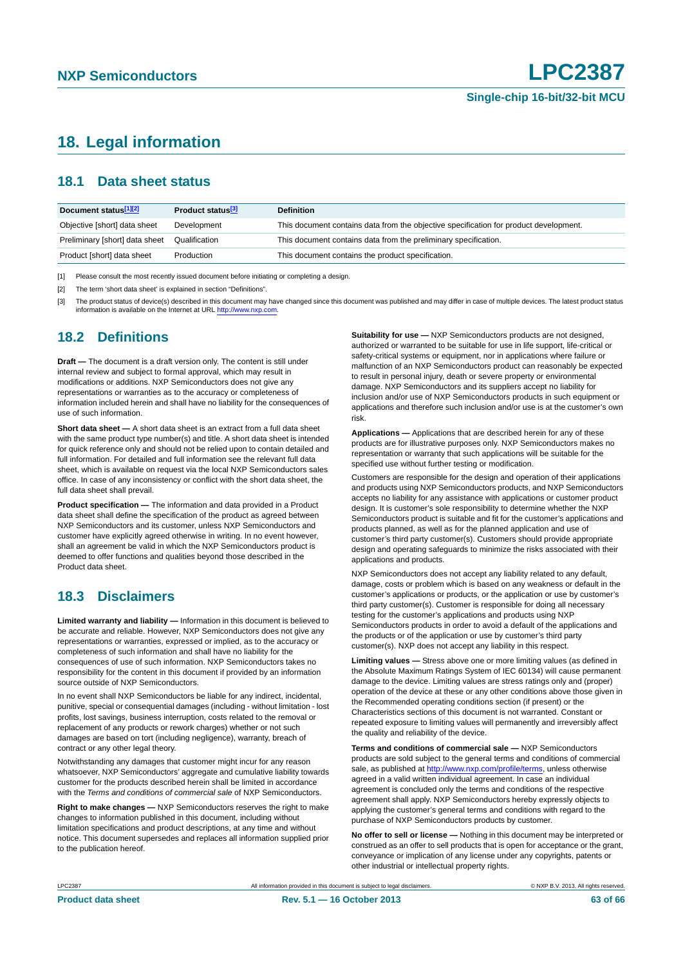# <span id="page-62-3"></span>**18. Legal information**

#### <span id="page-62-4"></span>**18.1 Data sheet status**

| Document status[1][2]          | Product status <sup>[3]</sup> | <b>Definition</b>                                                                     |
|--------------------------------|-------------------------------|---------------------------------------------------------------------------------------|
| Objective [short] data sheet   | Development                   | This document contains data from the objective specification for product development. |
| Preliminary [short] data sheet | Qualification                 | This document contains data from the preliminary specification.                       |
| Product [short] data sheet     | Production                    | This document contains the product specification.                                     |

<span id="page-62-0"></span>[1] Please consult the most recently issued document before initiating or completing a design.

<span id="page-62-1"></span>[2] The term 'short data sheet' is explained in section "Definitions".

<span id="page-62-2"></span>[3] The product status of device(s) described in this document may have changed since this document was published and may differ in case of multiple devices. The latest product status<br>information is available on the Intern

#### <span id="page-62-5"></span>**18.2 Definitions**

**Draft —** The document is a draft version only. The content is still under internal review and subject to formal approval, which may result in modifications or additions. NXP Semiconductors does not give any representations or warranties as to the accuracy or completeness of information included herein and shall have no liability for the consequences of use of such information.

**Short data sheet —** A short data sheet is an extract from a full data sheet with the same product type number(s) and title. A short data sheet is intended for quick reference only and should not be relied upon to contain detailed and full information. For detailed and full information see the relevant full data sheet, which is available on request via the local NXP Semiconductors sales office. In case of any inconsistency or conflict with the short data sheet, the full data sheet shall prevail.

**Product specification —** The information and data provided in a Product data sheet shall define the specification of the product as agreed between NXP Semiconductors and its customer, unless NXP Semiconductors and customer have explicitly agreed otherwise in writing. In no event however, shall an agreement be valid in which the NXP Semiconductors product is deemed to offer functions and qualities beyond those described in the Product data sheet.

### <span id="page-62-6"></span>**18.3 Disclaimers**

**Limited warranty and liability —** Information in this document is believed to be accurate and reliable. However, NXP Semiconductors does not give any representations or warranties, expressed or implied, as to the accuracy or completeness of such information and shall have no liability for the consequences of use of such information. NXP Semiconductors takes no responsibility for the content in this document if provided by an information source outside of NXP Semiconductors.

In no event shall NXP Semiconductors be liable for any indirect, incidental, punitive, special or consequential damages (including - without limitation - lost profits, lost savings, business interruption, costs related to the removal or replacement of any products or rework charges) whether or not such damages are based on tort (including negligence), warranty, breach of contract or any other legal theory.

Notwithstanding any damages that customer might incur for any reason whatsoever, NXP Semiconductors' aggregate and cumulative liability towards customer for the products described herein shall be limited in accordance with the *Terms and conditions of commercial sale* of NXP Semiconductors.

**Right to make changes —** NXP Semiconductors reserves the right to make changes to information published in this document, including without limitation specifications and product descriptions, at any time and without notice. This document supersedes and replaces all information supplied prior to the publication hereof.

**Suitability for use —** NXP Semiconductors products are not designed, authorized or warranted to be suitable for use in life support, life-critical or safety-critical systems or equipment, nor in applications where failure or malfunction of an NXP Semiconductors product can reasonably be expected to result in personal injury, death or severe property or environmental damage. NXP Semiconductors and its suppliers accept no liability for inclusion and/or use of NXP Semiconductors products in such equipment or applications and therefore such inclusion and/or use is at the customer's own risk.

**Applications —** Applications that are described herein for any of these products are for illustrative purposes only. NXP Semiconductors makes no representation or warranty that such applications will be suitable for the specified use without further testing or modification.

Customers are responsible for the design and operation of their applications and products using NXP Semiconductors products, and NXP Semiconductors accepts no liability for any assistance with applications or customer product design. It is customer's sole responsibility to determine whether the NXP Semiconductors product is suitable and fit for the customer's applications and products planned, as well as for the planned application and use of customer's third party customer(s). Customers should provide appropriate design and operating safeguards to minimize the risks associated with their applications and products.

NXP Semiconductors does not accept any liability related to any default, damage, costs or problem which is based on any weakness or default in the customer's applications or products, or the application or use by customer's third party customer(s). Customer is responsible for doing all necessary testing for the customer's applications and products using NXP Semiconductors products in order to avoid a default of the applications and the products or of the application or use by customer's third party customer(s). NXP does not accept any liability in this respect.

**Limiting values —** Stress above one or more limiting values (as defined in the Absolute Maximum Ratings System of IEC 60134) will cause permanent damage to the device. Limiting values are stress ratings only and (proper) operation of the device at these or any other conditions above those given in the Recommended operating conditions section (if present) or the Characteristics sections of this document is not warranted. Constant or repeated exposure to limiting values will permanently and irreversibly affect the quality and reliability of the device.

**Terms and conditions of commercial sale —** NXP Semiconductors products are sold subject to the general terms and conditions of commercial sale, as published at<http://www.nxp.com/profile/terms>, unless otherwise agreed in a valid written individual agreement. In case an individual agreement is concluded only the terms and conditions of the respective agreement shall apply. NXP Semiconductors hereby expressly objects to applying the customer's general terms and conditions with regard to the purchase of NXP Semiconductors products by customer.

**No offer to sell or license —** Nothing in this document may be interpreted or construed as an offer to sell products that is open for acceptance or the grant, conveyance or implication of any license under any copyrights, patents or other industrial or intellectual property rights.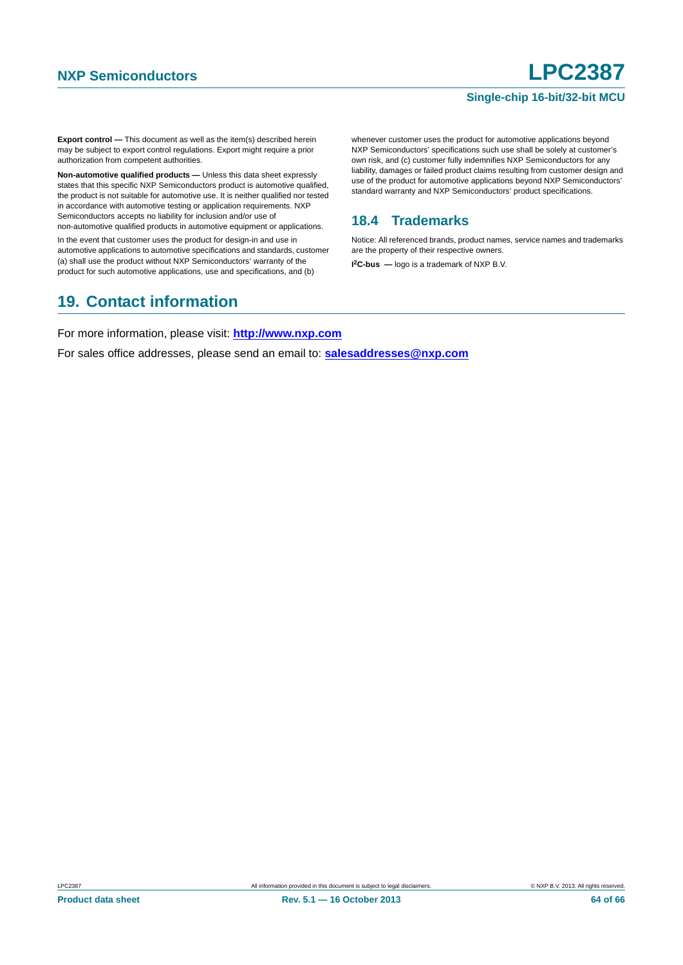**Export control —** This document as well as the item(s) described herein may be subject to export control regulations. Export might require a prior authorization from competent authorities.

**Non-automotive qualified products —** Unless this data sheet expressly states that this specific NXP Semiconductors product is automotive qualified, the product is not suitable for automotive use. It is neither qualified nor tested in accordance with automotive testing or application requirements. NXP Semiconductors accepts no liability for inclusion and/or use of non-automotive qualified products in automotive equipment or applications.

In the event that customer uses the product for design-in and use in automotive applications to automotive specifications and standards, customer (a) shall use the product without NXP Semiconductors' warranty of the product for such automotive applications, use and specifications, and (b)

# <span id="page-63-1"></span>**19. Contact information**

whenever customer uses the product for automotive applications beyond NXP Semiconductors' specifications such use shall be solely at customer's own risk, and (c) customer fully indemnifies NXP Semiconductors for any liability, damages or failed product claims resulting from customer design and use of the product for automotive applications beyond NXP Semiconductors' standard warranty and NXP Semiconductors' product specifications.

## <span id="page-63-0"></span>**18.4 Trademarks**

Notice: All referenced brands, product names, service names and trademarks are the property of their respective owners. **I 2C-bus —** logo is a trademark of NXP B.V.

For more information, please visit: **http://www.nxp.com**

For sales office addresses, please send an email to: **salesaddresses@nxp.com**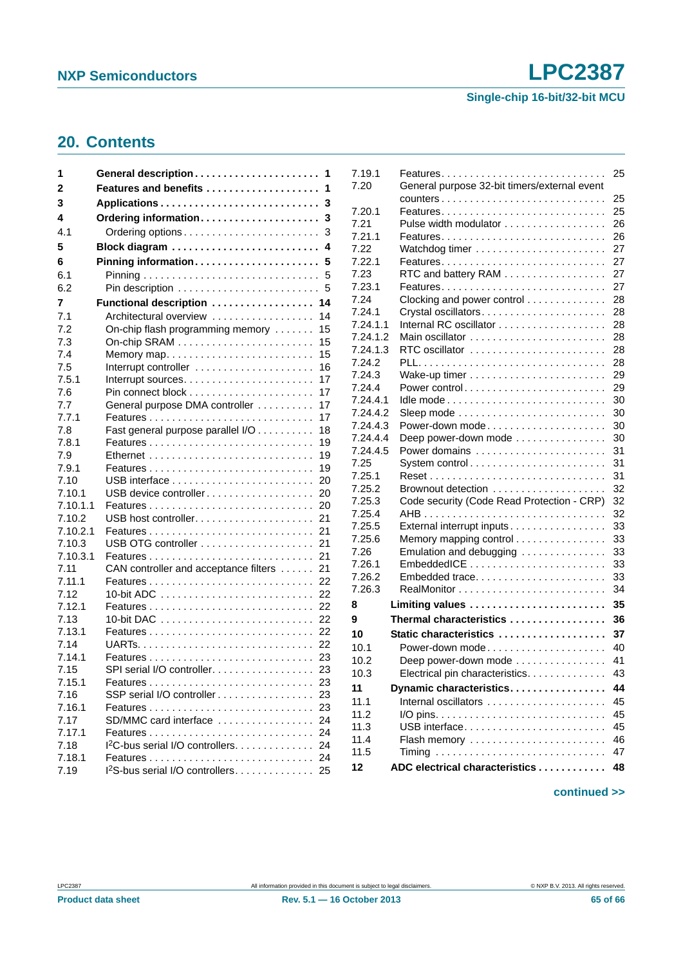**Single-chip 16-bit/32-bit MCU**

# <span id="page-64-0"></span>**20. Contents**

| 1              | General description                                             | 1        |
|----------------|-----------------------------------------------------------------|----------|
| 2              | Features and benefits                                           | 1        |
| 3              |                                                                 | 3        |
| 4              | Ordering information                                            | 3        |
| 4.1            | Ordering options                                                | 3        |
| 5              | Block diagram                                                   | 4        |
| 6              | Pinning information                                             | 5        |
| 6.1            |                                                                 | 5        |
| 6.2            | Pin description                                                 | 5        |
| 7              | Functional description  14                                      |          |
| 7.1            | Architectural overview                                          | 14       |
| 7.2            | On-chip flash programming memory                                | 15       |
| 7.3            | On-chip SRAM $\ldots \ldots \ldots \ldots \ldots \ldots \ldots$ | 15       |
| 7.4            | Memory map                                                      | 15       |
| 7.5            | Interrupt controller                                            | 16       |
| 7.5.1          |                                                                 | 17       |
| 7.6            |                                                                 | 17       |
| 7.7            | General purpose DMA controller                                  | 17       |
| 7.7.1          |                                                                 | 17       |
| 7.8            | Fast general purpose parallel I/O                               | 18       |
| 7.8.1          |                                                                 | 19       |
| 7.9<br>7.9.1   |                                                                 | 19       |
| 7.10           |                                                                 | 19<br>20 |
| 7.10.1         | USB device controller                                           | 20       |
| 7.10.1.1       |                                                                 | 20       |
| 7.10.2         |                                                                 | 21       |
| 7.10.2.1       |                                                                 | 21       |
| 7.10.3         |                                                                 | 21       |
| 7.10.3.1       |                                                                 | 21       |
| 7.11           | CAN controller and acceptance filters                           | 21       |
| 7.11.1         |                                                                 |          |
| 7.12           |                                                                 |          |
| 7.12.1         |                                                                 | 22       |
| 7.13           |                                                                 | 22       |
| 7.13.1         |                                                                 | 22       |
| 7.14           |                                                                 | 22       |
| 7.14.1<br>7.15 |                                                                 |          |
| 7.15.1         | SPI serial I/O controller.                                      | 23<br>23 |
| 7.16           | SSP serial I/O controller                                       | 23       |
| 7.16.1         |                                                                 | 23       |
| 7.17           | SD/MMC card interface                                           | 24       |
| 7.17.1         |                                                                 |          |
| 7.18           | $12C$ -bus serial I/O controllers                               | 24       |
| 7.18.1         |                                                                 | 24       |
| 7.19           | I <sup>2</sup> S-bus serial I/O controllers 25                  |          |
|                |                                                                 |          |

| 7.19.1   |                                              | 25 |
|----------|----------------------------------------------|----|
| 7.20     | General purpose 32-bit timers/external event |    |
|          |                                              | 25 |
| 7.20.1   |                                              | 25 |
| 7.21     | Pulse width modulator                        | 26 |
| 7.21.1   |                                              | 26 |
| 7.22     |                                              | 27 |
| 7.22.1   |                                              | 27 |
| 7.23     | RTC and battery RAM                          | 27 |
| 7.23.1   |                                              | 27 |
| 7.24     | Clocking and power control                   | 28 |
| 7.24.1   | Crystal oscillators                          | 28 |
| 7.24.1.1 |                                              | 28 |
| 7.24.1.2 |                                              | 28 |
| 7.24.1.3 | RTC oscillator                               | 28 |
| 7.24.2   |                                              | 28 |
| 7.24.3   |                                              | 29 |
| 7.24.4   | Power control                                | 29 |
| 7.24.4.1 |                                              | 30 |
| 7.24.4.2 |                                              | 30 |
| 7.24.4.3 | Power-down mode                              | 30 |
| 7.24.4.4 | Deep power-down mode                         | 30 |
| 7.24.4.5 | Power domains                                | 31 |
| 7.25     | System control                               | 31 |
| 7.25.1   |                                              | 31 |
| 7.25.2   | Brownout detection                           | 32 |
| 7.25.3   | Code security (Code Read Protection - CRP)   | 32 |
| 7.25.4   |                                              | 32 |
| 7.25.5   | External interrupt inputs                    | 33 |
| 7.25.6   | Memory mapping control                       | 33 |
| 7.26     | Emulation and debugging                      | 33 |
| 7.26.1   |                                              | 33 |
| 7.26.2   | Embedded trace                               | 33 |
| 7.26.3   |                                              | 34 |
| 8        | Limiting values                              | 35 |
| 9        | Thermal characteristics                      | 36 |
| 10       | Static characteristics                       | 37 |
| 10.1     | Power-down mode                              | 40 |
| 10.2     | Deep power-down mode                         | 41 |
| 10.3     | Electrical pin characteristics.              | 43 |
| 11       | Dynamic characteristics                      | 44 |
| 11.1     |                                              | 45 |
| 11.2     |                                              | 45 |
| 11.3     | USB interface                                | 45 |
| 11.4     | Flash memory                                 | 46 |
| 11.5     |                                              | 47 |
| 12       | ADC electrical characteristics               | 48 |
|          |                                              |    |

#### **continued >>**